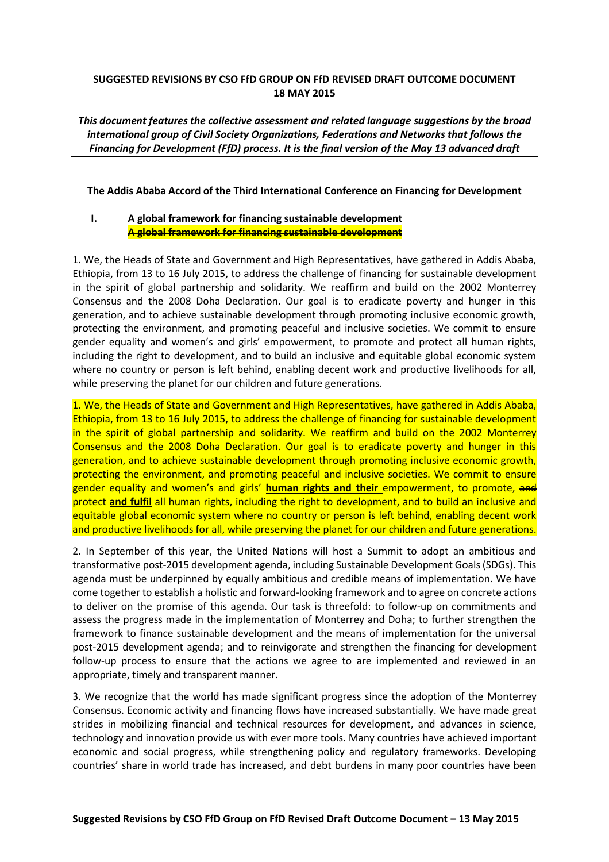# **SUGGESTED REVISIONS BY CSO FfD GROUP ON FfD REVISED DRAFT OUTCOME DOCUMENT 18 MAY 2015**

*This document features the collective assessment and related language suggestions by the broad international group of Civil Society Organizations, Federations and Networks that follows the Financing for Development (FfD) process. It is the final version of the May 13 advanced draft*

# **The Addis Ababa Accord of the Third International Conference on Financing for Development**

# **I. A global framework for financing sustainable development A global framework for financing sustainable development**

1. We, the Heads of State and Government and High Representatives, have gathered in Addis Ababa, Ethiopia, from 13 to 16 July 2015, to address the challenge of financing for sustainable development in the spirit of global partnership and solidarity. We reaffirm and build on the 2002 Monterrey Consensus and the 2008 Doha Declaration. Our goal is to eradicate poverty and hunger in this generation, and to achieve sustainable development through promoting inclusive economic growth, protecting the environment, and promoting peaceful and inclusive societies. We commit to ensure gender equality and women's and girls' empowerment, to promote and protect all human rights, including the right to development, and to build an inclusive and equitable global economic system where no country or person is left behind, enabling decent work and productive livelihoods for all, while preserving the planet for our children and future generations.

1. We, the Heads of State and Government and High Representatives, have gathered in Addis Ababa, Ethiopia, from 13 to 16 July 2015, to address the challenge of financing for sustainable development in the spirit of global partnership and solidarity. We reaffirm and build on the 2002 Monterrey Consensus and the 2008 Doha Declaration. Our goal is to eradicate poverty and hunger in this generation, and to achieve sustainable development through promoting inclusive economic growth, protecting the environment, and promoting peaceful and inclusive societies. We commit to ensure gender equality and women's and girls' **human rights and their** empowerment, to promote, and protect **and fulfil** all human rights, including the right to development, and to build an inclusive and equitable global economic system where no country or person is left behind, enabling decent work and productive livelihoods for all, while preserving the planet for our children and future generations.

2. In September of this year, the United Nations will host a Summit to adopt an ambitious and transformative post-2015 development agenda, including Sustainable Development Goals (SDGs). This agenda must be underpinned by equally ambitious and credible means of implementation. We have come together to establish a holistic and forward-looking framework and to agree on concrete actions to deliver on the promise of this agenda. Our task is threefold: to follow-up on commitments and assess the progress made in the implementation of Monterrey and Doha; to further strengthen the framework to finance sustainable development and the means of implementation for the universal post-2015 development agenda; and to reinvigorate and strengthen the financing for development follow-up process to ensure that the actions we agree to are implemented and reviewed in an appropriate, timely and transparent manner.

3. We recognize that the world has made significant progress since the adoption of the Monterrey Consensus. Economic activity and financing flows have increased substantially. We have made great strides in mobilizing financial and technical resources for development, and advances in science, technology and innovation provide us with ever more tools. Many countries have achieved important economic and social progress, while strengthening policy and regulatory frameworks. Developing countries' share in world trade has increased, and debt burdens in many poor countries have been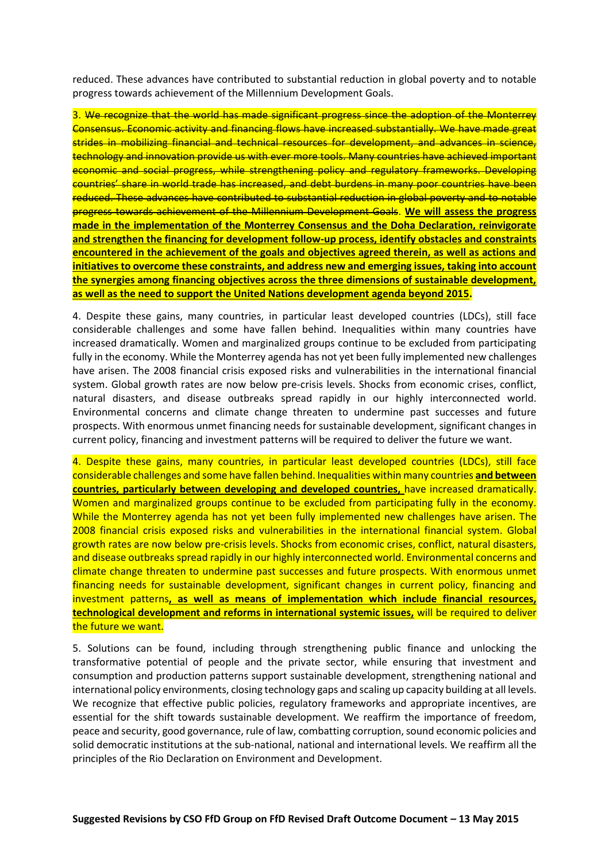reduced. These advances have contributed to substantial reduction in global poverty and to notable progress towards achievement of the Millennium Development Goals.

3. We recognize that the world has made significant progress since the adoption of the Monterrey Consensus. Economic activity and financing flows have increased substantially. We have made great strides in mobilizing financial and technical resources for development, and advances in science, technology and innovation provide us with ever more tools. Many countries have achieved important economic and social progress, while strengthening policy and regulatory frameworks. Developing countries' share in world trade has increased, and debt burdens in many poor countries have been reduced. These advances have contributed to substantial reduction in global poverty and to notable progress towards achievement of the Millennium Development Goals. **We will assess the progress made in the implementation of the Monterrey Consensus and the Doha Declaration, reinvigorate and strengthen the financing for development follow-up process, identify obstacles and constraints encountered in the achievement of the goals and objectives agreed therein, as well as actions and initiatives to overcome these constraints, and address new and emerging issues, taking into account the synergies among financing objectives across the three dimensions of sustainable development, as well as the need to support the United Nations development agenda beyond 2015.**

4. Despite these gains, many countries, in particular least developed countries (LDCs), still face considerable challenges and some have fallen behind. Inequalities within many countries have increased dramatically. Women and marginalized groups continue to be excluded from participating fully in the economy. While the Monterrey agenda has not yet been fully implemented new challenges have arisen. The 2008 financial crisis exposed risks and vulnerabilities in the international financial system. Global growth rates are now below pre-crisis levels. Shocks from economic crises, conflict, natural disasters, and disease outbreaks spread rapidly in our highly interconnected world. Environmental concerns and climate change threaten to undermine past successes and future prospects. With enormous unmet financing needs for sustainable development, significant changes in current policy, financing and investment patterns will be required to deliver the future we want.

4. Despite these gains, many countries, in particular least developed countries (LDCs), still face considerable challenges and some have fallen behind. Inequalities within many countries **and between countries, particularly between developing and developed countries,** have increased dramatically. Women and marginalized groups continue to be excluded from participating fully in the economy. While the Monterrey agenda has not yet been fully implemented new challenges have arisen. The 2008 financial crisis exposed risks and vulnerabilities in the international financial system. Global growth rates are now below pre-crisis levels. Shocks from economic crises, conflict, natural disasters, and disease outbreaks spread rapidly in our highly interconnected world. Environmental concerns and climate change threaten to undermine past successes and future prospects. With enormous unmet financing needs for sustainable development, significant changes in current policy, financing and investment patterns**, as well as means of implementation which include financial resources, technological development and reforms in international systemic issues,** will be required to deliver the future we want.

5. Solutions can be found, including through strengthening public finance and unlocking the transformative potential of people and the private sector, while ensuring that investment and consumption and production patterns support sustainable development, strengthening national and international policy environments, closing technology gaps and scaling up capacity building at all levels. We recognize that effective public policies, regulatory frameworks and appropriate incentives, are essential for the shift towards sustainable development. We reaffirm the importance of freedom, peace and security, good governance, rule of law, combatting corruption, sound economic policies and solid democratic institutions at the sub-national, national and international levels. We reaffirm all the principles of the Rio Declaration on Environment and Development.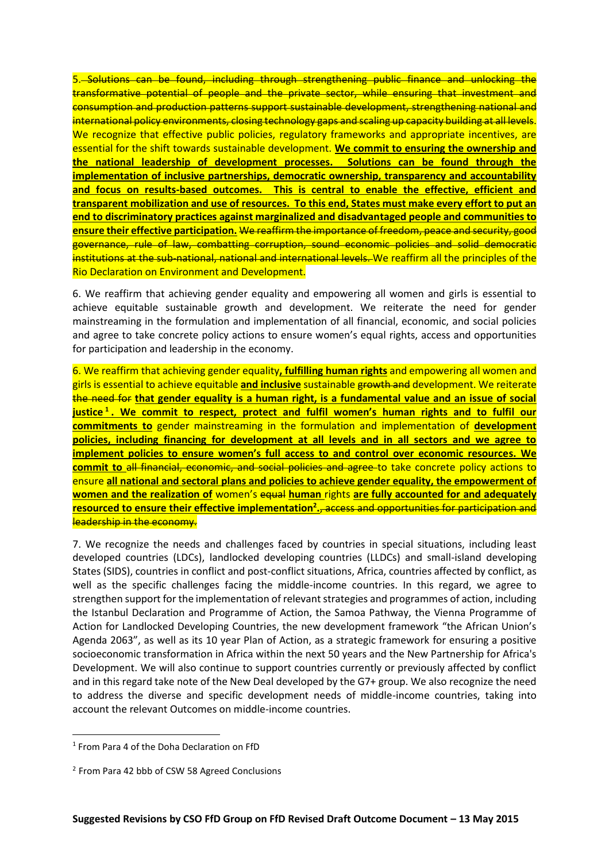5. Solutions can be found, including through strengthening public finance and unlocking the transformative potential of people and the private sector, while ensuring that investment and consumption and production patterns support sustainable development, strengthening national and international policy environments, closing technology gaps and scaling up capacity building at all levels. We recognize that effective public policies, regulatory frameworks and appropriate incentives, are essential for the shift towards sustainable development. **We commit to ensuring the ownership and the national leadership of development processes. Solutions can be found through the implementation of inclusive partnerships, democratic ownership, transparency and accountability and focus on results-based outcomes. This is central to enable the effective, efficient and transparent mobilization and use of resources. To this end, States must make every effort to put an end to discriminatory practices against marginalized and disadvantaged people and communities to ensure their effective participation.** We reaffirm the importance of freedom, peace and security, good governance, rule of law, combatting corruption, sound economic policies and solid democratic institutions at the sub-national, national and international levels. We reaffirm all the principles of the Rio Declaration on Environment and Development.

6. We reaffirm that achieving gender equality and empowering all women and girls is essential to achieve equitable sustainable growth and development. We reiterate the need for gender mainstreaming in the formulation and implementation of all financial, economic, and social policies and agree to take concrete policy actions to ensure women's equal rights, access and opportunities for participation and leadership in the economy.

6. We reaffirm that achieving gender equality**, fulfilling human rights** and empowering all women and girls is essential to achieve equitable **and inclusive** sustainable growth and development. We reiterate the need for **that gender equality is a human right, is a fundamental value and an issue of social justice <sup>1</sup> . We commit to respect, protect and fulfil women's human rights and to fulfil our commitments to** gender mainstreaming in the formulation and implementation of **development policies, including financing for development at all levels and in all sectors and we agree to implement policies to ensure women's full access to and control over economic resources. We commit to** all financial, economic, and social policies and agree to take concrete policy actions to ensure **all national and sectoral plans and policies to achieve gender equality, the empowerment of women and the realization of** women's equal **human** rights **are fully accounted for and adequately resourced to ensure their effective implementation<sup>2</sup> .**, access and opportunities for participation and leadership in the economy.

7. We recognize the needs and challenges faced by countries in special situations, including least developed countries (LDCs), landlocked developing countries (LLDCs) and small-island developing States (SIDS), countries in conflict and post-conflict situations, Africa, countries affected by conflict, as well as the specific challenges facing the middle-income countries. In this regard, we agree to strengthen support for the implementation of relevant strategies and programmes of action, including the Istanbul Declaration and Programme of Action, the Samoa Pathway, the Vienna Programme of Action for Landlocked Developing Countries, the new development framework "the African Union's Agenda 2063", as well as its 10 year Plan of Action, as a strategic framework for ensuring a positive socioeconomic transformation in Africa within the next 50 years and the New Partnership for Africa's Development. We will also continue to support countries currently or previously affected by conflict and in this regard take note of the New Deal developed by the G7+ group. We also recognize the need to address the diverse and specific development needs of middle-income countries, taking into account the relevant Outcomes on middle-income countries.

 $\overline{a}$ 

<sup>&</sup>lt;sup>1</sup> From Para 4 of the Doha Declaration on FfD

<sup>&</sup>lt;sup>2</sup> From Para 42 bbb of CSW 58 Agreed Conclusions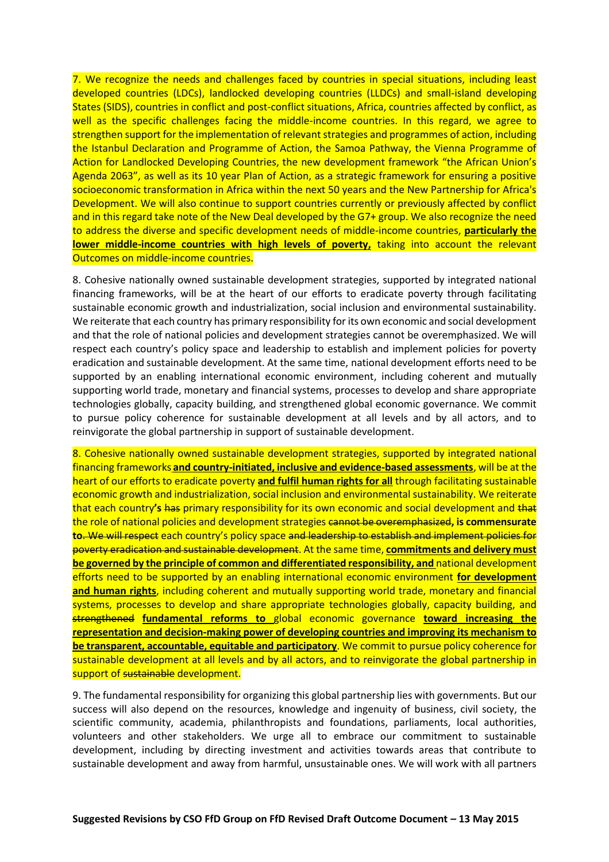7. We recognize the needs and challenges faced by countries in special situations, including least developed countries (LDCs), landlocked developing countries (LLDCs) and small-island developing States (SIDS), countries in conflict and post-conflict situations, Africa, countries affected by conflict, as well as the specific challenges facing the middle-income countries. In this regard, we agree to strengthen support for the implementation of relevant strategies and programmes of action, including the Istanbul Declaration and Programme of Action, the Samoa Pathway, the Vienna Programme of Action for Landlocked Developing Countries, the new development framework "the African Union's Agenda 2063", as well as its 10 year Plan of Action, as a strategic framework for ensuring a positive socioeconomic transformation in Africa within the next 50 years and the New Partnership for Africa's Development. We will also continue to support countries currently or previously affected by conflict and in this regard take note of the New Deal developed by the G7+ group. We also recognize the need to address the diverse and specific development needs of middle-income countries, **particularly the lower middle-income countries with high levels of poverty,** taking into account the relevant Outcomes on middle-income countries.

8. Cohesive nationally owned sustainable development strategies, supported by integrated national financing frameworks, will be at the heart of our efforts to eradicate poverty through facilitating sustainable economic growth and industrialization, social inclusion and environmental sustainability. We reiterate that each country has primary responsibility for its own economic and social development and that the role of national policies and development strategies cannot be overemphasized. We will respect each country's policy space and leadership to establish and implement policies for poverty eradication and sustainable development. At the same time, national development efforts need to be supported by an enabling international economic environment, including coherent and mutually supporting world trade, monetary and financial systems, processes to develop and share appropriate technologies globally, capacity building, and strengthened global economic governance. We commit to pursue policy coherence for sustainable development at all levels and by all actors, and to reinvigorate the global partnership in support of sustainable development.

8. Cohesive nationally owned sustainable development strategies, supported by integrated national financing frameworks **and country-initiated, inclusive and evidence-based assessments**, will be at the heart of our efforts to eradicate poverty **and fulfil human rights for all** through facilitating sustainable economic growth and industrialization, social inclusion and environmental sustainability. We reiterate that each country**'s** has primary responsibility for its own economic and social development and that the role of national policies and development strategies cannot be overemphasized**, is commensurate to**. We will respect each country's policy space and leadership to establish and implement policies for poverty eradication and sustainable development. At the same time, **commitments and delivery must be governed by the principle of common and differentiated responsibility, and** national development efforts need to be supported by an enabling international economic environment **for development and human rights**, including coherent and mutually supporting world trade, monetary and financial systems, processes to develop and share appropriate technologies globally, capacity building, and strengthened **fundamental reforms to** global economic governance **toward increasing the representation and decision-making power of developing countries and improving its mechanism to be transparent, accountable, equitable and participatory**. We commit to pursue policy coherence for sustainable development at all levels and by all actors, and to reinvigorate the global partnership in support of sustainable development.

9. The fundamental responsibility for organizing this global partnership lies with governments. But our success will also depend on the resources, knowledge and ingenuity of business, civil society, the scientific community, academia, philanthropists and foundations, parliaments, local authorities, volunteers and other stakeholders. We urge all to embrace our commitment to sustainable development, including by directing investment and activities towards areas that contribute to sustainable development and away from harmful, unsustainable ones. We will work with all partners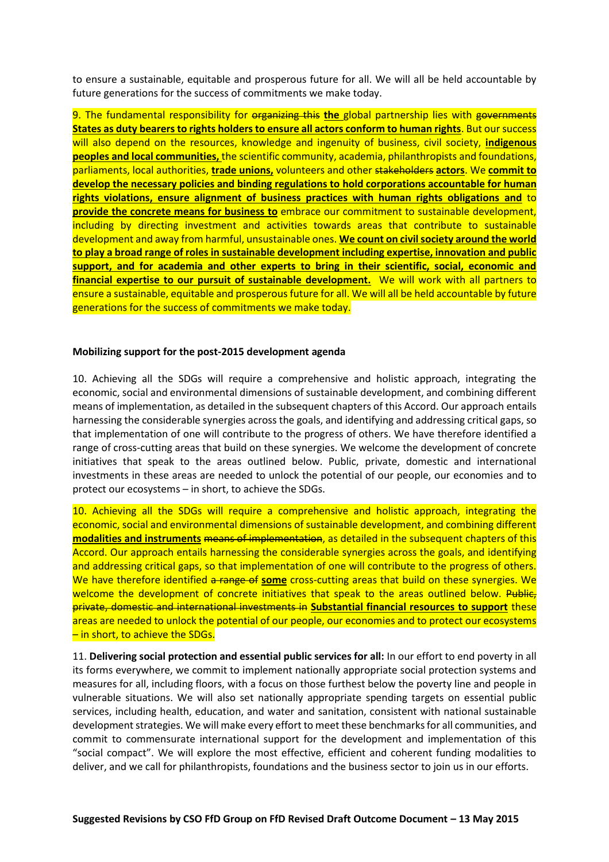to ensure a sustainable, equitable and prosperous future for all. We will all be held accountable by future generations for the success of commitments we make today.

9. The fundamental responsibility for organizing this the global partnership lies with governments **States as duty bearers to rights holders to ensure all actors conform to human rights**. But our success will also depend on the resources, knowledge and ingenuity of business, civil society, **indigenous peoples and local communities,** the scientific community, academia, philanthropists and foundations, parliaments, local authorities, **trade unions,** volunteers and other stakeholders **actors**. We **commit to develop the necessary policies and binding regulations to hold corporations accountable for human rights violations, ensure alignment of business practices with human rights obligations and** to **provide the concrete means for business to** embrace our commitment to sustainable development, including by directing investment and activities towards areas that contribute to sustainable development and away from harmful, unsustainable ones. **We count on civil society around the world to play a broad range of roles in sustainable development including expertise, innovation and public support, and for academia and other experts to bring in their scientific, social, economic and financial expertise to our pursuit of sustainable development.** We will work with all partners to ensure a sustainable, equitable and prosperous future for all. We will all be held accountable by future generations for the success of commitments we make today.

## **Mobilizing support for the post-2015 development agenda**

10. Achieving all the SDGs will require a comprehensive and holistic approach, integrating the economic, social and environmental dimensions of sustainable development, and combining different means of implementation, as detailed in the subsequent chapters of this Accord. Our approach entails harnessing the considerable synergies across the goals, and identifying and addressing critical gaps, so that implementation of one will contribute to the progress of others. We have therefore identified a range of cross-cutting areas that build on these synergies. We welcome the development of concrete initiatives that speak to the areas outlined below. Public, private, domestic and international investments in these areas are needed to unlock the potential of our people, our economies and to protect our ecosystems – in short, to achieve the SDGs.

10. Achieving all the SDGs will require a comprehensive and holistic approach, integrating the economic, social and environmental dimensions of sustainable development, and combining different **modalities and instruments** means of implementation, as detailed in the subsequent chapters of this Accord. Our approach entails harnessing the considerable synergies across the goals, and identifying and addressing critical gaps, so that implementation of one will contribute to the progress of others. We have therefore identified a range of **some** cross-cutting areas that build on these synergies. We welcome the development of concrete initiatives that speak to the areas outlined below. Public, private, domestic and international investments in **Substantial financial resources to support** these areas are needed to unlock the potential of our people, our economies and to protect our ecosystems – in short, to achieve the SDGs.

11. **Delivering social protection and essential public services for all:** In our effort to end poverty in all its forms everywhere, we commit to implement nationally appropriate social protection systems and measures for all, including floors, with a focus on those furthest below the poverty line and people in vulnerable situations. We will also set nationally appropriate spending targets on essential public services, including health, education, and water and sanitation, consistent with national sustainable development strategies. We will make every effort to meet these benchmarks for all communities, and commit to commensurate international support for the development and implementation of this "social compact". We will explore the most effective, efficient and coherent funding modalities to deliver, and we call for philanthropists, foundations and the business sector to join us in our efforts.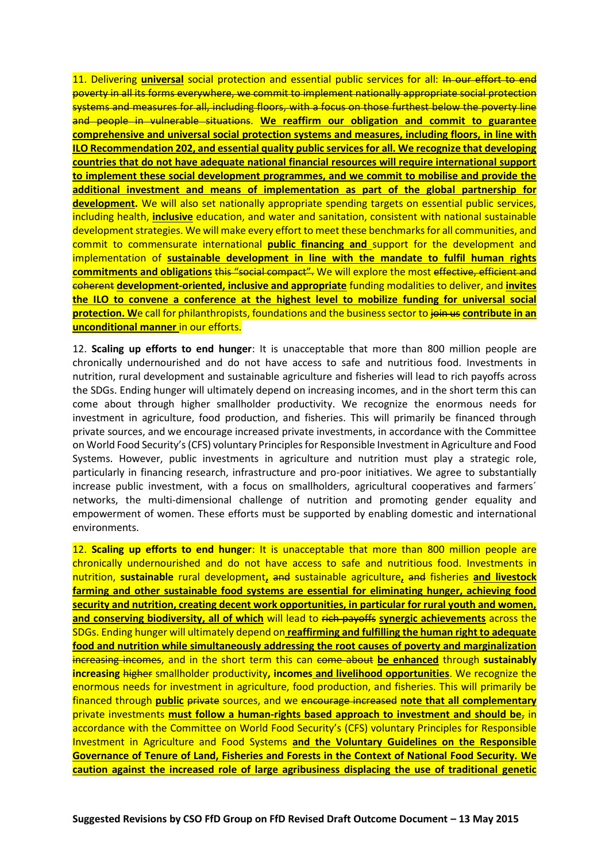11. Delivering **universal** social protection and essential public services for all: In our effort to end poverty in all its forms everywhere, we commit to implement nationally appropriate social protection systems and measures for all, including floors, with a focus on those furthest below the poverty line and people in vulnerable situations. **We reaffirm our obligation and commit to guarantee comprehensive and universal social protection systems and measures, including floors, in line with ILO Recommendation 202, and essential quality public services for all. We recognize that developing countries that do not have adequate national financial resources will require international support to implement these social development programmes, and we commit to mobilise and provide the additional investment and means of implementation as part of the global partnership for development.** We will also set nationally appropriate spending targets on essential public services, including health, **inclusive** education, and water and sanitation, consistent with national sustainable development strategies. We will make every effort to meet these benchmarks for all communities, and commit to commensurate international **public financing and** support for the development and implementation of **sustainable development in line with the mandate to fulfil human rights commitments and obligations** this "social compact". We will explore the most effective, efficient and coherent **development-oriented, inclusive and appropriate** funding modalities to deliver, and **invites the ILO to convene a conference at the highest level to mobilize funding for universal social protection. W**e call for philanthropists, foundations and the business sector to join us **contribute in an unconditional manner** in our efforts.

12. **Scaling up efforts to end hunger**: It is unacceptable that more than 800 million people are chronically undernourished and do not have access to safe and nutritious food. Investments in nutrition, rural development and sustainable agriculture and fisheries will lead to rich payoffs across the SDGs. Ending hunger will ultimately depend on increasing incomes, and in the short term this can come about through higher smallholder productivity. We recognize the enormous needs for investment in agriculture, food production, and fisheries. This will primarily be financed through private sources, and we encourage increased private investments, in accordance with the Committee on World Food Security's (CFS) voluntary Principles for Responsible Investment in Agriculture and Food Systems. However, public investments in agriculture and nutrition must play a strategic role, particularly in financing research, infrastructure and pro-poor initiatives. We agree to substantially increase public investment, with a focus on smallholders, agricultural cooperatives and farmers' networks, the multi-dimensional challenge of nutrition and promoting gender equality and empowerment of women. These efforts must be supported by enabling domestic and international environments.

12. **Scaling up efforts to end hunger**: It is unacceptable that more than 800 million people are chronically undernourished and do not have access to safe and nutritious food. Investments in nutrition, **sustainable** rural development**,** and sustainable agriculture**,** and fisheries **and livestock farming and other sustainable food systems are essential for eliminating hunger, achieving food security and nutrition, creating decent work opportunities, in particular for rural youth and women, and conserving biodiversity, all of which** will lead to rich payoffs **synergic achievements** across the SDGs. Ending hunger will ultimately depend on **reaffirming and fulfilling the human right to adequate food and nutrition while simultaneously addressing the root causes of poverty and marginalization** increasing incomes, and in the short term this can come about **be enhanced** through **sustainably increasing** higher smallholder productivity**, incomes and livelihood opportunities**. We recognize the enormous needs for investment in agriculture, food production, and fisheries. This will primarily be financed through **public** private sources, and we encourage increased **note that all complementary** private investments **must follow a human-rights based approach to investment and should be**, in accordance with the Committee on World Food Security's (CFS) voluntary Principles for Responsible Investment in Agriculture and Food Systems **and the Voluntary Guidelines on the Responsible Governance of Tenure of Land, Fisheries and Forests in the Context of National Food Security. We caution against the increased role of large agribusiness displacing the use of traditional genetic**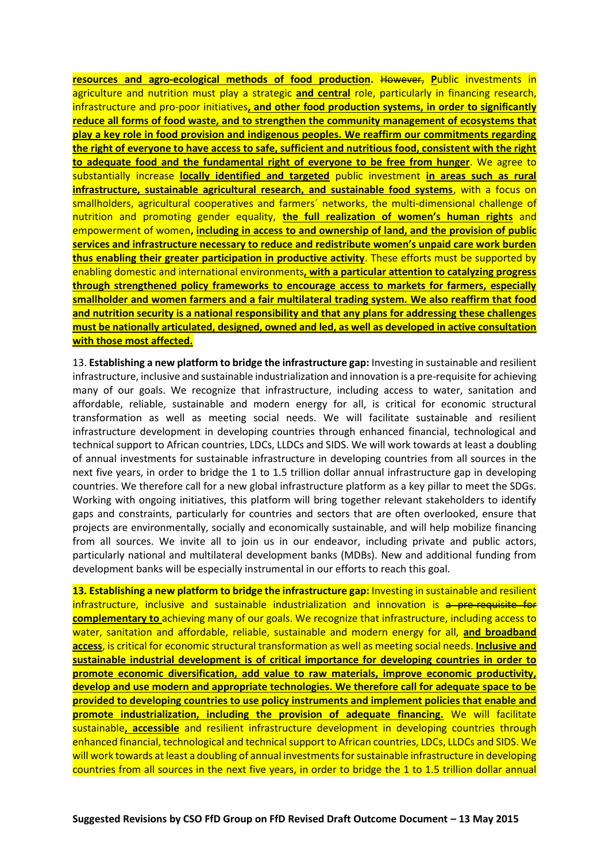**resources and agro-ecological methods of food production. However, Public investments in** agriculture and nutrition must play a strategic **and central** role, particularly in financing research, infrastructure and pro-poor initiatives**, and other food production systems, in order to significantly reduce all forms of food waste, and to strengthen the community management of ecosystems that play a key role in food provision and indigenous peoples. We reaffirm our commitments regarding the right of everyone to have access to safe, sufficient and nutritious food, consistent with the right to adequate food and the fundamental right of everyone to be free from hunger**. We agree to substantially increase **locally identified and targeted** public investment **in areas such as rural infrastructure, sustainable agricultural research, and sustainable food systems**, with a focus on smallholders, agricultural cooperatives and farmers´ networks, the multi-dimensional challenge of nutrition and promoting gender equality, **the full realization of women's human rights** and empowerment of women**, including in access to and ownership of land, and the provision of public services and infrastructure necessary to reduce and redistribute women's unpaid care work burden thus enabling their greater participation in productive activity**. These efforts must be supported by enabling domestic and international environments**, with a particular attention to catalyzing progress through strengthened policy frameworks to encourage access to markets for farmers, especially smallholder and women farmers and a fair multilateral trading system. We also reaffirm that food and nutrition security is a national responsibility and that any plans for addressing these challenges must be nationally articulated, designed, owned and led, as well as developed in active consultation with those most affected.**

13. **Establishing a new platform to bridge the infrastructure gap:** Investing in sustainable and resilient infrastructure, inclusive and sustainable industrialization and innovation is a pre-requisite for achieving many of our goals. We recognize that infrastructure, including access to water, sanitation and affordable, reliable, sustainable and modern energy for all, is critical for economic structural transformation as well as meeting social needs. We will facilitate sustainable and resilient infrastructure development in developing countries through enhanced financial, technological and technical support to African countries, LDCs, LLDCs and SIDS. We will work towards at least a doubling of annual investments for sustainable infrastructure in developing countries from all sources in the next five years, in order to bridge the 1 to 1.5 trillion dollar annual infrastructure gap in developing countries. We therefore call for a new global infrastructure platform as a key pillar to meet the SDGs. Working with ongoing initiatives, this platform will bring together relevant stakeholders to identify gaps and constraints, particularly for countries and sectors that are often overlooked, ensure that projects are environmentally, socially and economically sustainable, and will help mobilize financing from all sources. We invite all to join us in our endeavor, including private and public actors, particularly national and multilateral development banks (MDBs). New and additional funding from development banks will be especially instrumental in our efforts to reach this goal.

**13. Establishing a new platform to bridge the infrastructure gap:** Investing in sustainable and resilient infrastructure, inclusive and sustainable industrialization and innovation is a pre-requisite for **complementary to** achieving many of our goals. We recognize that infrastructure, including access to water, sanitation and affordable, reliable, sustainable and modern energy for all, **and broadband access**, is critical for economic structural transformation as well as meeting social needs. **Inclusive and sustainable industrial development is of critical importance for developing countries in order to promote economic diversification, add value to raw materials, improve economic productivity, develop and use modern and appropriate technologies. We therefore call for adequate space to be provided to developing countries to use policy instruments and implement policies that enable and promote industrialization, including the provision of adequate financing.** We will facilitate sustainable**, accessible** and resilient infrastructure development in developing countries through enhanced financial, technological and technical support to African countries, LDCs, LLDCs and SIDS. We will work towards at least a doubling of annual investments for sustainable infrastructure in developing countries from all sources in the next five years, in order to bridge the 1 to 1.5 trillion dollar annual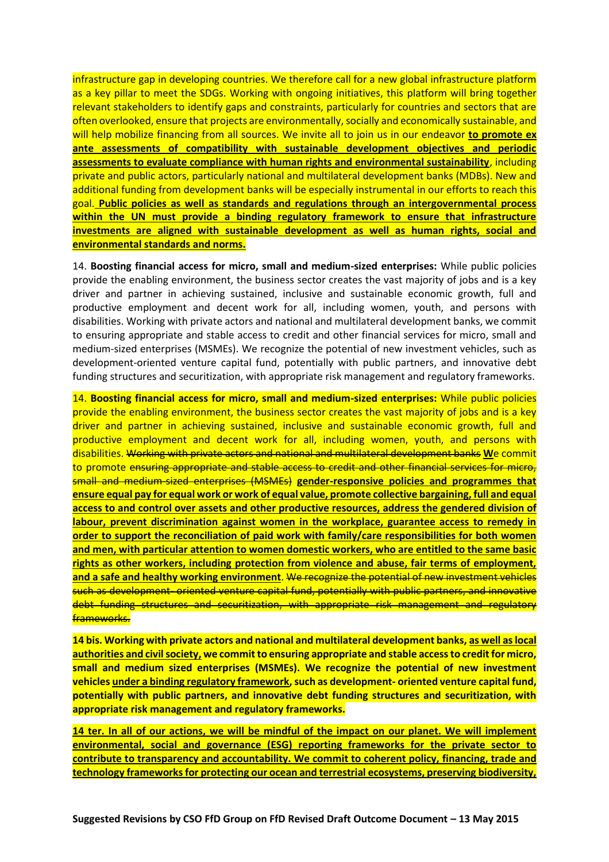infrastructure gap in developing countries. We therefore call for a new global infrastructure platform as a key pillar to meet the SDGs. Working with ongoing initiatives, this platform will bring together relevant stakeholders to identify gaps and constraints, particularly for countries and sectors that are often overlooked, ensure that projects are environmentally, socially and economically sustainable, and will help mobilize financing from all sources. We invite all to join us in our endeavor **to promote ex ante assessments of compatibility with sustainable development objectives and periodic assessments to evaluate compliance with human rights and environmental sustainability**, including private and public actors, particularly national and multilateral development banks (MDBs). New and additional funding from development banks will be especially instrumental in our efforts to reach this goal. **Public policies as well as standards and regulations through an intergovernmental process within the UN must provide a binding regulatory framework to ensure that infrastructure investments are aligned with sustainable development as well as human rights, social and environmental standards and norms.**

14. **Boosting financial access for micro, small and medium-sized enterprises:** While public policies provide the enabling environment, the business sector creates the vast majority of jobs and is a key driver and partner in achieving sustained, inclusive and sustainable economic growth, full and productive employment and decent work for all, including women, youth, and persons with disabilities. Working with private actors and national and multilateral development banks, we commit to ensuring appropriate and stable access to credit and other financial services for micro, small and medium-sized enterprises (MSMEs). We recognize the potential of new investment vehicles, such as development-oriented venture capital fund, potentially with public partners, and innovative debt funding structures and securitization, with appropriate risk management and regulatory frameworks.

14. **Boosting financial access for micro, small and medium-sized enterprises:** While public policies provide the enabling environment, the business sector creates the vast majority of jobs and is a key driver and partner in achieving sustained, inclusive and sustainable economic growth, full and productive employment and decent work for all, including women, youth, and persons with disabilities. Working with private actors and national and multilateral development banks **W**e commit to promote ensuring appropriate and stable access to credit and other financial services for micro, small and medium-sized enterprises (MSMEs) **gender-responsive policies and programmes that ensure equal pay for equal work or work of equal value, promote collective bargaining, full and equal access to and control over assets and other productive resources, address the gendered division of labour, prevent discrimination against women in the workplace, guarantee access to remedy in order to support the reconciliation of paid work with family/care responsibilities for both women and men, with particular attention to women domestic workers, who are entitled to the same basic rights as other workers, including protection from violence and abuse, fair terms of employment, and a safe and healthy working environment**. We recognize the potential of new investment vehicles such as development- oriented venture capital fund, potentially with public partners, and innovative debt funding structures and securitization, with appropriate risk management and regulatory frameworks.

**14 bis. Working with private actors and national and multilateral development banks, as well as local authorities and civil society, we commit to ensuring appropriate and stable access to credit for micro, small and medium sized enterprises (MSMEs). We recognize the potential of new investment vehicles under a binding regulatory framework, such as development- oriented venture capital fund, potentially with public partners, and innovative debt funding structures and securitization, with appropriate risk management and regulatory frameworks.**

**14 ter. In all of our actions, we will be mindful of the impact on our planet. We will implement environmental, social and governance (ESG) reporting frameworks for the private sector to contribute to transparency and accountability. We commit to coherent policy, financing, trade and technology frameworks for protecting our ocean and terrestrial ecosystems, preserving biodiversity,**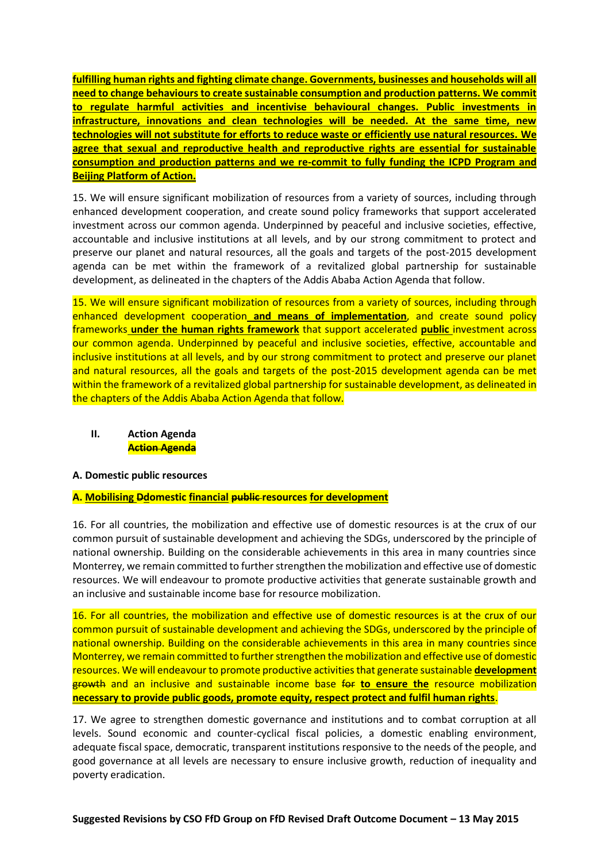**fulfilling human rights and fighting climate change. Governments, businesses and households will all need to change behaviours to create sustainable consumption and production patterns. We commit to regulate harmful activities and incentivise behavioural changes. Public investments in infrastructure, innovations and clean technologies will be needed. At the same time, new technologies will not substitute for efforts to reduce waste or efficiently use natural resources. We agree that sexual and reproductive health and reproductive rights are essential for sustainable consumption and production patterns and we re-commit to fully funding the ICPD Program and Beijing Platform of Action.**

15. We will ensure significant mobilization of resources from a variety of sources, including through enhanced development cooperation, and create sound policy frameworks that support accelerated investment across our common agenda. Underpinned by peaceful and inclusive societies, effective, accountable and inclusive institutions at all levels, and by our strong commitment to protect and preserve our planet and natural resources, all the goals and targets of the post-2015 development agenda can be met within the framework of a revitalized global partnership for sustainable development, as delineated in the chapters of the Addis Ababa Action Agenda that follow.

15. We will ensure significant mobilization of resources from a variety of sources, including through enhanced development cooperation **and means of implementation**, and create sound policy frameworks **under the human rights framework** that support accelerated **public** investment across our common agenda. Underpinned by peaceful and inclusive societies, effective, accountable and inclusive institutions at all levels, and by our strong commitment to protect and preserve our planet and natural resources, all the goals and targets of the post-2015 development agenda can be met within the framework of a revitalized global partnership for sustainable development, as delineated in the chapters of the Addis Ababa Action Agenda that follow.

**II. Action Agenda Action Agenda**

## **A. Domestic public resources**

## **A. Mobilising Ddomestic financial public resources for development**

16. For all countries, the mobilization and effective use of domestic resources is at the crux of our common pursuit of sustainable development and achieving the SDGs, underscored by the principle of national ownership. Building on the considerable achievements in this area in many countries since Monterrey, we remain committed to further strengthen the mobilization and effective use of domestic resources. We will endeavour to promote productive activities that generate sustainable growth and an inclusive and sustainable income base for resource mobilization.

16. For all countries, the mobilization and effective use of domestic resources is at the crux of our common pursuit of sustainable development and achieving the SDGs, underscored by the principle of national ownership. Building on the considerable achievements in this area in many countries since Monterrey, we remain committed to further strengthen the mobilization and effective use of domestic resources. We will endeavour to promote productive activities that generate sustainable **development** growth and an inclusive and sustainable income base for **to ensure the** resource mobilization **necessary to provide public goods, promote equity, respect protect and fulfil human rights**.

17. We agree to strengthen domestic governance and institutions and to combat corruption at all levels. Sound economic and counter-cyclical fiscal policies, a domestic enabling environment, adequate fiscal space, democratic, transparent institutions responsive to the needs of the people, and good governance at all levels are necessary to ensure inclusive growth, reduction of inequality and poverty eradication.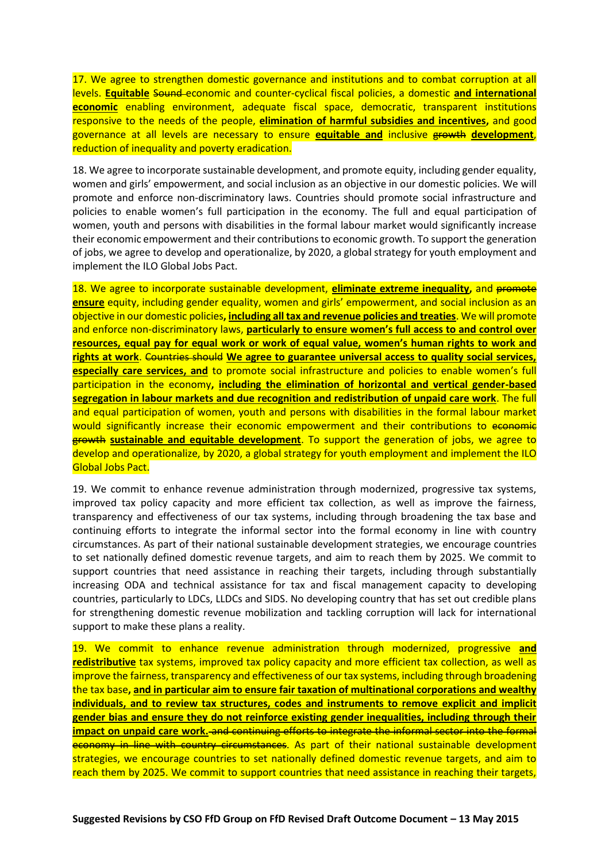17. We agree to strengthen domestic governance and institutions and to combat corruption at all levels. **Equitable** Sound economic and counter-cyclical fiscal policies, a domestic **and international economic** enabling environment, adequate fiscal space, democratic, transparent institutions responsive to the needs of the people, **elimination of harmful subsidies and incentives,** and good governance at all levels are necessary to ensure **equitable and** inclusive growth **development**, reduction of inequality and poverty eradication.

18. We agree to incorporate sustainable development, and promote equity, including gender equality, women and girls' empowerment, and social inclusion as an objective in our domestic policies. We will promote and enforce non-discriminatory laws. Countries should promote social infrastructure and policies to enable women's full participation in the economy. The full and equal participation of women, youth and persons with disabilities in the formal labour market would significantly increase their economic empowerment and their contributions to economic growth. To support the generation of jobs, we agree to develop and operationalize, by 2020, a global strategy for youth employment and implement the ILO Global Jobs Pact.

18. We agree to incorporate sustainable development, *eliminate extreme inequality*, and promote **ensure** equity, including gender equality, women and girls' empowerment, and social inclusion as an objective in our domestic policies**, including all tax and revenue policies and treaties**. We will promote and enforce non-discriminatory laws, **particularly to ensure women's full access to and control over resources, equal pay for equal work or work of equal value, women's human rights to work and rights at work**. Countries should **We agree to guarantee universal access to quality social services, especially care services, and** to promote social infrastructure and policies to enable women's full participation in the economy**, including the elimination of horizontal and vertical gender-based segregation in labour markets and due recognition and redistribution of unpaid care work**. The full and equal participation of women, youth and persons with disabilities in the formal labour market would significantly increase their economic empowerment and their contributions to economic growth **sustainable and equitable development**. To support the generation of jobs, we agree to develop and operationalize, by 2020, a global strategy for youth employment and implement the ILO Global Jobs Pact.

19. We commit to enhance revenue administration through modernized, progressive tax systems, improved tax policy capacity and more efficient tax collection, as well as improve the fairness, transparency and effectiveness of our tax systems, including through broadening the tax base and continuing efforts to integrate the informal sector into the formal economy in line with country circumstances. As part of their national sustainable development strategies, we encourage countries to set nationally defined domestic revenue targets, and aim to reach them by 2025. We commit to support countries that need assistance in reaching their targets, including through substantially increasing ODA and technical assistance for tax and fiscal management capacity to developing countries, particularly to LDCs, LLDCs and SIDS. No developing country that has set out credible plans for strengthening domestic revenue mobilization and tackling corruption will lack for international support to make these plans a reality.

19. We commit to enhance revenue administration through modernized, progressive **and redistributive** tax systems, improved tax policy capacity and more efficient tax collection, as well as improve the fairness, transparency and effectiveness of our tax systems, including through broadening the tax base**, and in particular aim to ensure fair taxation of multinational corporations and wealthy individuals, and to review tax structures, codes and instruments to remove explicit and implicit gender bias and ensure they do not reinforce existing gender inequalities, including through their impact on unpaid care work.** and continuing efforts to integrate the informal sector into the formal economy in line with country circumstances. As part of their national sustainable development strategies, we encourage countries to set nationally defined domestic revenue targets, and aim to reach them by 2025. We commit to support countries that need assistance in reaching their targets,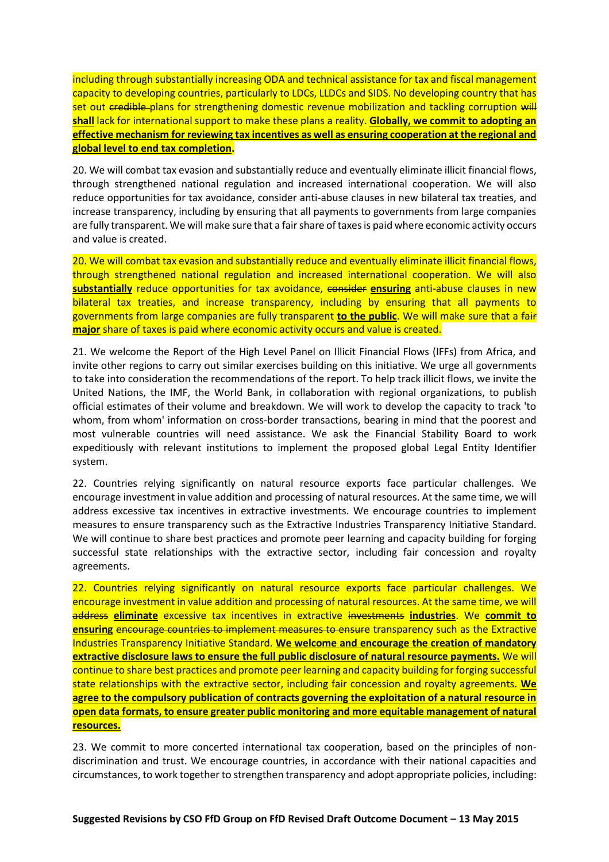including through substantially increasing ODA and technical assistance for tax and fiscal management capacity to developing countries, particularly to LDCs, LLDCs and SIDS. No developing country that has set out credible plans for strengthening domestic revenue mobilization and tackling corruption will **shall** lack for international support to make these plans a reality. **Globally, we commit to adopting an effective mechanism for reviewing tax incentives as well as ensuring cooperation at the regional and global level to end tax completion.**

20. We will combat tax evasion and substantially reduce and eventually eliminate illicit financial flows, through strengthened national regulation and increased international cooperation. We will also reduce opportunities for tax avoidance, consider anti-abuse clauses in new bilateral tax treaties, and increase transparency, including by ensuring that all payments to governments from large companies are fully transparent. We will make sure that a fair share of taxes is paid where economic activity occurs and value is created.

20. We will combat tax evasion and substantially reduce and eventually eliminate illicit financial flows, through strengthened national regulation and increased international cooperation. We will also **substantially** reduce opportunities for tax avoidance, consider **ensuring** anti-abuse clauses in new bilateral tax treaties, and increase transparency, including by ensuring that all payments to governments from large companies are fully transparent **to the public**. We will make sure that a fair **major** share of taxes is paid where economic activity occurs and value is created.

21. We welcome the Report of the High Level Panel on Illicit Financial Flows (IFFs) from Africa, and invite other regions to carry out similar exercises building on this initiative. We urge all governments to take into consideration the recommendations of the report. To help track illicit flows, we invite the United Nations, the IMF, the World Bank, in collaboration with regional organizations, to publish official estimates of their volume and breakdown. We will work to develop the capacity to track 'to whom, from whom' information on cross-border transactions, bearing in mind that the poorest and most vulnerable countries will need assistance. We ask the Financial Stability Board to work expeditiously with relevant institutions to implement the proposed global Legal Entity Identifier system.

22. Countries relying significantly on natural resource exports face particular challenges. We encourage investment in value addition and processing of natural resources. At the same time, we will address excessive tax incentives in extractive investments. We encourage countries to implement measures to ensure transparency such as the Extractive Industries Transparency Initiative Standard. We will continue to share best practices and promote peer learning and capacity building for forging successful state relationships with the extractive sector, including fair concession and royalty agreements.

22. Countries relying significantly on natural resource exports face particular challenges. We encourage investment in value addition and processing of natural resources. At the same time, we will address **eliminate** excessive tax incentives in extractive investments **industries**. We **commit to ensuring** encourage countries to implement measures to ensure transparency such as the Extractive Industries Transparency Initiative Standard. **We welcome and encourage the creation of mandatory extractive disclosure laws to ensure the full public disclosure of natural resource payments.** We will continue to share best practices and promote peer learning and capacity building for forging successful state relationships with the extractive sector, including fair concession and royalty agreements. **We agree to the compulsory publication of contracts governing the exploitation of a natural resource in open data formats, to ensure greater public monitoring and more equitable management of natural resources.**

23. We commit to more concerted international tax cooperation, based on the principles of nondiscrimination and trust. We encourage countries, in accordance with their national capacities and circumstances, to work together to strengthen transparency and adopt appropriate policies, including: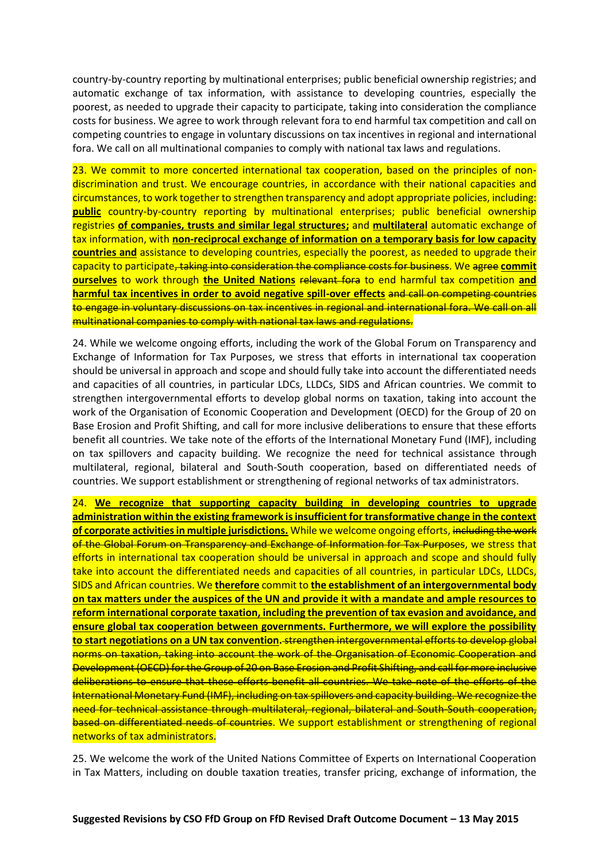country-by-country reporting by multinational enterprises; public beneficial ownership registries; and automatic exchange of tax information, with assistance to developing countries, especially the poorest, as needed to upgrade their capacity to participate, taking into consideration the compliance costs for business. We agree to work through relevant fora to end harmful tax competition and call on competing countries to engage in voluntary discussions on tax incentives in regional and international fora. We call on all multinational companies to comply with national tax laws and regulations.

23. We commit to more concerted international tax cooperation, based on the principles of nondiscrimination and trust. We encourage countries, in accordance with their national capacities and circumstances, to work together to strengthen transparency and adopt appropriate policies, including: **public** country-by-country reporting by multinational enterprises; public beneficial ownership registries **of companies, trusts and similar legal structures;** and **multilateral** automatic exchange of tax information, with **non-reciprocal exchange of information on a temporary basis for low capacity countries and** assistance to developing countries, especially the poorest, as needed to upgrade their capacity to participate, taking into consideration the compliance costs for business. We agree **commit ourselves** to work through **the United Nations** relevant fora to end harmful tax competition **and harmful tax incentives in order to avoid negative spill-over effects** and call on competing countries to engage in voluntary discussions on tax incentives in regional and international fora. We call on all multinational companies to comply with national tax laws and regulations.

24. While we welcome ongoing efforts, including the work of the Global Forum on Transparency and Exchange of Information for Tax Purposes, we stress that efforts in international tax cooperation should be universal in approach and scope and should fully take into account the differentiated needs and capacities of all countries, in particular LDCs, LLDCs, SIDS and African countries. We commit to strengthen intergovernmental efforts to develop global norms on taxation, taking into account the work of the Organisation of Economic Cooperation and Development (OECD) for the Group of 20 on Base Erosion and Profit Shifting, and call for more inclusive deliberations to ensure that these efforts benefit all countries. We take note of the efforts of the International Monetary Fund (IMF), including on tax spillovers and capacity building. We recognize the need for technical assistance through multilateral, regional, bilateral and South-South cooperation, based on differentiated needs of countries. We support establishment or strengthening of regional networks of tax administrators.

24. **We recognize that supporting capacity building in developing countries to upgrade administration within the existing framework is insufficient for transformative change in the context of corporate activities in multiple jurisdictions.** While we welcome ongoing efforts, including the work of the Global Forum on Transparency and Exchange of Information for Tax Purposes, we stress that efforts in international tax cooperation should be universal in approach and scope and should fully take into account the differentiated needs and capacities of all countries, in particular LDCs, LLDCs, SIDS and African countries. We **therefore** commit to **the establishment of an intergovernmental body on tax matters under the auspices of the UN and provide it with a mandate and ample resources to reform international corporate taxation, including the prevention of tax evasion and avoidance, and ensure global tax cooperation between governments. Furthermore, we will explore the possibility to start negotiations on a UN tax convention.** strengthen intergovernmental efforts to develop global norms on taxation, taking into account the work of the Organisation of Economic Cooperation and Development (OECD) for the Group of 20 on Base Erosion and Profit Shifting, and call for more inclusive deliberations to ensure that these efforts benefit all countries. We take note of the efforts of the International Monetary Fund (IMF), including on tax spillovers and capacity building. We recognize the need for technical assistance through multilateral, regional, bilateral and South-South cooperation, based on differentiated needs of countries. We support establishment or strengthening of regional networks of tax administrators.

25. We welcome the work of the United Nations Committee of Experts on International Cooperation in Tax Matters, including on double taxation treaties, transfer pricing, exchange of information, the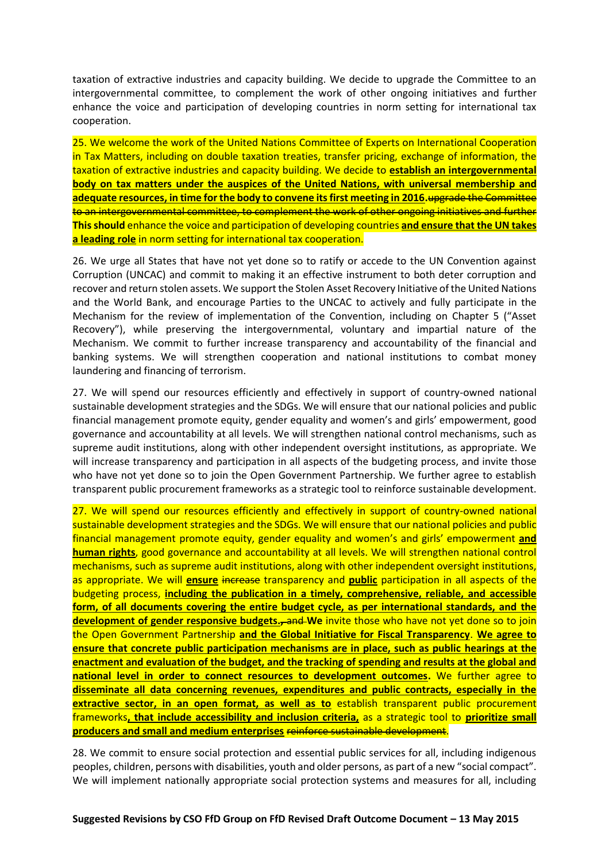taxation of extractive industries and capacity building. We decide to upgrade the Committee to an intergovernmental committee, to complement the work of other ongoing initiatives and further enhance the voice and participation of developing countries in norm setting for international tax cooperation.

25. We welcome the work of the United Nations Committee of Experts on International Cooperation in Tax Matters, including on double taxation treaties, transfer pricing, exchange of information, the taxation of extractive industries and capacity building. We decide to **establish an intergovernmental body on tax matters under the auspices of the United Nations, with universal membership and adequate resources, in time for the body to convene its first meeting in 2016.**upgrade the Committee to an intergovernmental committee, to complement the work of other ongoing initiatives and further **This should** enhance the voice and participation of developing countries **and ensure that the UN takes a leading role** in norm setting for international tax cooperation.

26. We urge all States that have not yet done so to ratify or accede to the UN Convention against Corruption (UNCAC) and commit to making it an effective instrument to both deter corruption and recover and return stolen assets. We support the Stolen Asset Recovery Initiative of the United Nations and the World Bank, and encourage Parties to the UNCAC to actively and fully participate in the Mechanism for the review of implementation of the Convention, including on Chapter 5 ("Asset Recovery"), while preserving the intergovernmental, voluntary and impartial nature of the Mechanism. We commit to further increase transparency and accountability of the financial and banking systems. We will strengthen cooperation and national institutions to combat money laundering and financing of terrorism.

27. We will spend our resources efficiently and effectively in support of country-owned national sustainable development strategies and the SDGs. We will ensure that our national policies and public financial management promote equity, gender equality and women's and girls' empowerment, good governance and accountability at all levels. We will strengthen national control mechanisms, such as supreme audit institutions, along with other independent oversight institutions, as appropriate. We will increase transparency and participation in all aspects of the budgeting process, and invite those who have not yet done so to join the Open Government Partnership. We further agree to establish transparent public procurement frameworks as a strategic tool to reinforce sustainable development.

27. We will spend our resources efficiently and effectively in support of country-owned national sustainable development strategies and the SDGs. We will ensure that our national policies and public financial management promote equity, gender equality and women's and girls' empowerment **and human rights**, good governance and accountability at all levels. We will strengthen national control mechanisms, such as supreme audit institutions, along with other independent oversight institutions, as appropriate. We will **ensure** increase transparency and **public** participation in all aspects of the budgeting process, **including the publication in a timely, comprehensive, reliable, and accessible form, of all documents covering the entire budget cycle, as per international standards, and the**  development of gender responsive budgets.<sub>7</sub> and We invite those who have not yet done so to join the Open Government Partnership **and the Global Initiative for Fiscal Transparency**. **We agree to ensure that concrete public participation mechanisms are in place, such as public hearings at the enactment and evaluation of the budget, and the tracking of spending and results at the global and national level in order to connect resources to development outcomes.** We further agree to **disseminate all data concerning revenues, expenditures and public contracts, especially in the extractive sector, in an open format, as well as to** establish transparent public procurement frameworks**, that include accessibility and inclusion criteria,** as a strategic tool to **prioritize small producers and small and medium enterprises** reinforce sustainable development.

28. We commit to ensure social protection and essential public services for all, including indigenous peoples, children, persons with disabilities, youth and older persons, as part of a new "social compact". We will implement nationally appropriate social protection systems and measures for all, including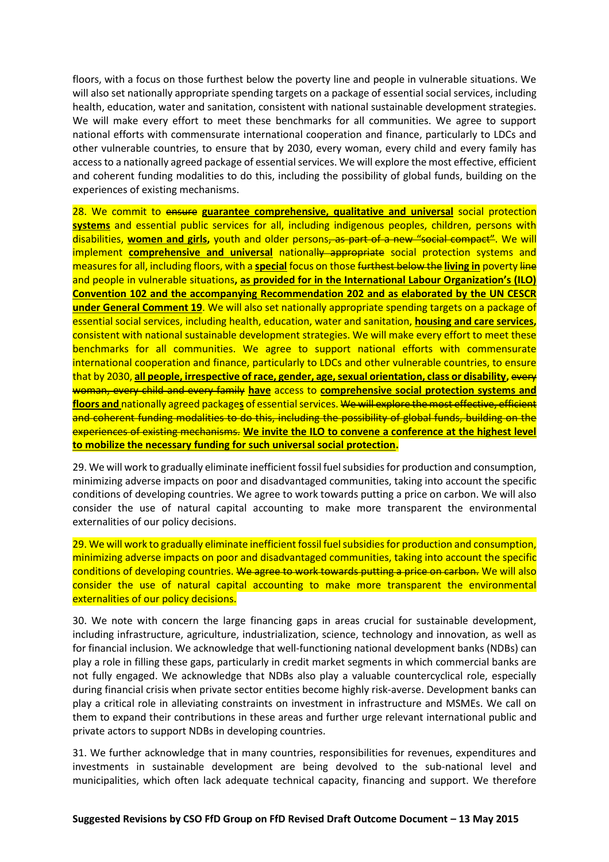floors, with a focus on those furthest below the poverty line and people in vulnerable situations. We will also set nationally appropriate spending targets on a package of essential social services, including health, education, water and sanitation, consistent with national sustainable development strategies. We will make every effort to meet these benchmarks for all communities. We agree to support national efforts with commensurate international cooperation and finance, particularly to LDCs and other vulnerable countries, to ensure that by 2030, every woman, every child and every family has access to a nationally agreed package of essential services. We will explore the most effective, efficient and coherent funding modalities to do this, including the possibility of global funds, building on the experiences of existing mechanisms.

28. We commit to ensure **guarantee comprehensive, qualitative and universal** social protection **systems** and essential public services for all, including indigenous peoples, children, persons with disabilities, **women and girls,** youth and older persons, as part of a new "social compact". We will implement **comprehensive and universal** nationally appropriate social protection systems and measures for all, including floors, with a **special** focus on those furthest below the **living in** poverty line and people in vulnerable situations**, as provided for in the International Labour Organization's (ILO) Convention 102 and the accompanying Recommendation 202 and as elaborated by the UN CESCR under General Comment 19**. We will also set nationally appropriate spending targets on a package of essential social services, including health, education, water and sanitation, **housing and care services,** consistent with national sustainable development strategies. We will make every effort to meet these benchmarks for all communities. We agree to support national efforts with commensurate international cooperation and finance, particularly to LDCs and other vulnerable countries, to ensure that by 2030, **all people, irrespective of race, gender, age, sexual orientation, class or disability,** every woman, every child and every family **have** access to **comprehensive social protection systems and floors and** nationally agreed package**s** of essential services. We will explore the most effective, efficient and coherent funding modalities to do this, including the possibility of global funds, building on the experiences of existing mechanisms. **We invite the ILO to convene a conference at the highest level to mobilize the necessary funding for such universal social protection.**

29. We will work to gradually eliminate inefficient fossil fuel subsidies for production and consumption, minimizing adverse impacts on poor and disadvantaged communities, taking into account the specific conditions of developing countries. We agree to work towards putting a price on carbon. We will also consider the use of natural capital accounting to make more transparent the environmental externalities of our policy decisions.

29. We will work to gradually eliminate inefficient fossil fuel subsidies for production and consumption, minimizing adverse impacts on poor and disadvantaged communities, taking into account the specific conditions of developing countries. We agree to work towards putting a price on carbon. We will also consider the use of natural capital accounting to make more transparent the environmental externalities of our policy decisions.

30. We note with concern the large financing gaps in areas crucial for sustainable development, including infrastructure, agriculture, industrialization, science, technology and innovation, as well as for financial inclusion. We acknowledge that well-functioning national development banks (NDBs) can play a role in filling these gaps, particularly in credit market segments in which commercial banks are not fully engaged. We acknowledge that NDBs also play a valuable countercyclical role, especially during financial crisis when private sector entities become highly risk-averse. Development banks can play a critical role in alleviating constraints on investment in infrastructure and MSMEs. We call on them to expand their contributions in these areas and further urge relevant international public and private actors to support NDBs in developing countries.

31. We further acknowledge that in many countries, responsibilities for revenues, expenditures and investments in sustainable development are being devolved to the sub-national level and municipalities, which often lack adequate technical capacity, financing and support. We therefore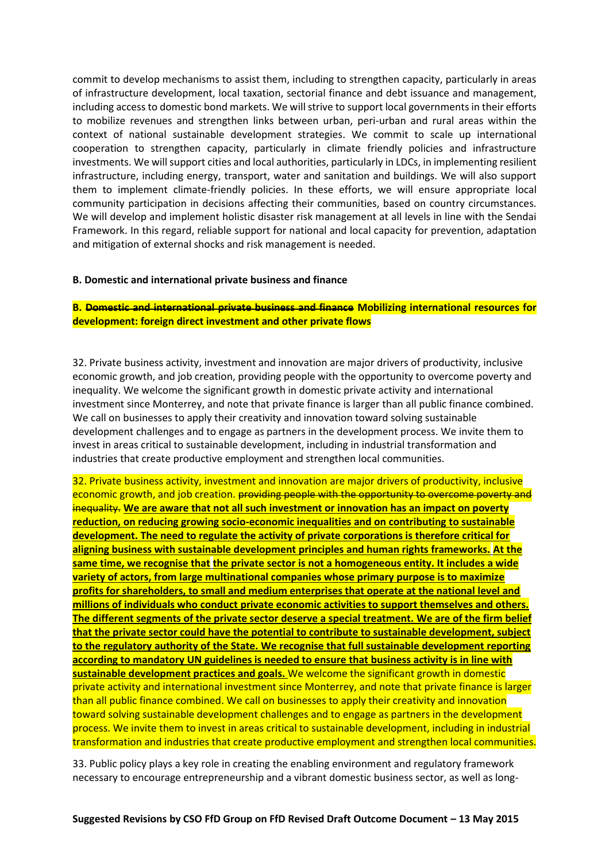commit to develop mechanisms to assist them, including to strengthen capacity, particularly in areas of infrastructure development, local taxation, sectorial finance and debt issuance and management, including access to domestic bond markets. We will strive to support local governments in their efforts to mobilize revenues and strengthen links between urban, peri-urban and rural areas within the context of national sustainable development strategies. We commit to scale up international cooperation to strengthen capacity, particularly in climate friendly policies and infrastructure investments. We will support cities and local authorities, particularly in LDCs, in implementing resilient infrastructure, including energy, transport, water and sanitation and buildings. We will also support them to implement climate-friendly policies. In these efforts, we will ensure appropriate local community participation in decisions affecting their communities, based on country circumstances. We will develop and implement holistic disaster risk management at all levels in line with the Sendai Framework. In this regard, reliable support for national and local capacity for prevention, adaptation and mitigation of external shocks and risk management is needed.

#### **B. Domestic and international private business and finance**

# **B. Domestic and international private business and finance Mobilizing international resources for development: foreign direct investment and other private flows**

32. Private business activity, investment and innovation are major drivers of productivity, inclusive economic growth, and job creation, providing people with the opportunity to overcome poverty and inequality. We welcome the significant growth in domestic private activity and international investment since Monterrey, and note that private finance is larger than all public finance combined. We call on businesses to apply their creativity and innovation toward solving sustainable development challenges and to engage as partners in the development process. We invite them to invest in areas critical to sustainable development, including in industrial transformation and industries that create productive employment and strengthen local communities.

32. Private business activity, investment and innovation are major drivers of productivity, inclusive economic growth, and job creation. providing people with the opportunity to overcome poverty and inequality. **We are aware that not all such investment or innovation has an impact on poverty reduction, on reducing growing socio-economic inequalities and on contributing to sustainable development. The need to regulate the activity of private corporations is therefore critical for aligning business with sustainable development principles and human rights frameworks. At the same time, we recognise that the private sector is not a homogeneous entity. It includes a wide variety of actors, from large multinational companies whose primary purpose is to maximize profits for shareholders, to small and medium enterprises that operate at the national level and millions of individuals who conduct private economic activities to support themselves and others. The different segments of the private sector deserve a special treatment. We are of the firm belief that the private sector could have the potential to contribute to sustainable development, subject to the regulatory authority of the State. We recognise that full sustainable development reporting according to mandatory UN guidelines is needed to ensure that business activity is in line with sustainable development practices and goals.** We welcome the significant growth in domestic private activity and international investment since Monterrey, and note that private finance is larger than all public finance combined. We call on businesses to apply their creativity and innovation toward solving sustainable development challenges and to engage as partners in the development process. We invite them to invest in areas critical to sustainable development, including in industrial transformation and industries that create productive employment and strengthen local communities.

33. Public policy plays a key role in creating the enabling environment and regulatory framework necessary to encourage entrepreneurship and a vibrant domestic business sector, as well as long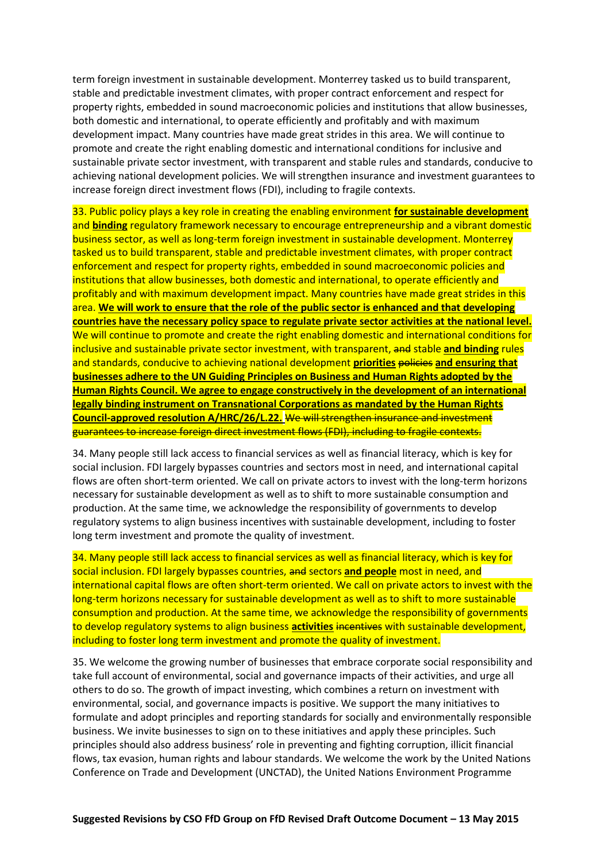term foreign investment in sustainable development. Monterrey tasked us to build transparent, stable and predictable investment climates, with proper contract enforcement and respect for property rights, embedded in sound macroeconomic policies and institutions that allow businesses, both domestic and international, to operate efficiently and profitably and with maximum development impact. Many countries have made great strides in this area. We will continue to promote and create the right enabling domestic and international conditions for inclusive and sustainable private sector investment, with transparent and stable rules and standards, conducive to achieving national development policies. We will strengthen insurance and investment guarantees to increase foreign direct investment flows (FDI), including to fragile contexts.

33. Public policy plays a key role in creating the enabling environment **for sustainable development** and **binding** regulatory framework necessary to encourage entrepreneurship and a vibrant domestic business sector, as well as long-term foreign investment in sustainable development. Monterrey tasked us to build transparent, stable and predictable investment climates, with proper contract enforcement and respect for property rights, embedded in sound macroeconomic policies and institutions that allow businesses, both domestic and international, to operate efficiently and profitably and with maximum development impact. Many countries have made great strides in this area. **We will work to ensure that the role of the public sector is enhanced and that developing countries have the necessary policy space to regulate private sector activities at the national level.** We will continue to promote and create the right enabling domestic and international conditions for inclusive and sustainable private sector investment, with transparent, and stable **and binding** rules and standards, conducive to achieving national development **priorities** policies **and ensuring that businesses adhere to the UN Guiding Principles on Business and Human Rights adopted by the Human Rights Council. We agree to engage constructively in the development of an international legally binding instrument on Transnational Corporations as mandated by the Human Rights Council-approved resolution A/HRC/26/L.22.** We will strengthen insurance and investment guarantees to increase foreign direct investment flows (FDI), including to fragile contexts.

34. Many people still lack access to financial services as well as financial literacy, which is key for social inclusion. FDI largely bypasses countries and sectors most in need, and international capital flows are often short-term oriented. We call on private actors to invest with the long-term horizons necessary for sustainable development as well as to shift to more sustainable consumption and production. At the same time, we acknowledge the responsibility of governments to develop regulatory systems to align business incentives with sustainable development, including to foster long term investment and promote the quality of investment.

34. Many people still lack access to financial services as well as financial literacy, which is key for social inclusion. FDI largely bypasses countries, and sectors **and people** most in need, and international capital flows are often short-term oriented. We call on private actors to invest with the long-term horizons necessary for sustainable development as well as to shift to more sustainable consumption and production. At the same time, we acknowledge the responsibility of governments to develop regulatory systems to align business **activities** incentives with sustainable development, including to foster long term investment and promote the quality of investment.

35. We welcome the growing number of businesses that embrace corporate social responsibility and take full account of environmental, social and governance impacts of their activities, and urge all others to do so. The growth of impact investing, which combines a return on investment with environmental, social, and governance impacts is positive. We support the many initiatives to formulate and adopt principles and reporting standards for socially and environmentally responsible business. We invite businesses to sign on to these initiatives and apply these principles. Such principles should also address business' role in preventing and fighting corruption, illicit financial flows, tax evasion, human rights and labour standards. We welcome the work by the United Nations Conference on Trade and Development (UNCTAD), the United Nations Environment Programme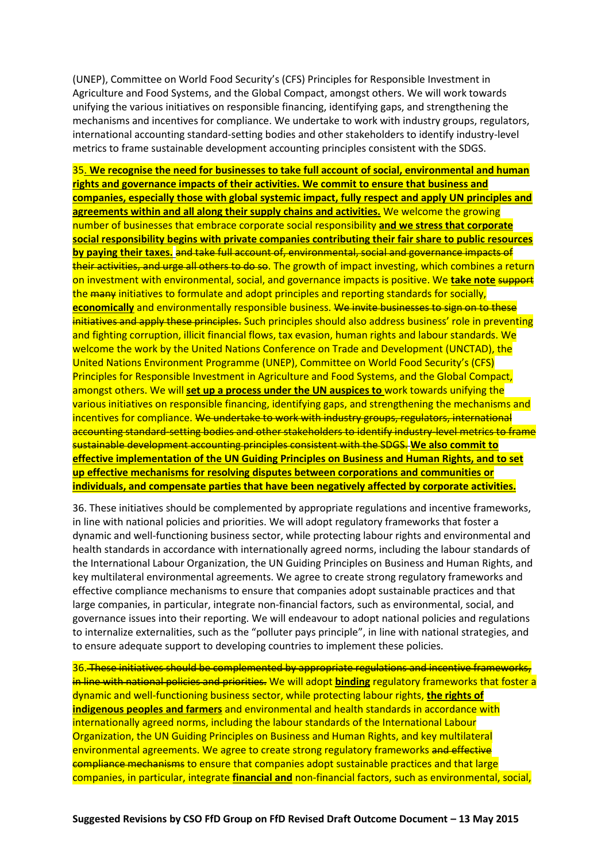(UNEP), Committee on World Food Security's (CFS) Principles for Responsible Investment in Agriculture and Food Systems, and the Global Compact, amongst others. We will work towards unifying the various initiatives on responsible financing, identifying gaps, and strengthening the mechanisms and incentives for compliance. We undertake to work with industry groups, regulators, international accounting standard-setting bodies and other stakeholders to identify industry-level metrics to frame sustainable development accounting principles consistent with the SDGS.

35. **We recognise the need for businesses to take full account of social, environmental and human rights and governance impacts of their activities. We commit to ensure that business and companies, especially those with global systemic impact, fully respect and apply UN principles and agreements within and all along their supply chains and activities.** We welcome the growing number of businesses that embrace corporate social responsibility **and we stress that corporate social responsibility begins with private companies contributing their fair share to public resources by paying their taxes.** and take full account of, environmental, social and governance impacts of their activities, and urge all others to do so. The growth of impact investing, which combines a return on investment with environmental, social, and governance impacts is positive. We **take note** support the many initiatives to formulate and adopt principles and reporting standards for socially, **economically** and environmentally responsible business. We invite businesses to sign on to these initiatives and apply these principles. Such principles should also address business' role in preventing and fighting corruption, illicit financial flows, tax evasion, human rights and labour standards. We welcome the work by the United Nations Conference on Trade and Development (UNCTAD), the United Nations Environment Programme (UNEP), Committee on World Food Security's (CFS) Principles for Responsible Investment in Agriculture and Food Systems, and the Global Compact, amongst others. We will **set up a process under the UN auspices to** work towards unifying the various initiatives on responsible financing, identifying gaps, and strengthening the mechanisms and incentives for compliance. We undertake to work with industry groups, regulators, international accounting standard-setting bodies and other stakeholders to identify industry-level metrics to frame sustainable development accounting principles consistent with the SDGS. **We also commit to effective implementation of the UN Guiding Principles on Business and Human Rights, and to set up effective mechanisms for resolving disputes between corporations and communities or individuals, and compensate parties that have been negatively affected by corporate activities.**

36. These initiatives should be complemented by appropriate regulations and incentive frameworks, in line with national policies and priorities. We will adopt regulatory frameworks that foster a dynamic and well-functioning business sector, while protecting labour rights and environmental and health standards in accordance with internationally agreed norms, including the labour standards of the International Labour Organization, the UN Guiding Principles on Business and Human Rights, and key multilateral environmental agreements. We agree to create strong regulatory frameworks and effective compliance mechanisms to ensure that companies adopt sustainable practices and that large companies, in particular, integrate non-financial factors, such as environmental, social, and governance issues into their reporting. We will endeavour to adopt national policies and regulations to internalize externalities, such as the "polluter pays principle", in line with national strategies, and to ensure adequate support to developing countries to implement these policies.

36. These initiatives should be complemented by appropriate regulations and incentive frameworks, in line with national policies and priorities. We will adopt **binding** regulatory frameworks that foster a dynamic and well-functioning business sector, while protecting labour rights, **the rights of indigenous peoples and farmers** and environmental and health standards in accordance with internationally agreed norms, including the labour standards of the International Labour Organization, the UN Guiding Principles on Business and Human Rights, and key multilateral environmental agreements. We agree to create strong regulatory frameworks and effective compliance mechanisms to ensure that companies adopt sustainable practices and that large companies, in particular, integrate **financial and** non-financial factors, such as environmental, social,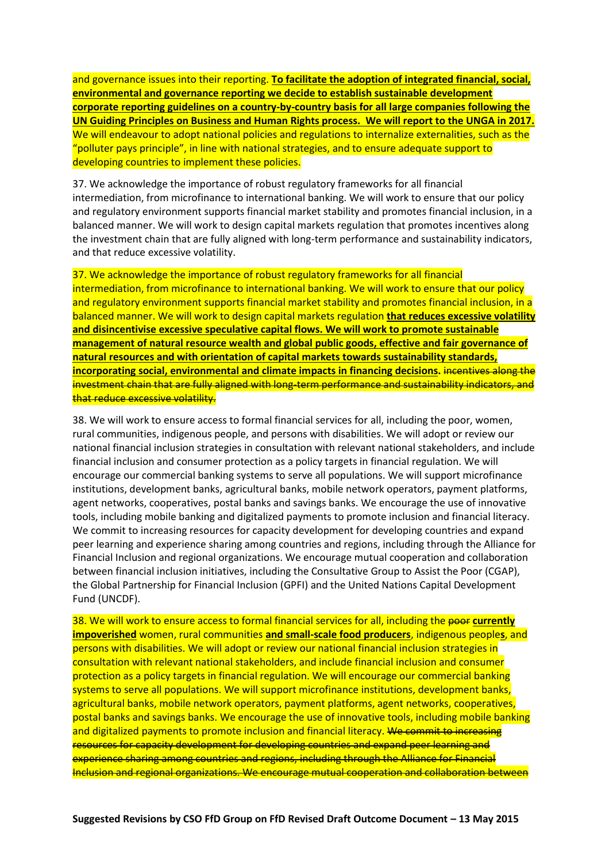and governance issues into their reporting. **To facilitate the adoption of integrated financial, social, environmental and governance reporting we decide to establish sustainable development corporate reporting guidelines on a country-by-country basis for all large companies following the UN Guiding Principles on Business and Human Rights process. We will report to the UNGA in 2017.**  We will endeavour to adopt national policies and regulations to internalize externalities, such as the "polluter pays principle", in line with national strategies, and to ensure adequate support to developing countries to implement these policies.

37. We acknowledge the importance of robust regulatory frameworks for all financial intermediation, from microfinance to international banking. We will work to ensure that our policy and regulatory environment supports financial market stability and promotes financial inclusion, in a balanced manner. We will work to design capital markets regulation that promotes incentives along the investment chain that are fully aligned with long-term performance and sustainability indicators, and that reduce excessive volatility.

37. We acknowledge the importance of robust regulatory frameworks for all financial intermediation, from microfinance to international banking. We will work to ensure that our policy and regulatory environment supports financial market stability and promotes financial inclusion, in a balanced manner. We will work to design capital markets regulation **that reduces excessive volatility and disincentivise excessive speculative capital flows. We will work to promote sustainable management of natural resource wealth and global public goods, effective and fair governance of natural resources and with orientation of capital markets towards sustainability standards, incorporating social, environmental and climate impacts in financing decisions.** incentives along the investment chain that are fully aligned with long-term performance and sustainability indicators, and that reduce excessive volatility.

38. We will work to ensure access to formal financial services for all, including the poor, women, rural communities, indigenous people, and persons with disabilities. We will adopt or review our national financial inclusion strategies in consultation with relevant national stakeholders, and include financial inclusion and consumer protection as a policy targets in financial regulation. We will encourage our commercial banking systems to serve all populations. We will support microfinance institutions, development banks, agricultural banks, mobile network operators, payment platforms, agent networks, cooperatives, postal banks and savings banks. We encourage the use of innovative tools, including mobile banking and digitalized payments to promote inclusion and financial literacy. We commit to increasing resources for capacity development for developing countries and expand peer learning and experience sharing among countries and regions, including through the Alliance for Financial Inclusion and regional organizations. We encourage mutual cooperation and collaboration between financial inclusion initiatives, including the Consultative Group to Assist the Poor (CGAP), the Global Partnership for Financial Inclusion (GPFI) and the United Nations Capital Development Fund (UNCDF).

38. We will work to ensure access to formal financial services for all, including the poor currently **impoverished** women, rural communities **and small-scale food producers**, indigenous people**s**, and persons with disabilities. We will adopt or review our national financial inclusion strategies in consultation with relevant national stakeholders, and include financial inclusion and consumer protection as a policy targets in financial regulation. We will encourage our commercial banking systems to serve all populations. We will support microfinance institutions, development banks, agricultural banks, mobile network operators, payment platforms, agent networks, cooperatives, postal banks and savings banks. We encourage the use of innovative tools, including mobile banking and digitalized payments to promote inclusion and financial literacy. We commit to increasing resources for capacity development for developing countries and expand peer learning and experience sharing among countries and regions, including through the Alliance for Financial Inclusion and regional organizations. We encourage mutual cooperation and collaboration between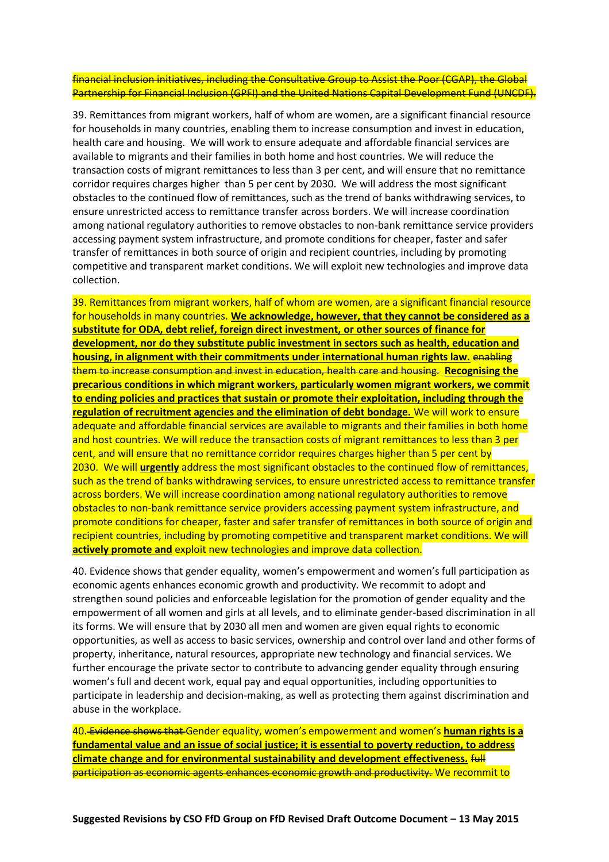financial inclusion initiatives, including the Consultative Group to Assist the Poor (CGAP), the Global Partnership for Financial Inclusion (GPFI) and the United Nations Capital Development Fund (UNCDF).

39. Remittances from migrant workers, half of whom are women, are a significant financial resource for households in many countries, enabling them to increase consumption and invest in education, health care and housing. We will work to ensure adequate and affordable financial services are available to migrants and their families in both home and host countries. We will reduce the transaction costs of migrant remittances to less than 3 per cent, and will ensure that no remittance corridor requires charges higher than 5 per cent by 2030. We will address the most significant obstacles to the continued flow of remittances, such as the trend of banks withdrawing services, to ensure unrestricted access to remittance transfer across borders. We will increase coordination among national regulatory authorities to remove obstacles to non-bank remittance service providers accessing payment system infrastructure, and promote conditions for cheaper, faster and safer transfer of remittances in both source of origin and recipient countries, including by promoting competitive and transparent market conditions. We will exploit new technologies and improve data collection.

39. Remittances from migrant workers, half of whom are women, are a significant financial resource for households in many countries. **We acknowledge, however, that they cannot be considered as a substitute for ODA, debt relief, foreign direct investment, or other sources of finance for development, nor do they substitute public investment in sectors such as health, education and housing, in alignment with their commitments under international human rights law.** enabling them to increase consumption and invest in education, health care and housing. **Recognising the precarious conditions in which migrant workers, particularly women migrant workers, we commit to ending policies and practices that sustain or promote their exploitation, including through the regulation of recruitment agencies and the elimination of debt bondage.** We will work to ensure adequate and affordable financial services are available to migrants and their families in both home and host countries. We will reduce the transaction costs of migrant remittances to less than 3 per cent, and will ensure that no remittance corridor requires charges higher than 5 per cent by 2030. We will **urgently** address the most significant obstacles to the continued flow of remittances, such as the trend of banks withdrawing services, to ensure unrestricted access to remittance transfer across borders. We will increase coordination among national regulatory authorities to remove obstacles to non-bank remittance service providers accessing payment system infrastructure, and promote conditions for cheaper, faster and safer transfer of remittances in both source of origin and recipient countries, including by promoting competitive and transparent market conditions. We will **actively promote and** exploit new technologies and improve data collection.

40. Evidence shows that gender equality, women's empowerment and women's full participation as economic agents enhances economic growth and productivity. We recommit to adopt and strengthen sound policies and enforceable legislation for the promotion of gender equality and the empowerment of all women and girls at all levels, and to eliminate gender-based discrimination in all its forms. We will ensure that by 2030 all men and women are given equal rights to economic opportunities, as well as access to basic services, ownership and control over land and other forms of property, inheritance, natural resources, appropriate new technology and financial services. We further encourage the private sector to contribute to advancing gender equality through ensuring women's full and decent work, equal pay and equal opportunities, including opportunities to participate in leadership and decision-making, as well as protecting them against discrimination and abuse in the workplace.

40. Evidence shows that Gender equality, women's empowerment and women's **human rights is a fundamental value and an issue of social justice; it is essential to poverty reduction, to address climate change and for environmental sustainability and development effectiveness.** full participation as economic agents enhances economic growth and productivity. We recommit to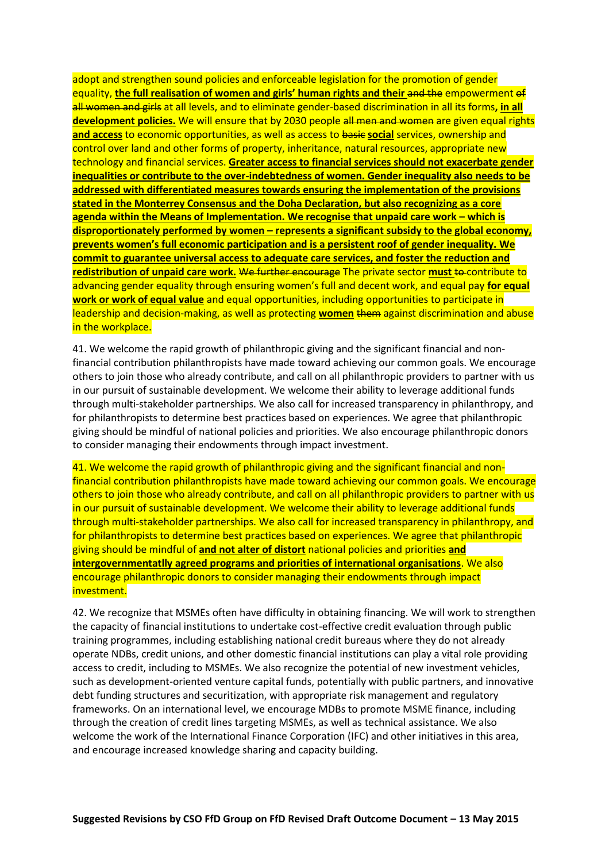adopt and strengthen sound policies and enforceable legislation for the promotion of gender equality, the full realisation of women and girls' human rights and their and the empowerment of all women and girls at all levels, and to eliminate gender-based discrimination in all its forms**, in all development policies.** We will ensure that by 2030 people all men and women are given equal rights **and access** to economic opportunities, as well as access to basic **social** services, ownership and control over land and other forms of property, inheritance, natural resources, appropriate new technology and financial services. **Greater access to financial services should not exacerbate gender inequalities or contribute to the over-indebtedness of women. Gender inequality also needs to be addressed with differentiated measures towards ensuring the implementation of the provisions stated in the Monterrey Consensus and the Doha Declaration, but also recognizing as a core agenda within the Means of Implementation. We recognise that unpaid care work – which is disproportionately performed by women – represents a significant subsidy to the global economy, prevents women's full economic participation and is a persistent roof of gender inequality. We commit to guarantee universal access to adequate care services, and foster the reduction and redistribution of unpaid care work.** We further encourage The private sector **must** to contribute to advancing gender equality through ensuring women's full and decent work, and equal pay for equal **work or work of equal value** and equal opportunities, including opportunities to participate in leadership and decision-making, as well as protecting **women** them against discrimination and abuse in the workplace.

41. We welcome the rapid growth of philanthropic giving and the significant financial and nonfinancial contribution philanthropists have made toward achieving our common goals. We encourage others to join those who already contribute, and call on all philanthropic providers to partner with us in our pursuit of sustainable development. We welcome their ability to leverage additional funds through multi-stakeholder partnerships. We also call for increased transparency in philanthropy, and for philanthropists to determine best practices based on experiences. We agree that philanthropic giving should be mindful of national policies and priorities. We also encourage philanthropic donors to consider managing their endowments through impact investment.

41. We welcome the rapid growth of philanthropic giving and the significant financial and nonfinancial contribution philanthropists have made toward achieving our common goals. We encourage others to join those who already contribute, and call on all philanthropic providers to partner with us in our pursuit of sustainable development. We welcome their ability to leverage additional funds through multi-stakeholder partnerships. We also call for increased transparency in philanthropy, and for philanthropists to determine best practices based on experiences. We agree that philanthropic giving should be mindful of **and not alter of distort** national policies and priorities **and intergovernmentatlly agreed programs and priorities of international organisations**. We also encourage philanthropic donors to consider managing their endowments through impact investment.

42. We recognize that MSMEs often have difficulty in obtaining financing. We will work to strengthen the capacity of financial institutions to undertake cost-effective credit evaluation through public training programmes, including establishing national credit bureaus where they do not already operate NDBs, credit unions, and other domestic financial institutions can play a vital role providing access to credit, including to MSMEs. We also recognize the potential of new investment vehicles, such as development-oriented venture capital funds, potentially with public partners, and innovative debt funding structures and securitization, with appropriate risk management and regulatory frameworks. On an international level, we encourage MDBs to promote MSME finance, including through the creation of credit lines targeting MSMEs, as well as technical assistance. We also welcome the work of the International Finance Corporation (IFC) and other initiatives in this area, and encourage increased knowledge sharing and capacity building.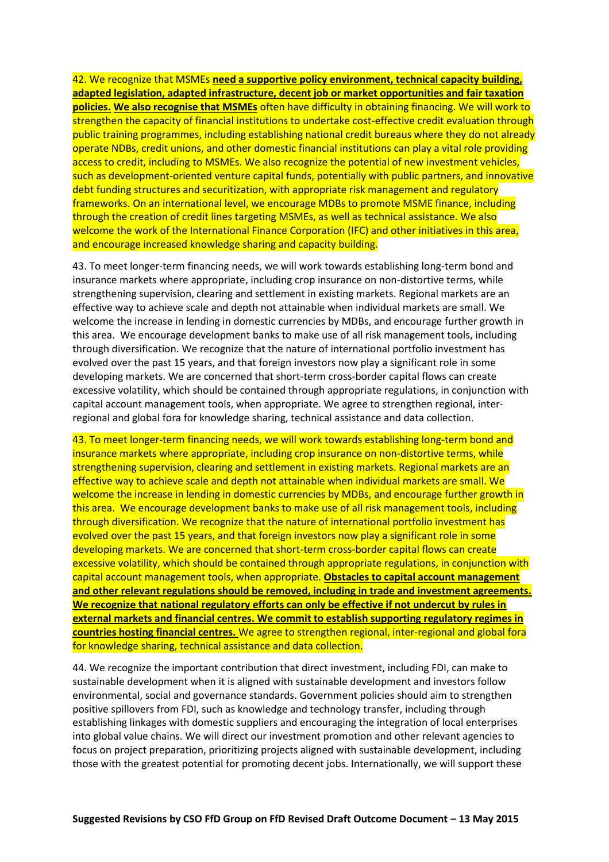42. We recognize that MSMEs **need a supportive policy environment, technical capacity building, adapted legislation, adapted infrastructure, decent job or market opportunities and fair taxation policies. We also recognise that MSMEs** often have difficulty in obtaining financing. We will work to strengthen the capacity of financial institutions to undertake cost-effective credit evaluation through public training programmes, including establishing national credit bureaus where they do not already operate NDBs, credit unions, and other domestic financial institutions can play a vital role providing access to credit, including to MSMEs. We also recognize the potential of new investment vehicles, such as development-oriented venture capital funds, potentially with public partners, and innovative debt funding structures and securitization, with appropriate risk management and regulatory frameworks. On an international level, we encourage MDBs to promote MSME finance, including through the creation of credit lines targeting MSMEs, as well as technical assistance. We also welcome the work of the International Finance Corporation (IFC) and other initiatives in this area, and encourage increased knowledge sharing and capacity building.

43. To meet longer-term financing needs, we will work towards establishing long-term bond and insurance markets where appropriate, including crop insurance on non-distortive terms, while strengthening supervision, clearing and settlement in existing markets. Regional markets are an effective way to achieve scale and depth not attainable when individual markets are small. We welcome the increase in lending in domestic currencies by MDBs, and encourage further growth in this area. We encourage development banks to make use of all risk management tools, including through diversification. We recognize that the nature of international portfolio investment has evolved over the past 15 years, and that foreign investors now play a significant role in some developing markets. We are concerned that short-term cross-border capital flows can create excessive volatility, which should be contained through appropriate regulations, in conjunction with capital account management tools, when appropriate. We agree to strengthen regional, interregional and global fora for knowledge sharing, technical assistance and data collection.

43. To meet longer-term financing needs, we will work towards establishing long-term bond and insurance markets where appropriate, including crop insurance on non-distortive terms, while strengthening supervision, clearing and settlement in existing markets. Regional markets are an effective way to achieve scale and depth not attainable when individual markets are small. We welcome the increase in lending in domestic currencies by MDBs, and encourage further growth in this area. We encourage development banks to make use of all risk management tools, including through diversification. We recognize that the nature of international portfolio investment has evolved over the past 15 years, and that foreign investors now play a significant role in some developing markets. We are concerned that short-term cross-border capital flows can create excessive volatility, which should be contained through appropriate regulations, in conjunction with capital account management tools, when appropriate. **Obstacles to capital account management and other relevant regulations should be removed, including in trade and investment agreements. We recognize that national regulatory efforts can only be effective if not undercut by rules in external markets and financial centres. We commit to establish supporting regulatory regimes in countries hosting financial centres.** We agree to strengthen regional, inter-regional and global fora for knowledge sharing, technical assistance and data collection.

44. We recognize the important contribution that direct investment, including FDI, can make to sustainable development when it is aligned with sustainable development and investors follow environmental, social and governance standards. Government policies should aim to strengthen positive spillovers from FDI, such as knowledge and technology transfer, including through establishing linkages with domestic suppliers and encouraging the integration of local enterprises into global value chains. We will direct our investment promotion and other relevant agencies to focus on project preparation, prioritizing projects aligned with sustainable development, including those with the greatest potential for promoting decent jobs. Internationally, we will support these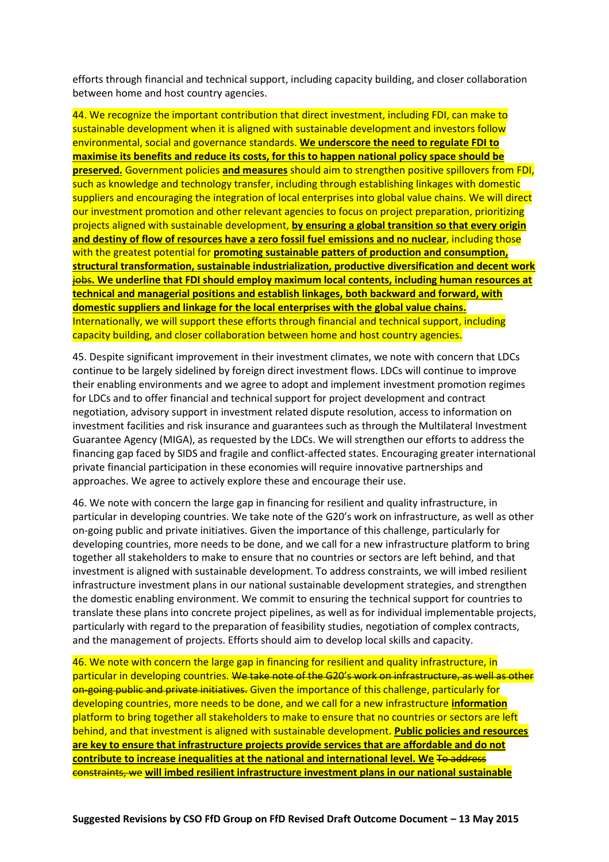efforts through financial and technical support, including capacity building, and closer collaboration between home and host country agencies.

44. We recognize the important contribution that direct investment, including FDI, can make to sustainable development when it is aligned with sustainable development and investors follow environmental, social and governance standards. **We underscore the need to regulate FDI to maximise its benefits and reduce its costs, for this to happen national policy space should be preserved.** Government policies **and measures** should aim to strengthen positive spillovers from FDI, such as knowledge and technology transfer, including through establishing linkages with domestic suppliers and encouraging the integration of local enterprises into global value chains. We will direct our investment promotion and other relevant agencies to focus on project preparation, prioritizing projects aligned with sustainable development, **by ensuring a global transition so that every origin and destiny of flow of resources have a zero fossil fuel emissions and no nuclear**, including those with the greatest potential for **promoting sustainable patters of production and consumption, structural transformation, sustainable industrialization, productive diversification and decent work** jobs**. We underline that FDI should employ maximum local contents, including human resources at technical and managerial positions and establish linkages, both backward and forward, with domestic suppliers and linkage for the local enterprises with the global value chains.** Internationally, we will support these efforts through financial and technical support, including capacity building, and closer collaboration between home and host country agencies.

45. Despite significant improvement in their investment climates, we note with concern that LDCs continue to be largely sidelined by foreign direct investment flows. LDCs will continue to improve their enabling environments and we agree to adopt and implement investment promotion regimes for LDCs and to offer financial and technical support for project development and contract negotiation, advisory support in investment related dispute resolution, access to information on investment facilities and risk insurance and guarantees such as through the Multilateral Investment Guarantee Agency (MIGA), as requested by the LDCs. We will strengthen our efforts to address the financing gap faced by SIDS and fragile and conflict-affected states. Encouraging greater international private financial participation in these economies will require innovative partnerships and approaches. We agree to actively explore these and encourage their use.

46. We note with concern the large gap in financing for resilient and quality infrastructure, in particular in developing countries. We take note of the G20's work on infrastructure, as well as other on-going public and private initiatives. Given the importance of this challenge, particularly for developing countries, more needs to be done, and we call for a new infrastructure platform to bring together all stakeholders to make to ensure that no countries or sectors are left behind, and that investment is aligned with sustainable development. To address constraints, we will imbed resilient infrastructure investment plans in our national sustainable development strategies, and strengthen the domestic enabling environment. We commit to ensuring the technical support for countries to translate these plans into concrete project pipelines, as well as for individual implementable projects, particularly with regard to the preparation of feasibility studies, negotiation of complex contracts, and the management of projects. Efforts should aim to develop local skills and capacity.

46. We note with concern the large gap in financing for resilient and quality infrastructure, in particular in developing countries. We take note of the G20's work on infrastructure, as well as other on-going public and private initiatives. Given the importance of this challenge, particularly for developing countries, more needs to be done, and we call for a new infrastructure **information** platform to bring together all stakeholders to make to ensure that no countries or sectors are left behind, and that investment is aligned with sustainable development. **Public policies and resources are key to ensure that infrastructure projects provide services that are affordable and do not contribute to increase inequalities at the national and international level. We** To address constraints, we **will imbed resilient infrastructure investment plans in our national sustainable**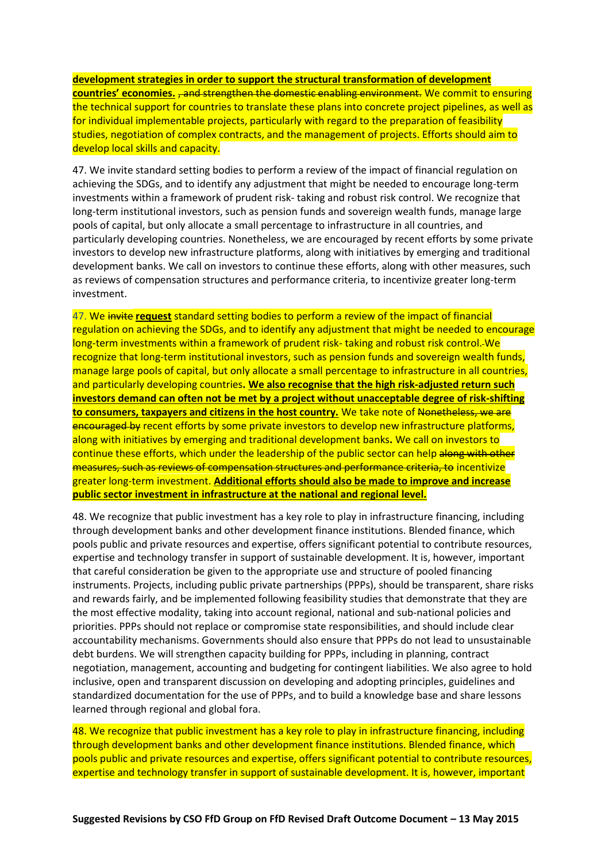**development strategies in order to support the structural transformation of development countries' economies.** <del>, and strengthen the domestic enabling environment.</del> We commit to ensuring the technical support for countries to translate these plans into concrete project pipelines, as well as for individual implementable projects, particularly with regard to the preparation of feasibility studies, negotiation of complex contracts, and the management of projects. Efforts should aim to develop local skills and capacity.

47. We invite standard setting bodies to perform a review of the impact of financial regulation on achieving the SDGs, and to identify any adjustment that might be needed to encourage long-term investments within a framework of prudent risk- taking and robust risk control. We recognize that long-term institutional investors, such as pension funds and sovereign wealth funds, manage large pools of capital, but only allocate a small percentage to infrastructure in all countries, and particularly developing countries. Nonetheless, we are encouraged by recent efforts by some private investors to develop new infrastructure platforms, along with initiatives by emerging and traditional development banks. We call on investors to continue these efforts, along with other measures, such as reviews of compensation structures and performance criteria, to incentivize greater long-term investment.

47. We invite **request** standard setting bodies to perform a review of the impact of financial regulation on achieving the SDGs, and to identify any adjustment that might be needed to encourage long-term investments within a framework of prudent risk- taking and robust risk control. We recognize that long-term institutional investors, such as pension funds and sovereign wealth funds, manage large pools of capital, but only allocate a small percentage to infrastructure in all countries, and particularly developing countries**. We also recognise that the high risk-adjusted return such investors demand can often not be met by a project without unacceptable degree of risk-shifting to consumers, taxpayers and citizens in the host country.** We take note of Nonetheless, we are encouraged by recent efforts by some private investors to develop new infrastructure platforms, along with initiatives by emerging and traditional development banks**.** We call on investors to continue these efforts, which under the leadership of the public sector can help along with other measures, such as reviews of compensation structures and performance criteria, to incentivize greater long-term investment. **Additional efforts should also be made to improve and increase public sector investment in infrastructure at the national and regional level.**

48. We recognize that public investment has a key role to play in infrastructure financing, including through development banks and other development finance institutions. Blended finance, which pools public and private resources and expertise, offers significant potential to contribute resources, expertise and technology transfer in support of sustainable development. It is, however, important that careful consideration be given to the appropriate use and structure of pooled financing instruments. Projects, including public private partnerships (PPPs), should be transparent, share risks and rewards fairly, and be implemented following feasibility studies that demonstrate that they are the most effective modality, taking into account regional, national and sub-national policies and priorities. PPPs should not replace or compromise state responsibilities, and should include clear accountability mechanisms. Governments should also ensure that PPPs do not lead to unsustainable debt burdens. We will strengthen capacity building for PPPs, including in planning, contract negotiation, management, accounting and budgeting for contingent liabilities. We also agree to hold inclusive, open and transparent discussion on developing and adopting principles, guidelines and standardized documentation for the use of PPPs, and to build a knowledge base and share lessons learned through regional and global fora.

48. We recognize that public investment has a key role to play in infrastructure financing, including through development banks and other development finance institutions. Blended finance, which pools public and private resources and expertise, offers significant potential to contribute resources, expertise and technology transfer in support of sustainable development. It is, however, important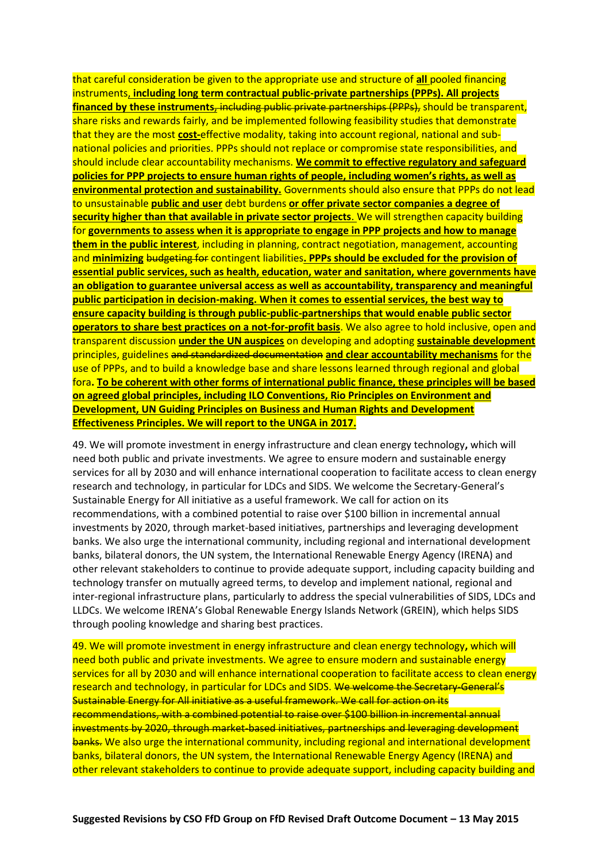that careful consideration be given to the appropriate use and structure of **all** pooled financing instruments, **including long term contractual public-private partnerships (PPPs). All projects financed by these instruments**, including public private partnerships (PPPs), should be transparent, share risks and rewards fairly, and be implemented following feasibility studies that demonstrate that they are the most **cost-**effective modality, taking into account regional, national and subnational policies and priorities. PPPs should not replace or compromise state responsibilities, and should include clear accountability mechanisms. **We commit to effective regulatory and safeguard policies for PPP projects to ensure human rights of people, including women's rights, as well as environmental protection and sustainability.** Governments should also ensure that PPPs do not lead to unsustainable **public and user** debt burdens **or offer private sector companies a degree of security higher than that available in private sector projects**. We will strengthen capacity building for **governments to assess when it is appropriate to engage in PPP projects and how to manage them in the public interest**, including in planning, contract negotiation, management, accounting and **minimizing** budgeting for contingent liabilities**. PPPs should be excluded for the provision of essential public services, such as health, education, water and sanitation, where governments have an obligation to guarantee universal access as well as accountability, transparency and meaningful public participation in decision-making. When it comes to essential services, the best way to ensure capacity building is through public-public-partnerships that would enable public sector operators to share best practices on a not-for-profit basis**. We also agree to hold inclusive, open and transparent discussion **under the UN auspices** on developing and adopting **sustainable development** principles, guidelines and standardized documentation **and clear accountability mechanisms** for the use of PPPs, and to build a knowledge base and share lessons learned through regional and global fora**. To be coherent with other forms of international public finance, these principles will be based on agreed global principles, including ILO Conventions, Rio Principles on Environment and Development, UN Guiding Principles on Business and Human Rights and Development Effectiveness Principles. We will report to the UNGA in 2017.**

49. We will promote investment in energy infrastructure and clean energy technology**,** which will need both public and private investments. We agree to ensure modern and sustainable energy services for all by 2030 and will enhance international cooperation to facilitate access to clean energy research and technology, in particular for LDCs and SIDS. We welcome the Secretary-General's Sustainable Energy for All initiative as a useful framework. We call for action on its recommendations, with a combined potential to raise over \$100 billion in incremental annual investments by 2020, through market-based initiatives, partnerships and leveraging development banks. We also urge the international community, including regional and international development banks, bilateral donors, the UN system, the International Renewable Energy Agency (IRENA) and other relevant stakeholders to continue to provide adequate support, including capacity building and technology transfer on mutually agreed terms, to develop and implement national, regional and inter-regional infrastructure plans, particularly to address the special vulnerabilities of SIDS, LDCs and LLDCs. We welcome IRENA's Global Renewable Energy Islands Network (GREIN), which helps SIDS through pooling knowledge and sharing best practices.

49. We will promote investment in energy infrastructure and clean energy technology**,** which will need both public and private investments. We agree to ensure modern and sustainable energy services for all by 2030 and will enhance international cooperation to facilitate access to clean energy research and technology, in particular for LDCs and SIDS. We welcome the Secretary General's Sustainable Energy for All initiative as a useful framework. We call for action on its recommendations, with a combined potential to raise over \$100 billion in incremental annual investments by 2020, through market-based initiatives, partnerships and leveraging development banks. We also urge the international community, including regional and international development banks, bilateral donors, the UN system, the International Renewable Energy Agency (IRENA) and other relevant stakeholders to continue to provide adequate support, including capacity building and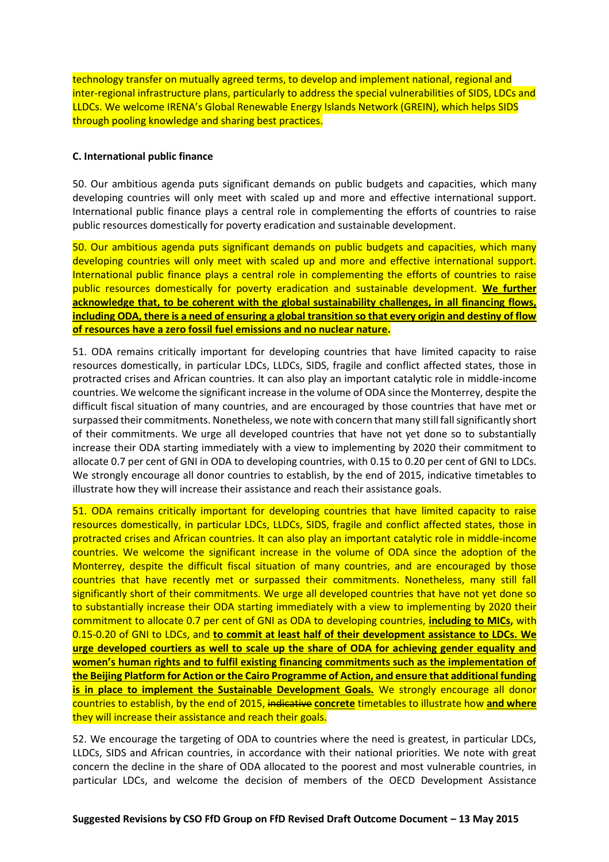technology transfer on mutually agreed terms, to develop and implement national, regional and inter-regional infrastructure plans, particularly to address the special vulnerabilities of SIDS, LDCs and LLDCs. We welcome IRENA's Global Renewable Energy Islands Network (GREIN), which helps SIDS through pooling knowledge and sharing best practices.

## **C. International public finance**

50. Our ambitious agenda puts significant demands on public budgets and capacities, which many developing countries will only meet with scaled up and more and effective international support. International public finance plays a central role in complementing the efforts of countries to raise public resources domestically for poverty eradication and sustainable development.

50. Our ambitious agenda puts significant demands on public budgets and capacities, which many developing countries will only meet with scaled up and more and effective international support. International public finance plays a central role in complementing the efforts of countries to raise public resources domestically for poverty eradication and sustainable development. **We further acknowledge that, to be coherent with the global sustainability challenges, in all financing flows, including ODA, there is a need of ensuring a global transition so that every origin and destiny of flow of resources have a zero fossil fuel emissions and no nuclear nature.**

51. ODA remains critically important for developing countries that have limited capacity to raise resources domestically, in particular LDCs, LLDCs, SIDS, fragile and conflict affected states, those in protracted crises and African countries. It can also play an important catalytic role in middle-income countries. We welcome the significant increase in the volume of ODA since the Monterrey, despite the difficult fiscal situation of many countries, and are encouraged by those countries that have met or surpassed their commitments. Nonetheless, we note with concern that many still fall significantly short of their commitments. We urge all developed countries that have not yet done so to substantially increase their ODA starting immediately with a view to implementing by 2020 their commitment to allocate 0.7 per cent of GNI in ODA to developing countries, with 0.15 to 0.20 per cent of GNI to LDCs. We strongly encourage all donor countries to establish, by the end of 2015, indicative timetables to illustrate how they will increase their assistance and reach their assistance goals.

51. ODA remains critically important for developing countries that have limited capacity to raise resources domestically, in particular LDCs, LLDCs, SIDS, fragile and conflict affected states, those in protracted crises and African countries. It can also play an important catalytic role in middle-income countries. We welcome the significant increase in the volume of ODA since the adoption of the Monterrey, despite the difficult fiscal situation of many countries, and are encouraged by those countries that have recently met or surpassed their commitments. Nonetheless, many still fall significantly short of their commitments. We urge all developed countries that have not yet done so to substantially increase their ODA starting immediately with a view to implementing by 2020 their commitment to allocate 0.7 per cent of GNI as ODA to developing countries, **including to MICs,** with 0.15-0.20 of GNI to LDCs, and **to commit at least half of their development assistance to LDCs. We urge developed courtiers as well to scale up the share of ODA for achieving gender equality and women's human rights and to fulfil existing financing commitments such as the implementation of the Beijing Platform for Action or the Cairo Programme of Action, and ensure that additional funding is in place to implement the Sustainable Development Goals.** We strongly encourage all donor countries to establish, by the end of 2015, indicative **concrete** timetables to illustrate how **and where** they will increase their assistance and reach their goals.

52. We encourage the targeting of ODA to countries where the need is greatest, in particular LDCs, LLDCs, SIDS and African countries, in accordance with their national priorities. We note with great concern the decline in the share of ODA allocated to the poorest and most vulnerable countries, in particular LDCs, and welcome the decision of members of the OECD Development Assistance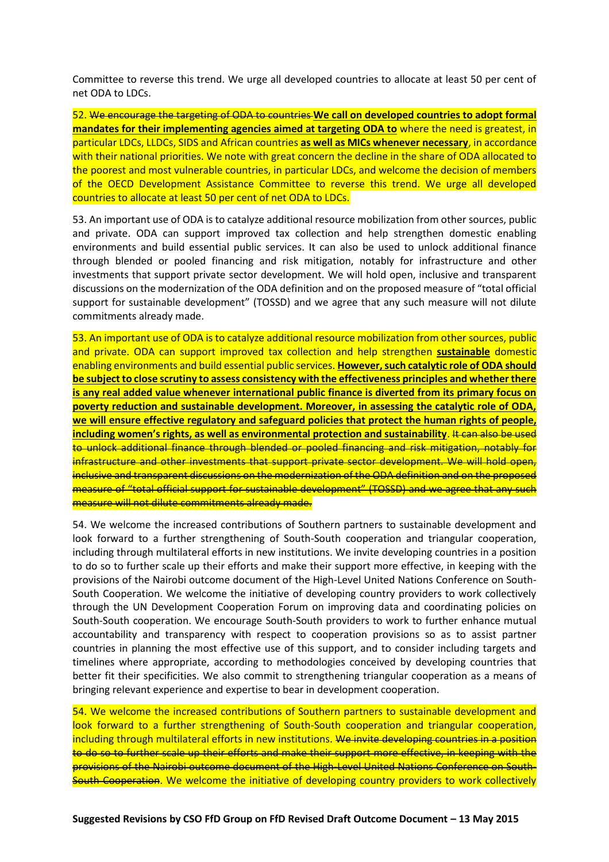Committee to reverse this trend. We urge all developed countries to allocate at least 50 per cent of net ODA to LDCs.

52. We encourage the targeting of ODA to countries **We call on developed countries to adopt formal mandates for their implementing agencies aimed at targeting ODA to** where the need is greatest, in particular LDCs, LLDCs, SIDS and African countries **as well as MICs whenever necessary**, in accordance with their national priorities. We note with great concern the decline in the share of ODA allocated to the poorest and most vulnerable countries, in particular LDCs, and welcome the decision of members of the OECD Development Assistance Committee to reverse this trend. We urge all developed countries to allocate at least 50 per cent of net ODA to LDCs.

53. An important use of ODA is to catalyze additional resource mobilization from other sources, public and private. ODA can support improved tax collection and help strengthen domestic enabling environments and build essential public services. It can also be used to unlock additional finance through blended or pooled financing and risk mitigation, notably for infrastructure and other investments that support private sector development. We will hold open, inclusive and transparent discussions on the modernization of the ODA definition and on the proposed measure of "total official support for sustainable development" (TOSSD) and we agree that any such measure will not dilute commitments already made.

53. An important use of ODA is to catalyze additional resource mobilization from other sources, public and private. ODA can support improved tax collection and help strengthen **sustainable** domestic enabling environments and build essential public services. **However,such catalytic role of ODA should be subject to close scrutiny to assess consistency with the effectiveness principles and whether there is any real added value whenever international public finance is diverted from its primary focus on poverty reduction and sustainable development. Moreover, in assessing the catalytic role of ODA, we will ensure effective regulatory and safeguard policies that protect the human rights of people, including women's rights, as well as environmental protection and sustainability. It can also be used** to unlock additional finance through blended or pooled financing and risk mitigation, notably for infrastructure and other investments that support private sector development. We will hold open, inclusive and transparent discussions on the modernization of the ODA definition and on the proposed measure of "total official support for sustainable development" (TOSSD) and we agree that any such measure will not dilute commitments already made.

54. We welcome the increased contributions of Southern partners to sustainable development and look forward to a further strengthening of South-South cooperation and triangular cooperation, including through multilateral efforts in new institutions. We invite developing countries in a position to do so to further scale up their efforts and make their support more effective, in keeping with the provisions of the Nairobi outcome document of the High-Level United Nations Conference on South-South Cooperation. We welcome the initiative of developing country providers to work collectively through the UN Development Cooperation Forum on improving data and coordinating policies on South-South cooperation. We encourage South-South providers to work to further enhance mutual accountability and transparency with respect to cooperation provisions so as to assist partner countries in planning the most effective use of this support, and to consider including targets and timelines where appropriate, according to methodologies conceived by developing countries that better fit their specificities. We also commit to strengthening triangular cooperation as a means of bringing relevant experience and expertise to bear in development cooperation.

54. We welcome the increased contributions of Southern partners to sustainable development and look forward to a further strengthening of South-South cooperation and triangular cooperation, including through multilateral efforts in new institutions. We invite developing countries in a position to do so to further scale up their efforts and make their support more effective, in keeping with the provisions of the Nairobi outcome document of the High-Level United Nations Conference on South-South Cooperation. We welcome the initiative of developing country providers to work collectively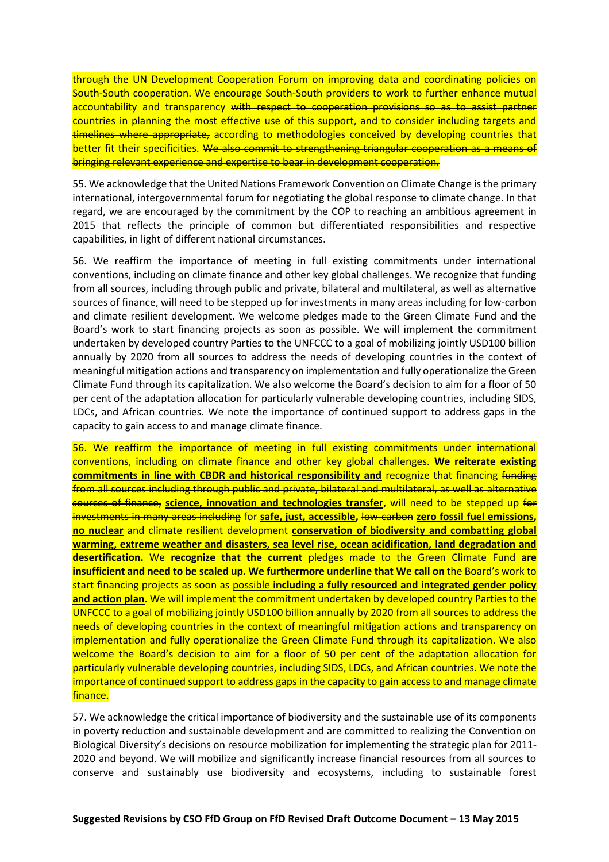through the UN Development Cooperation Forum on improving data and coordinating policies on South-South cooperation. We encourage South-South providers to work to further enhance mutual accountability and transparency with respect to cooperation provisions so as to assist partner countries in planning the most effective use of this support, and to consider including targets and timelines where appropriate, according to methodologies conceived by developing countries that better fit their specificities. We also commit to strengthening triangular cooperation as a means of bringing relevant experience and expertise to bear in development cooperation.

55. We acknowledge that the United Nations Framework Convention on Climate Change is the primary international, intergovernmental forum for negotiating the global response to climate change. In that regard, we are encouraged by the commitment by the COP to reaching an ambitious agreement in 2015 that reflects the principle of common but differentiated responsibilities and respective capabilities, in light of different national circumstances.

56. We reaffirm the importance of meeting in full existing commitments under international conventions, including on climate finance and other key global challenges. We recognize that funding from all sources, including through public and private, bilateral and multilateral, as well as alternative sources of finance, will need to be stepped up for investments in many areas including for low-carbon and climate resilient development. We welcome pledges made to the Green Climate Fund and the Board's work to start financing projects as soon as possible. We will implement the commitment undertaken by developed country Parties to the UNFCCC to a goal of mobilizing jointly USD100 billion annually by 2020 from all sources to address the needs of developing countries in the context of meaningful mitigation actions and transparency on implementation and fully operationalize the Green Climate Fund through its capitalization. We also welcome the Board's decision to aim for a floor of 50 per cent of the adaptation allocation for particularly vulnerable developing countries, including SIDS, LDCs, and African countries. We note the importance of continued support to address gaps in the capacity to gain access to and manage climate finance.

56. We reaffirm the importance of meeting in full existing commitments under international conventions, including on climate finance and other key global challenges. **We reiterate existing commitments in line with CBDR and historical responsibility and** recognize that financing funding from all sources including through public and private, bilateral and multilateral, as well as alternative sources of finance, **science, innovation and technologies transfer**, will need to be stepped up for investments in many areas including for **safe, just, accessible,** low-carbon **zero fossil fuel emissions, no nuclear** and climate resilient development **conservation of biodiversity and combatting global warming, extreme weather and disasters, sea level rise, ocean acidification, land degradation and desertification.** We **recognize that the current** pledges made to the Green Climate Fund **are insufficient and need to be scaled up. We furthermore underline that We call on** the Board's work to start financing projects as soon as possible **including a fully resourced and integrated gender policy and action plan**. We will implement the commitment undertaken by developed country Parties to the UNFCCC to a goal of mobilizing jointly USD100 billion annually by 2020 from all sources to address the needs of developing countries in the context of meaningful mitigation actions and transparency on implementation and fully operationalize the Green Climate Fund through its capitalization. We also welcome the Board's decision to aim for a floor of 50 per cent of the adaptation allocation for particularly vulnerable developing countries, including SIDS, LDCs, and African countries. We note the importance of continued support to address gaps in the capacity to gain access to and manage climate finance.

57. We acknowledge the critical importance of biodiversity and the sustainable use of its components in poverty reduction and sustainable development and are committed to realizing the Convention on Biological Diversity's decisions on resource mobilization for implementing the strategic plan for 2011- 2020 and beyond. We will mobilize and significantly increase financial resources from all sources to conserve and sustainably use biodiversity and ecosystems, including to sustainable forest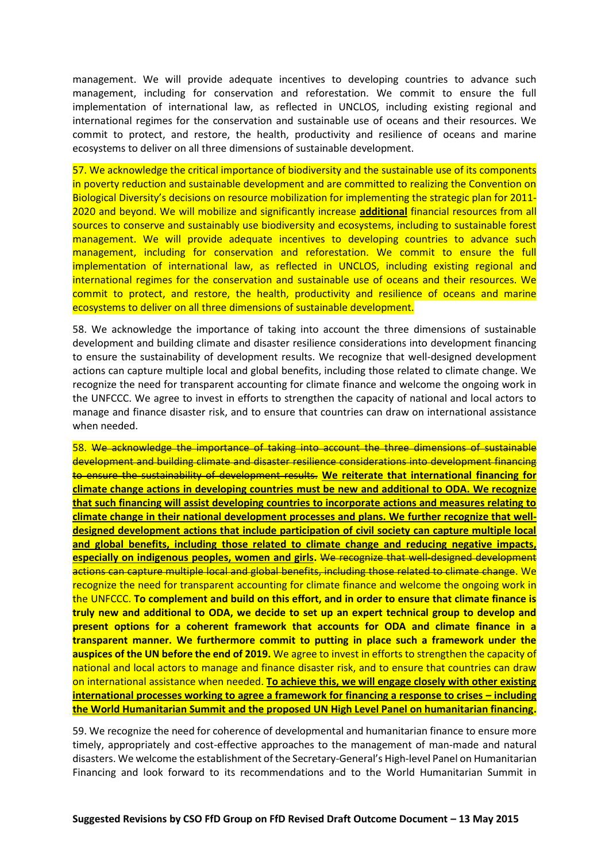management. We will provide adequate incentives to developing countries to advance such management, including for conservation and reforestation. We commit to ensure the full implementation of international law, as reflected in UNCLOS, including existing regional and international regimes for the conservation and sustainable use of oceans and their resources. We commit to protect, and restore, the health, productivity and resilience of oceans and marine ecosystems to deliver on all three dimensions of sustainable development.

57. We acknowledge the critical importance of biodiversity and the sustainable use of its components in poverty reduction and sustainable development and are committed to realizing the Convention on Biological Diversity's decisions on resource mobilization for implementing the strategic plan for 2011- 2020 and beyond. We will mobilize and significantly increase **additional** financial resources from all sources to conserve and sustainably use biodiversity and ecosystems, including to sustainable forest management. We will provide adequate incentives to developing countries to advance such management, including for conservation and reforestation. We commit to ensure the full implementation of international law, as reflected in UNCLOS, including existing regional and international regimes for the conservation and sustainable use of oceans and their resources. We commit to protect, and restore, the health, productivity and resilience of oceans and marine ecosystems to deliver on all three dimensions of sustainable development.

58. We acknowledge the importance of taking into account the three dimensions of sustainable development and building climate and disaster resilience considerations into development financing to ensure the sustainability of development results. We recognize that well-designed development actions can capture multiple local and global benefits, including those related to climate change. We recognize the need for transparent accounting for climate finance and welcome the ongoing work in the UNFCCC. We agree to invest in efforts to strengthen the capacity of national and local actors to manage and finance disaster risk, and to ensure that countries can draw on international assistance when needed.

58. We acknowledge the importance of taking into account the three dimensions of sustainable development and building climate and disaster resilience considerations into development financing to ensure the sustainability of development results. **We reiterate that international financing for climate change actions in developing countries must be new and additional to ODA. We recognize that such financing will assist developing countries to incorporate actions and measures relating to climate change in their national development processes and plans. We further recognize that welldesigned development actions that include participation of civil society can capture multiple local and global benefits, including those related to climate change and reducing negative impacts, especially on indigenous peoples, women and girls.** We recognize that well-designed development actions can capture multiple local and global benefits, including those related to climate change. We recognize the need for transparent accounting for climate finance and welcome the ongoing work in the UNFCCC. **To complement and build on this effort, and in order to ensure that climate finance is truly new and additional to ODA, we decide to set up an expert technical group to develop and present options for a coherent framework that accounts for ODA and climate finance in a transparent manner. We furthermore commit to putting in place such a framework under the auspices of the UN before the end of 2019.** We agree to invest in efforts to strengthen the capacity of national and local actors to manage and finance disaster risk, and to ensure that countries can draw on international assistance when needed. **To achieve this, we will engage closely with other existing international processes working to agree a framework for financing a response to crises – including the World Humanitarian Summit and the proposed UN High Level Panel on humanitarian financing.**

59. We recognize the need for coherence of developmental and humanitarian finance to ensure more timely, appropriately and cost-effective approaches to the management of man-made and natural disasters. We welcome the establishment of the Secretary-General's High-level Panel on Humanitarian Financing and look forward to its recommendations and to the World Humanitarian Summit in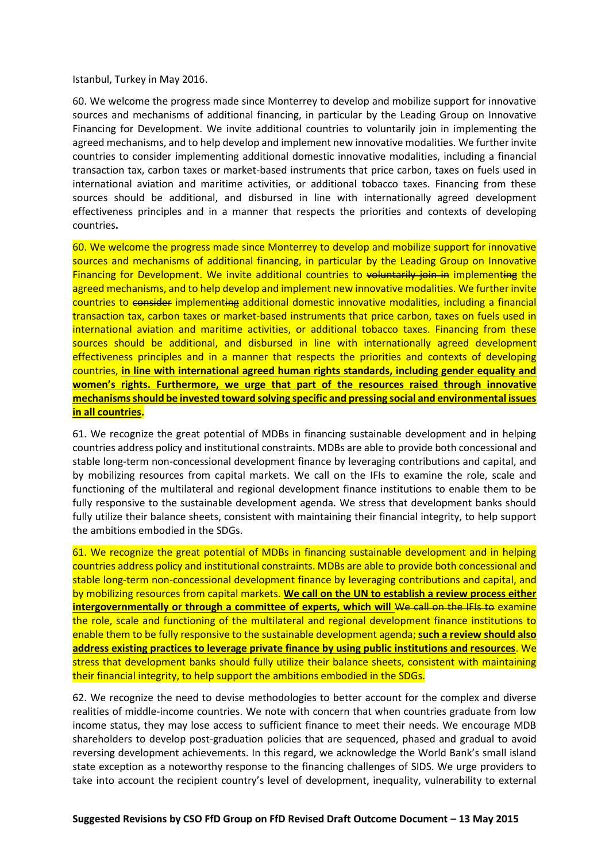Istanbul, Turkey in May 2016.

60. We welcome the progress made since Monterrey to develop and mobilize support for innovative sources and mechanisms of additional financing, in particular by the Leading Group on Innovative Financing for Development. We invite additional countries to voluntarily join in implementing the agreed mechanisms, and to help develop and implement new innovative modalities. We further invite countries to consider implementing additional domestic innovative modalities, including a financial transaction tax, carbon taxes or market-based instruments that price carbon, taxes on fuels used in international aviation and maritime activities, or additional tobacco taxes. Financing from these sources should be additional, and disbursed in line with internationally agreed development effectiveness principles and in a manner that respects the priorities and contexts of developing countries**.**

60. We welcome the progress made since Monterrey to develop and mobilize support for innovative sources and mechanisms of additional financing, in particular by the Leading Group on Innovative Financing for Development. We invite additional countries to voluntarily join in implementing the agreed mechanisms, and to help develop and implement new innovative modalities. We further invite countries to consider implementing additional domestic innovative modalities, including a financial transaction tax, carbon taxes or market-based instruments that price carbon, taxes on fuels used in international aviation and maritime activities, or additional tobacco taxes. Financing from these sources should be additional, and disbursed in line with internationally agreed development effectiveness principles and in a manner that respects the priorities and contexts of developing countries, **in line with international agreed human rights standards, including gender equality and women's rights. Furthermore, we urge that part of the resources raised through innovative mechanisms should be invested toward solving specific and pressing social and environmental issues in all countries.**

61. We recognize the great potential of MDBs in financing sustainable development and in helping countries address policy and institutional constraints. MDBs are able to provide both concessional and stable long-term non-concessional development finance by leveraging contributions and capital, and by mobilizing resources from capital markets. We call on the IFIs to examine the role, scale and functioning of the multilateral and regional development finance institutions to enable them to be fully responsive to the sustainable development agenda. We stress that development banks should fully utilize their balance sheets, consistent with maintaining their financial integrity, to help support the ambitions embodied in the SDGs.

61. We recognize the great potential of MDBs in financing sustainable development and in helping countries address policy and institutional constraints. MDBs are able to provide both concessional and stable long-term non-concessional development finance by leveraging contributions and capital, and by mobilizing resources from capital markets. **We call on the UN to establish a review process either intergovernmentally or through a committee of experts, which will We call on the IFIs to examine** the role, scale and functioning of the multilateral and regional development finance institutions to enable them to be fully responsive to the sustainable development agenda; **such a review should also address existing practices to leverage private finance by using public institutions and resources**. We stress that development banks should fully utilize their balance sheets, consistent with maintaining their financial integrity, to help support the ambitions embodied in the SDGs.

62. We recognize the need to devise methodologies to better account for the complex and diverse realities of middle-income countries. We note with concern that when countries graduate from low income status, they may lose access to sufficient finance to meet their needs. We encourage MDB shareholders to develop post-graduation policies that are sequenced, phased and gradual to avoid reversing development achievements. In this regard, we acknowledge the World Bank's small island state exception as a noteworthy response to the financing challenges of SIDS. We urge providers to take into account the recipient country's level of development, inequality, vulnerability to external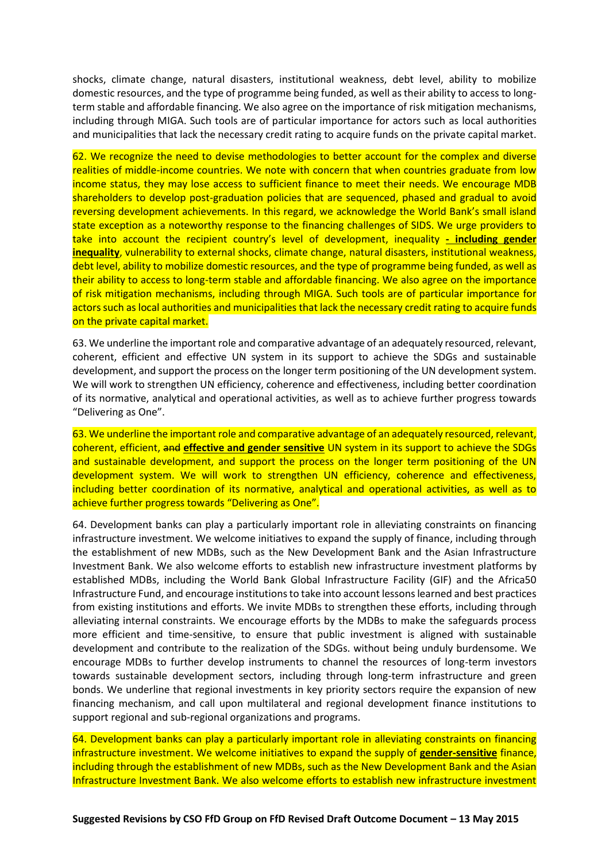shocks, climate change, natural disasters, institutional weakness, debt level, ability to mobilize domestic resources, and the type of programme being funded, as well as their ability to access to longterm stable and affordable financing. We also agree on the importance of risk mitigation mechanisms, including through MIGA. Such tools are of particular importance for actors such as local authorities and municipalities that lack the necessary credit rating to acquire funds on the private capital market.

62. We recognize the need to devise methodologies to better account for the complex and diverse realities of middle-income countries. We note with concern that when countries graduate from low income status, they may lose access to sufficient finance to meet their needs. We encourage MDB shareholders to develop post-graduation policies that are sequenced, phased and gradual to avoid reversing development achievements. In this regard, we acknowledge the World Bank's small island state exception as a noteworthy response to the financing challenges of SIDS. We urge providers to take into account the recipient country's level of development, inequality **- including gender inequality**, vulnerability to external shocks, climate change, natural disasters, institutional weakness, debt level, ability to mobilize domestic resources, and the type of programme being funded, as well as their ability to access to long-term stable and affordable financing. We also agree on the importance of risk mitigation mechanisms, including through MIGA. Such tools are of particular importance for actors such as local authorities and municipalities that lack the necessary credit rating to acquire funds on the private capital market.

63. We underline the important role and comparative advantage of an adequately resourced, relevant, coherent, efficient and effective UN system in its support to achieve the SDGs and sustainable development, and support the process on the longer term positioning of the UN development system. We will work to strengthen UN efficiency, coherence and effectiveness, including better coordination of its normative, analytical and operational activities, as well as to achieve further progress towards "Delivering as One".

63. We underline the important role and comparative advantage of an adequately resourced, relevant, coherent, efficient, and **effective and gender sensitive** UN system in its support to achieve the SDGs and sustainable development, and support the process on the longer term positioning of the UN development system. We will work to strengthen UN efficiency, coherence and effectiveness, including better coordination of its normative, analytical and operational activities, as well as to achieve further progress towards "Delivering as One".

64. Development banks can play a particularly important role in alleviating constraints on financing infrastructure investment. We welcome initiatives to expand the supply of finance, including through the establishment of new MDBs, such as the New Development Bank and the Asian Infrastructure Investment Bank. We also welcome efforts to establish new infrastructure investment platforms by established MDBs, including the World Bank Global Infrastructure Facility (GIF) and the Africa50 Infrastructure Fund, and encourage institutions to take into account lessons learned and best practices from existing institutions and efforts. We invite MDBs to strengthen these efforts, including through alleviating internal constraints. We encourage efforts by the MDBs to make the safeguards process more efficient and time-sensitive, to ensure that public investment is aligned with sustainable development and contribute to the realization of the SDGs. without being unduly burdensome. We encourage MDBs to further develop instruments to channel the resources of long-term investors towards sustainable development sectors, including through long-term infrastructure and green bonds. We underline that regional investments in key priority sectors require the expansion of new financing mechanism, and call upon multilateral and regional development finance institutions to support regional and sub-regional organizations and programs.

64. Development banks can play a particularly important role in alleviating constraints on financing infrastructure investment. We welcome initiatives to expand the supply of **gender-sensitive** finance, including through the establishment of new MDBs, such as the New Development Bank and the Asian Infrastructure Investment Bank. We also welcome efforts to establish new infrastructure investment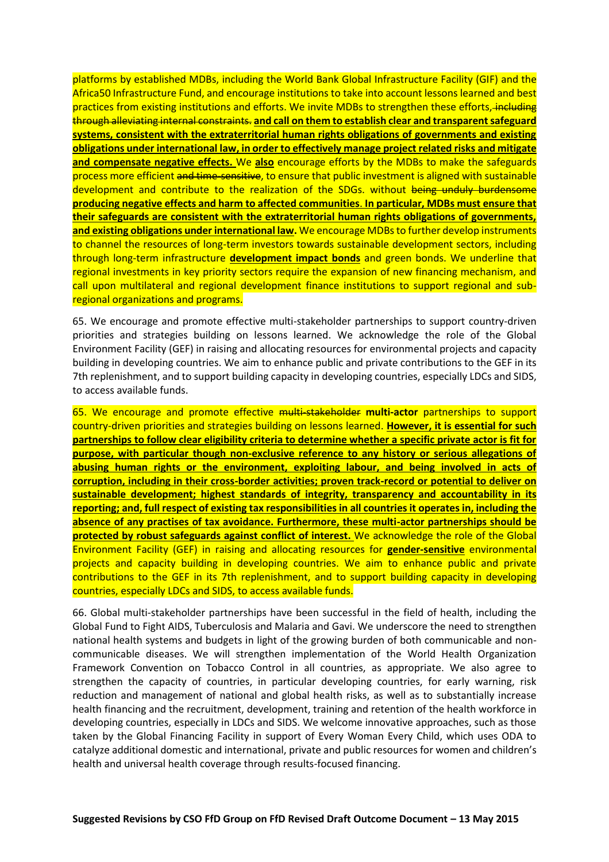platforms by established MDBs, including the World Bank Global Infrastructure Facility (GIF) and the Africa50 Infrastructure Fund, and encourage institutions to take into account lessons learned and best practices from existing institutions and efforts. We invite MDBs to strengthen these efforts, including through alleviating internal constraints. **and call on them to establish clear and transparent safeguard systems, consistent with the extraterritorial human rights obligations of governments and existing obligations under international law, in order to effectively manage project related risks and mitigate and compensate negative effects.** We **also** encourage efforts by the MDBs to make the safeguards process more efficient and time-sensitive, to ensure that public investment is aligned with sustainable development and contribute to the realization of the SDGs. without being unduly burdensome **producing negative effects and harm to affected communities**. **In particular, MDBs must ensure that their safeguards are consistent with the extraterritorial human rights obligations of governments, and existing obligations under international law.** We encourage MDBs to further develop instruments to channel the resources of long-term investors towards sustainable development sectors, including through long-term infrastructure **development impact bonds** and green bonds. We underline that regional investments in key priority sectors require the expansion of new financing mechanism, and call upon multilateral and regional development finance institutions to support regional and subregional organizations and programs.

65. We encourage and promote effective multi-stakeholder partnerships to support country-driven priorities and strategies building on lessons learned. We acknowledge the role of the Global Environment Facility (GEF) in raising and allocating resources for environmental projects and capacity building in developing countries. We aim to enhance public and private contributions to the GEF in its 7th replenishment, and to support building capacity in developing countries, especially LDCs and SIDS, to access available funds.

65. We encourage and promote effective multi-stakeholder **multi-actor** partnerships to support country-driven priorities and strategies building on lessons learned. **However, it is essential for such partnerships to follow clear eligibility criteria to determine whether a specific private actor is fit for purpose, with particular though non-exclusive reference to any history or serious allegations of abusing human rights or the environment, exploiting labour, and being involved in acts of corruption, including in their cross-border activities; proven track-record or potential to deliver on sustainable development; highest standards of integrity, transparency and accountability in its reporting; and, full respect of existing tax responsibilities in all countries it operates in, including the absence of any practises of tax avoidance. Furthermore, these multi-actor partnerships should be protected by robust safeguards against conflict of interest.** We acknowledge the role of the Global Environment Facility (GEF) in raising and allocating resources for **gender-sensitive** environmental projects and capacity building in developing countries. We aim to enhance public and private contributions to the GEF in its 7th replenishment, and to support building capacity in developing countries, especially LDCs and SIDS, to access available funds.

66. Global multi-stakeholder partnerships have been successful in the field of health, including the Global Fund to Fight AIDS, Tuberculosis and Malaria and Gavi. We underscore the need to strengthen national health systems and budgets in light of the growing burden of both communicable and noncommunicable diseases. We will strengthen implementation of the World Health Organization Framework Convention on Tobacco Control in all countries, as appropriate. We also agree to strengthen the capacity of countries, in particular developing countries, for early warning, risk reduction and management of national and global health risks, as well as to substantially increase health financing and the recruitment, development, training and retention of the health workforce in developing countries, especially in LDCs and SIDS. We welcome innovative approaches, such as those taken by the Global Financing Facility in support of Every Woman Every Child, which uses ODA to catalyze additional domestic and international, private and public resources for women and children's health and universal health coverage through results-focused financing.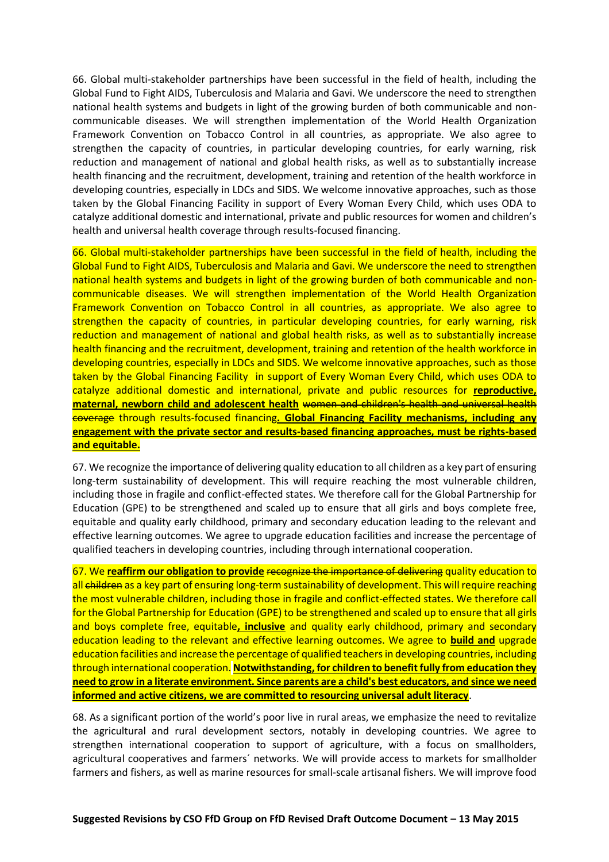66. Global multi-stakeholder partnerships have been successful in the field of health, including the Global Fund to Fight AIDS, Tuberculosis and Malaria and Gavi. We underscore the need to strengthen national health systems and budgets in light of the growing burden of both communicable and noncommunicable diseases. We will strengthen implementation of the World Health Organization Framework Convention on Tobacco Control in all countries, as appropriate. We also agree to strengthen the capacity of countries, in particular developing countries, for early warning, risk reduction and management of national and global health risks, as well as to substantially increase health financing and the recruitment, development, training and retention of the health workforce in developing countries, especially in LDCs and SIDS. We welcome innovative approaches, such as those taken by the Global Financing Facility in support of Every Woman Every Child, which uses ODA to catalyze additional domestic and international, private and public resources for women and children's health and universal health coverage through results-focused financing.

66. Global multi-stakeholder partnerships have been successful in the field of health, including the Global Fund to Fight AIDS, Tuberculosis and Malaria and Gavi. We underscore the need to strengthen national health systems and budgets in light of the growing burden of both communicable and noncommunicable diseases. We will strengthen implementation of the World Health Organization Framework Convention on Tobacco Control in all countries, as appropriate. We also agree to strengthen the capacity of countries, in particular developing countries, for early warning, risk reduction and management of national and global health risks, as well as to substantially increase health financing and the recruitment, development, training and retention of the health workforce in developing countries, especially in LDCs and SIDS. We welcome innovative approaches, such as those taken by the Global Financing Facility in support of Every Woman Every Child, which uses ODA to catalyze additional domestic and international, private and public resources for **reproductive, maternal, newborn child and adolescent health** women and children's health and universal health coverage through results-focused financing**. Global Financing Facility mechanisms, including any engagement with the private sector and results-based financing approaches, must be rights-based and equitable.**

67. We recognize the importance of delivering quality education to all children as a key part of ensuring long-term sustainability of development. This will require reaching the most vulnerable children, including those in fragile and conflict-effected states. We therefore call for the Global Partnership for Education (GPE) to be strengthened and scaled up to ensure that all girls and boys complete free, equitable and quality early childhood, primary and secondary education leading to the relevant and effective learning outcomes. We agree to upgrade education facilities and increase the percentage of qualified teachers in developing countries, including through international cooperation.

67. We **reaffirm our obligation to provide** recognize the importance of delivering quality education to all children as a key part of ensuring long-term sustainability of development. This will require reaching the most vulnerable children, including those in fragile and conflict-effected states. We therefore call for the Global Partnership for Education (GPE) to be strengthened and scaled up to ensure that all girls and boys complete free, equitable**, inclusive** and quality early childhood, primary and secondary education leading to the relevant and effective learning outcomes. We agree to **build and** upgrade education facilities and increase the percentage of qualified teachers in developing countries, including through international cooperation. **Notwithstanding, for children to benefit fully from education they need to grow in a literate environment. Since parents are a child's best educators, and since we need informed and active citizens, we are committed to resourcing universal adult literacy**.

68. As a significant portion of the world's poor live in rural areas, we emphasize the need to revitalize the agricultural and rural development sectors, notably in developing countries. We agree to strengthen international cooperation to support of agriculture, with a focus on smallholders, agricultural cooperatives and farmers´ networks. We will provide access to markets for smallholder farmers and fishers, as well as marine resources for small-scale artisanal fishers. We will improve food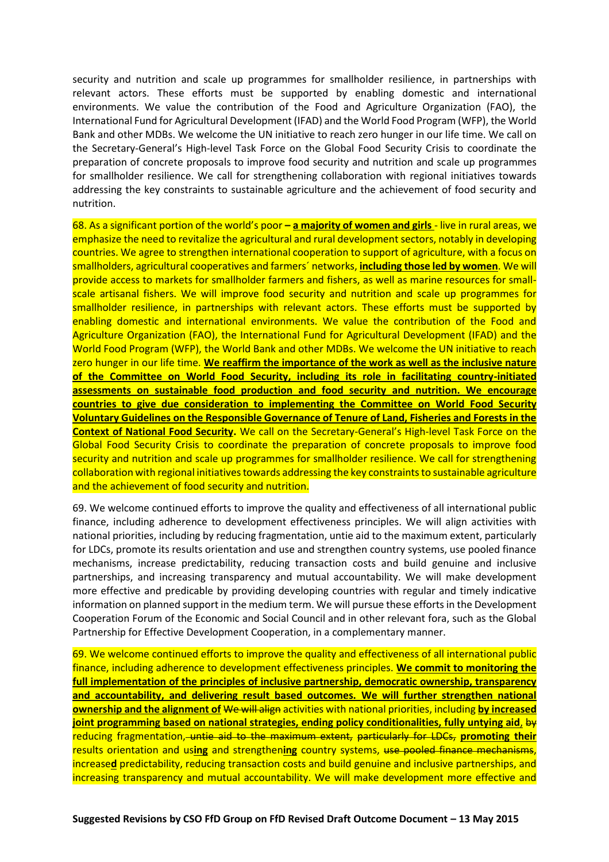security and nutrition and scale up programmes for smallholder resilience, in partnerships with relevant actors. These efforts must be supported by enabling domestic and international environments. We value the contribution of the Food and Agriculture Organization (FAO), the International Fund for Agricultural Development (IFAD) and the World Food Program (WFP), the World Bank and other MDBs. We welcome the UN initiative to reach zero hunger in our life time. We call on the Secretary-General's High-level Task Force on the Global Food Security Crisis to coordinate the preparation of concrete proposals to improve food security and nutrition and scale up programmes for smallholder resilience. We call for strengthening collaboration with regional initiatives towards addressing the key constraints to sustainable agriculture and the achievement of food security and nutrition.

68. As a significant portion of the world's poor **– a majority of women and girls** - live in rural areas, we emphasize the need to revitalize the agricultural and rural development sectors, notably in developing countries. We agree to strengthen international cooperation to support of agriculture, with a focus on smallholders, agricultural cooperatives and farmers´ networks, **including those led by women**. We will provide access to markets for smallholder farmers and fishers, as well as marine resources for smallscale artisanal fishers. We will improve food security and nutrition and scale up programmes for smallholder resilience, in partnerships with relevant actors. These efforts must be supported by enabling domestic and international environments. We value the contribution of the Food and Agriculture Organization (FAO), the International Fund for Agricultural Development (IFAD) and the World Food Program (WFP), the World Bank and other MDBs. We welcome the UN initiative to reach zero hunger in our life time. **We reaffirm the importance of the work as well as the inclusive nature of the Committee on World Food Security, including its role in facilitating country-initiated assessments on sustainable food production and food security and nutrition. We encourage countries to give due consideration to implementing the Committee on World Food Security Voluntary Guidelines on the Responsible Governance of Tenure of Land, Fisheries and Forests in the Context of National Food Security.** We call on the Secretary-General's High-level Task Force on the Global Food Security Crisis to coordinate the preparation of concrete proposals to improve food security and nutrition and scale up programmes for smallholder resilience. We call for strengthening collaboration with regional initiatives towards addressing the key constraints to sustainable agriculture and the achievement of food security and nutrition.

69. We welcome continued efforts to improve the quality and effectiveness of all international public finance, including adherence to development effectiveness principles. We will align activities with national priorities, including by reducing fragmentation, untie aid to the maximum extent, particularly for LDCs, promote its results orientation and use and strengthen country systems, use pooled finance mechanisms, increase predictability, reducing transaction costs and build genuine and inclusive partnerships, and increasing transparency and mutual accountability. We will make development more effective and predicable by providing developing countries with regular and timely indicative information on planned support in the medium term. We will pursue these efforts in the Development Cooperation Forum of the Economic and Social Council and in other relevant fora, such as the Global Partnership for Effective Development Cooperation, in a complementary manner.

69. We welcome continued efforts to improve the quality and effectiveness of all international public finance, including adherence to development effectiveness principles. **We commit to monitoring the full implementation of the principles of inclusive partnership, democratic ownership, transparency and accountability, and delivering result based outcomes. We will further strengthen national ownership and the alignment of** We will align activities with national priorities, including **by increased joint programming based on national strategies, ending policy conditionalities, fully untying aid, by** reducing fragmentation, untie aid to the maximum extent, particularly for LDCs, **promoting their** results orientation and us**ing** and strengthen**ing** country systems, use pooled finance mechanisms, increase**d** predictability, reducing transaction costs and build genuine and inclusive partnerships, and increasing transparency and mutual accountability. We will make development more effective and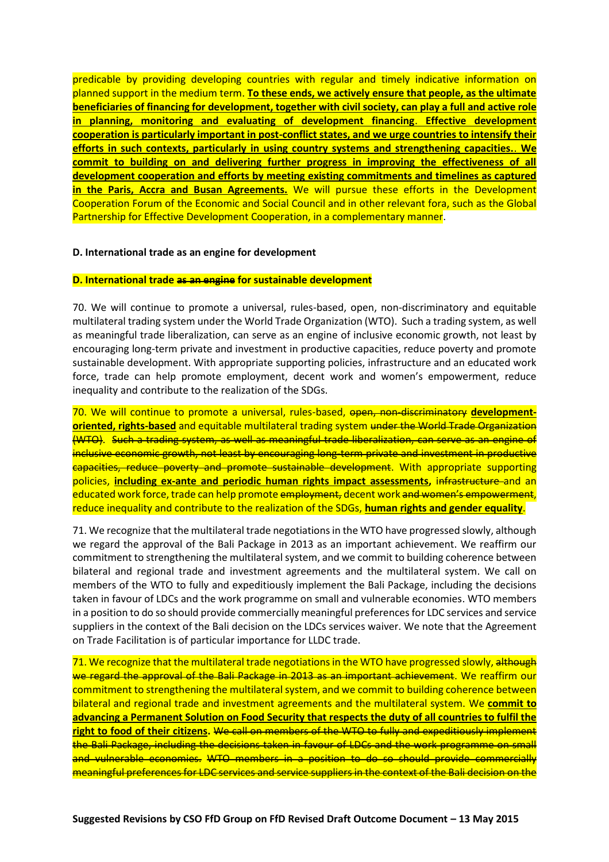predicable by providing developing countries with regular and timely indicative information on planned support in the medium term. **To these ends, we actively ensure that people, as the ultimate beneficiaries of financing for development, together with civil society, can play a full and active role in planning, monitoring and evaluating of development financing**. **Effective development cooperation is particularly important in post-conflict states, and we urge countries to intensify their efforts in such contexts, particularly in using country systems and strengthening capacities.**. **We commit to building on and delivering further progress in improving the effectiveness of all development cooperation and efforts by meeting existing commitments and timelines as captured in the Paris, Accra and Busan Agreements.** We will pursue these efforts in the Development Cooperation Forum of the Economic and Social Council and in other relevant fora, such as the Global Partnership for Effective Development Cooperation, in a complementary manner.

#### **D. International trade as an engine for development**

#### **D. International trade as an engine for sustainable development**

70. We will continue to promote a universal, rules-based, open, non-discriminatory and equitable multilateral trading system under the World Trade Organization (WTO). Such a trading system, as well as meaningful trade liberalization, can serve as an engine of inclusive economic growth, not least by encouraging long-term private and investment in productive capacities, reduce poverty and promote sustainable development. With appropriate supporting policies, infrastructure and an educated work force, trade can help promote employment, decent work and women's empowerment, reduce inequality and contribute to the realization of the SDGs.

70. We will continue to promote a universal, rules-based, open, non-discriminatory **developmentoriented, rights-based** and equitable multilateral trading system under the World Trade Organization (WTO). Such a trading system, as well as meaningful trade liberalization, can serve as an engine of inclusive economic growth, not least by encouraging long-term private and investment in productive capacities, reduce poverty and promote sustainable development. With appropriate supporting policies, **including ex-ante and periodic human rights impact assessments,** infrastructure and an educated work force, trade can help promote employment, decent work and women's empowerment, reduce inequality and contribute to the realization of the SDGs, **human rights and gender equality**.

71. We recognize that the multilateral trade negotiations in the WTO have progressed slowly, although we regard the approval of the Bali Package in 2013 as an important achievement. We reaffirm our commitment to strengthening the multilateral system, and we commit to building coherence between bilateral and regional trade and investment agreements and the multilateral system. We call on members of the WTO to fully and expeditiously implement the Bali Package, including the decisions taken in favour of LDCs and the work programme on small and vulnerable economies. WTO members in a position to do so should provide commercially meaningful preferences for LDC services and service suppliers in the context of the Bali decision on the LDCs services waiver. We note that the Agreement on Trade Facilitation is of particular importance for LLDC trade.

71. We recognize that the multilateral trade negotiations in the WTO have progressed slowly, although we regard the approval of the Bali Package in 2013 as an important achievement. We reaffirm our commitment to strengthening the multilateral system, and we commit to building coherence between bilateral and regional trade and investment agreements and the multilateral system. We **commit to advancing a Permanent Solution on Food Security that respects the duty of all countries to fulfil the right to food of their citizens.** We call on members of the WTO to fully and expeditiously implement the Bali Package, including the decisions taken in favour of LDCs and the work programme on small and vulnerable economies. WTO members in a position to do so should provide commercially meaningful preferences for LDC services and service suppliers in the context of the Bali decision on the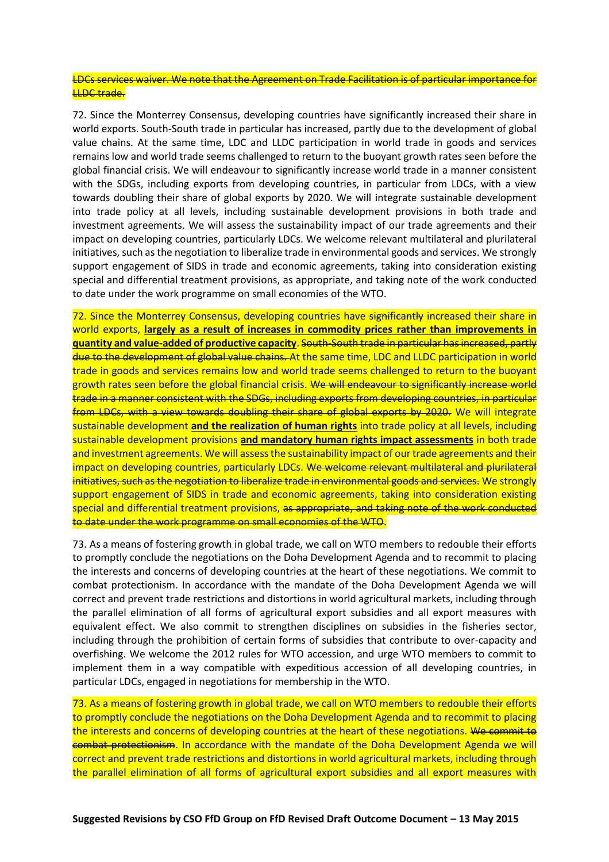### LDCs services waiver. We note that the Agreement on Trade Facilitation is of particular importance for **LLDC** trade.

72. Since the Monterrey Consensus, developing countries have significantly increased their share in world exports. South-South trade in particular has increased, partly due to the development of global value chains. At the same time, LDC and LLDC participation in world trade in goods and services remains low and world trade seems challenged to return to the buoyant growth rates seen before the global financial crisis. We will endeavour to significantly increase world trade in a manner consistent with the SDGs, including exports from developing countries, in particular from LDCs, with a view towards doubling their share of global exports by 2020. We will integrate sustainable development into trade policy at all levels, including sustainable development provisions in both trade and investment agreements. We will assess the sustainability impact of our trade agreements and their impact on developing countries, particularly LDCs. We welcome relevant multilateral and plurilateral initiatives, such as the negotiation to liberalize trade in environmental goods and services. We strongly support engagement of SIDS in trade and economic agreements, taking into consideration existing special and differential treatment provisions, as appropriate, and taking note of the work conducted to date under the work programme on small economies of the WTO.

72. Since the Monterrey Consensus, developing countries have significantly increased their share in world exports, **largely as a result of increases in commodity prices rather than improvements in quantity and value-added of productive capacity**. South-South trade in particular has increased, partly due to the development of global value chains. At the same time, LDC and LLDC participation in world trade in goods and services remains low and world trade seems challenged to return to the buoyant growth rates seen before the global financial crisis. We will endeavour to significantly increase world trade in a manner consistent with the SDGs, including exports from developing countries, in particular from LDCs, with a view towards doubling their share of global exports by 2020. We will integrate sustainable development **and the realization of human rights** into trade policy at all levels, including sustainable development provisions **and mandatory human rights impact assessments** in both trade and investment agreements. We will assess the sustainability impact of our trade agreements and their impact on developing countries, particularly LDCs. We welcome relevant multilateral and plurilateral initiatives, such as the negotiation to liberalize trade in environmental goods and services. We strongly support engagement of SIDS in trade and economic agreements, taking into consideration existing special and differential treatment provisions, as appropriate, and taking note of the work conducted to date under the work programme on small economies of the WTO.

73. As a means of fostering growth in global trade, we call on WTO members to redouble their efforts to promptly conclude the negotiations on the Doha Development Agenda and to recommit to placing the interests and concerns of developing countries at the heart of these negotiations. We commit to combat protectionism. In accordance with the mandate of the Doha Development Agenda we will correct and prevent trade restrictions and distortions in world agricultural markets, including through the parallel elimination of all forms of agricultural export subsidies and all export measures with equivalent effect. We also commit to strengthen disciplines on subsidies in the fisheries sector, including through the prohibition of certain forms of subsidies that contribute to over-capacity and overfishing. We welcome the 2012 rules for WTO accession, and urge WTO members to commit to implement them in a way compatible with expeditious accession of all developing countries, in particular LDCs, engaged in negotiations for membership in the WTO.

73. As a means of fostering growth in global trade, we call on WTO members to redouble their efforts to promptly conclude the negotiations on the Doha Development Agenda and to recommit to placing the interests and concerns of developing countries at the heart of these negotiations. We commit to combat protectionism. In accordance with the mandate of the Doha Development Agenda we will correct and prevent trade restrictions and distortions in world agricultural markets, including through the parallel elimination of all forms of agricultural export subsidies and all export measures with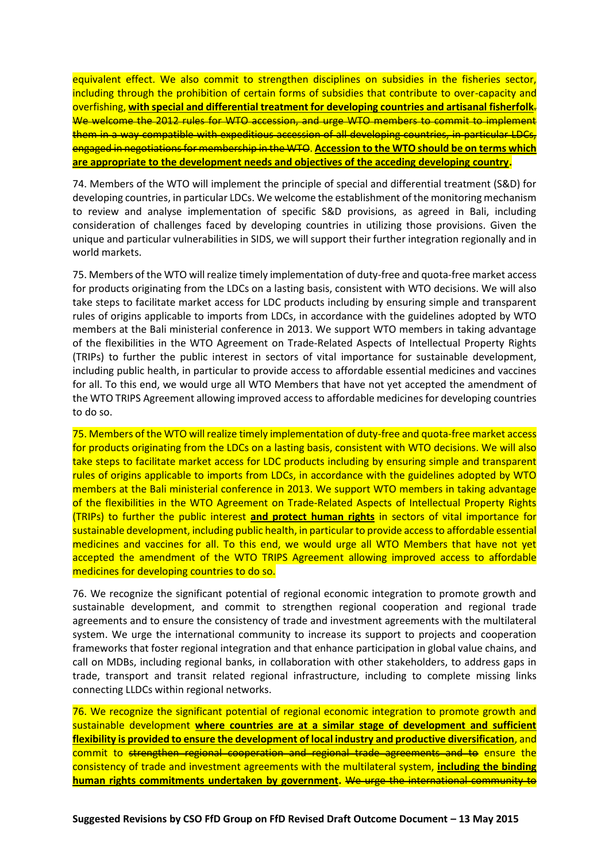equivalent effect. We also commit to strengthen disciplines on subsidies in the fisheries sector, including through the prohibition of certain forms of subsidies that contribute to over-capacity and overfishing, **with special and differential treatment for developing countries and artisanal fisherfolk**. We welcome the 2012 rules for WTO accession, and urge WTO members to commit to implement them in a way compatible with expeditious accession of all developing countries, in particular LDCs, engaged in negotiations for membership in the WTO. **Accession to the WTO should be on terms which are appropriate to the development needs and objectives of the acceding developing country.**

74. Members of the WTO will implement the principle of special and differential treatment (S&D) for developing countries, in particular LDCs. We welcome the establishment of the monitoring mechanism to review and analyse implementation of specific S&D provisions, as agreed in Bali, including consideration of challenges faced by developing countries in utilizing those provisions. Given the unique and particular vulnerabilities in SIDS, we will support their further integration regionally and in world markets.

75. Members of the WTO will realize timely implementation of duty-free and quota-free market access for products originating from the LDCs on a lasting basis, consistent with WTO decisions. We will also take steps to facilitate market access for LDC products including by ensuring simple and transparent rules of origins applicable to imports from LDCs, in accordance with the guidelines adopted by WTO members at the Bali ministerial conference in 2013. We support WTO members in taking advantage of the flexibilities in the WTO Agreement on Trade-Related Aspects of Intellectual Property Rights (TRIPs) to further the public interest in sectors of vital importance for sustainable development, including public health, in particular to provide access to affordable essential medicines and vaccines for all. To this end, we would urge all WTO Members that have not yet accepted the amendment of the WTO TRIPS Agreement allowing improved access to affordable medicines for developing countries to do so.

75. Members of the WTO will realize timely implementation of duty-free and quota-free market access for products originating from the LDCs on a lasting basis, consistent with WTO decisions. We will also take steps to facilitate market access for LDC products including by ensuring simple and transparent rules of origins applicable to imports from LDCs, in accordance with the guidelines adopted by WTO members at the Bali ministerial conference in 2013. We support WTO members in taking advantage of the flexibilities in the WTO Agreement on Trade-Related Aspects of Intellectual Property Rights (TRIPs) to further the public interest **and protect human rights** in sectors of vital importance for sustainable development, including public health, in particular to provide access to affordable essential medicines and vaccines for all. To this end, we would urge all WTO Members that have not yet accepted the amendment of the WTO TRIPS Agreement allowing improved access to affordable medicines for developing countries to do so.

76. We recognize the significant potential of regional economic integration to promote growth and sustainable development, and commit to strengthen regional cooperation and regional trade agreements and to ensure the consistency of trade and investment agreements with the multilateral system. We urge the international community to increase its support to projects and cooperation frameworks that foster regional integration and that enhance participation in global value chains, and call on MDBs, including regional banks, in collaboration with other stakeholders, to address gaps in trade, transport and transit related regional infrastructure, including to complete missing links connecting LLDCs within regional networks.

76. We recognize the significant potential of regional economic integration to promote growth and sustainable development **where countries are at a similar stage of development and sufficient flexibility is provided to ensure the development of local industry and productive diversification**, and commit to strengthen regional cooperation and regional trade agreements and to ensure the consistency of trade and investment agreements with the multilateral system, **including the binding human rights commitments undertaken by government.** We urge the international community to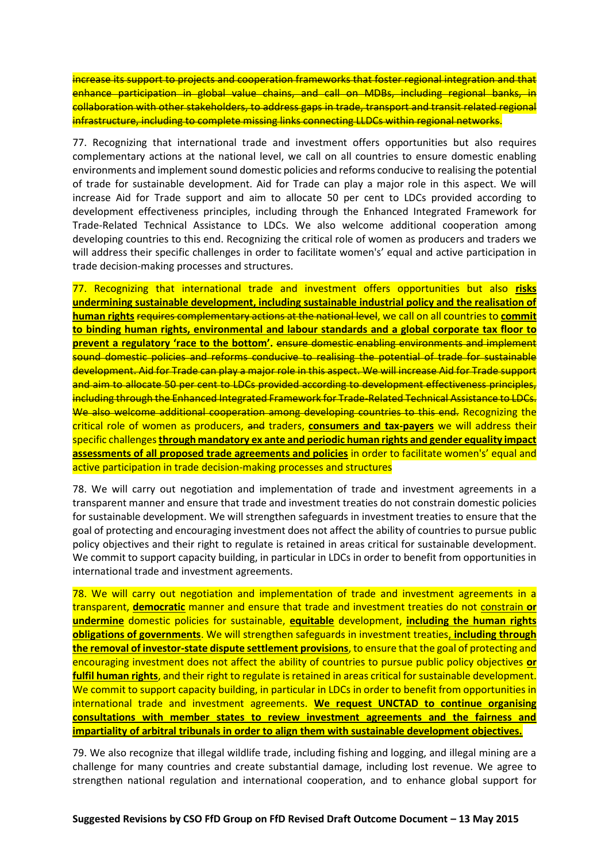increase its support to projects and cooperation frameworks that foster regional integration and that enhance participation in global value chains, and call on MDBs, including regional banks, in collaboration with other stakeholders, to address gaps in trade, transport and transit related regional infrastructure, including to complete missing links connecting LLDCs within regional networks.

77. Recognizing that international trade and investment offers opportunities but also requires complementary actions at the national level, we call on all countries to ensure domestic enabling environments and implement sound domestic policies and reforms conducive to realising the potential of trade for sustainable development. Aid for Trade can play a major role in this aspect. We will increase Aid for Trade support and aim to allocate 50 per cent to LDCs provided according to development effectiveness principles, including through the Enhanced Integrated Framework for Trade-Related Technical Assistance to LDCs. We also welcome additional cooperation among developing countries to this end. Recognizing the critical role of women as producers and traders we will address their specific challenges in order to facilitate women's' equal and active participation in trade decision-making processes and structures.

77. Recognizing that international trade and investment offers opportunities but also **risks undermining sustainable development, including sustainable industrial policy and the realisation of human rights** requires complementary actions at the national level, we call on all countries to **commit to binding human rights, environmental and labour standards and a global corporate tax floor to prevent a regulatory 'race to the bottom'.** ensure domestic enabling environments and implement sound domestic policies and reforms conducive to realising the potential of trade for sustainable development. Aid for Trade can play a major role in this aspect. We will increase Aid for Trade support and aim to allocate 50 per cent to LDCs provided according to development effectiveness principles, including through the Enhanced Integrated Framework for Trade-Related Technical Assistance to LDCs. We also welcome additional cooperation among developing countries to this end. Recognizing the critical role of women as producers, and traders, **consumers and tax-payers** we will address their specific challenges **through mandatory ex ante and periodic human rights and gender equality impact assessments of all proposed trade agreements and policies** in order to facilitate women's' equal and active participation in trade decision-making processes and structures

78. We will carry out negotiation and implementation of trade and investment agreements in a transparent manner and ensure that trade and investment treaties do not constrain domestic policies for sustainable development. We will strengthen safeguards in investment treaties to ensure that the goal of protecting and encouraging investment does not affect the ability of countries to pursue public policy objectives and their right to regulate is retained in areas critical for sustainable development. We commit to support capacity building, in particular in LDCs in order to benefit from opportunities in international trade and investment agreements.

78. We will carry out negotiation and implementation of trade and investment agreements in a transparent, **democratic** manner and ensure that trade and investment treaties do not constrain **or undermine** domestic policies for sustainable, **equitable** development, **including the human rights obligations of governments**. We will strengthen safeguards in investment treaties, **including through the removal of investor-state dispute settlement provisions**, to ensure that the goal of protecting and encouraging investment does not affect the ability of countries to pursue public policy objectives **or fulfil human rights**, and their right to regulate is retained in areas critical for sustainable development. We commit to support capacity building, in particular in LDCs in order to benefit from opportunities in international trade and investment agreements. **We request UNCTAD to continue organising consultations with member states to review investment agreements and the fairness and impartiality of arbitral tribunals in order to align them with sustainable development objectives.**

79. We also recognize that illegal wildlife trade, including fishing and logging, and illegal mining are a challenge for many countries and create substantial damage, including lost revenue. We agree to strengthen national regulation and international cooperation, and to enhance global support for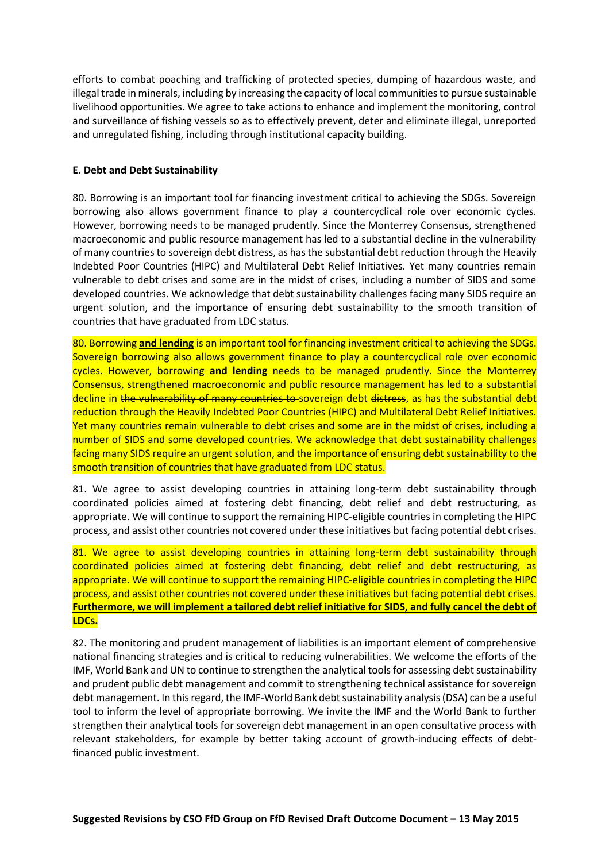efforts to combat poaching and trafficking of protected species, dumping of hazardous waste, and illegal trade in minerals, including by increasing the capacity of local communities to pursue sustainable livelihood opportunities. We agree to take actions to enhance and implement the monitoring, control and surveillance of fishing vessels so as to effectively prevent, deter and eliminate illegal, unreported and unregulated fishing, including through institutional capacity building.

# **E. Debt and Debt Sustainability**

80. Borrowing is an important tool for financing investment critical to achieving the SDGs. Sovereign borrowing also allows government finance to play a countercyclical role over economic cycles. However, borrowing needs to be managed prudently. Since the Monterrey Consensus, strengthened macroeconomic and public resource management has led to a substantial decline in the vulnerability of many countries to sovereign debt distress, as has the substantial debt reduction through the Heavily Indebted Poor Countries (HIPC) and Multilateral Debt Relief Initiatives. Yet many countries remain vulnerable to debt crises and some are in the midst of crises, including a number of SIDS and some developed countries. We acknowledge that debt sustainability challenges facing many SIDS require an urgent solution, and the importance of ensuring debt sustainability to the smooth transition of countries that have graduated from LDC status.

80. Borrowing **and lending** is an important tool for financing investment critical to achieving the SDGs. Sovereign borrowing also allows government finance to play a countercyclical role over economic cycles. However, borrowing **and lending** needs to be managed prudently. Since the Monterrey Consensus, strengthened macroeconomic and public resource management has led to a substantial decline in the vulnerability of many countries to sovereign debt distress, as has the substantial debt reduction through the Heavily Indebted Poor Countries (HIPC) and Multilateral Debt Relief Initiatives. Yet many countries remain vulnerable to debt crises and some are in the midst of crises, including a number of SIDS and some developed countries. We acknowledge that debt sustainability challenges facing many SIDS require an urgent solution, and the importance of ensuring debt sustainability to the smooth transition of countries that have graduated from LDC status.

81. We agree to assist developing countries in attaining long-term debt sustainability through coordinated policies aimed at fostering debt financing, debt relief and debt restructuring, as appropriate. We will continue to support the remaining HIPC-eligible countries in completing the HIPC process, and assist other countries not covered under these initiatives but facing potential debt crises.

81. We agree to assist developing countries in attaining long-term debt sustainability through coordinated policies aimed at fostering debt financing, debt relief and debt restructuring, as appropriate. We will continue to support the remaining HIPC-eligible countries in completing the HIPC process, and assist other countries not covered under these initiatives but facing potential debt crises. **Furthermore, we will implement a tailored debt relief initiative for SIDS, and fully cancel the debt of LDCs.**

82. The monitoring and prudent management of liabilities is an important element of comprehensive national financing strategies and is critical to reducing vulnerabilities. We welcome the efforts of the IMF, World Bank and UN to continue to strengthen the analytical tools for assessing debt sustainability and prudent public debt management and commit to strengthening technical assistance for sovereign debt management. In this regard, the IMF-World Bank debt sustainability analysis (DSA) can be a useful tool to inform the level of appropriate borrowing. We invite the IMF and the World Bank to further strengthen their analytical tools for sovereign debt management in an open consultative process with relevant stakeholders, for example by better taking account of growth-inducing effects of debtfinanced public investment.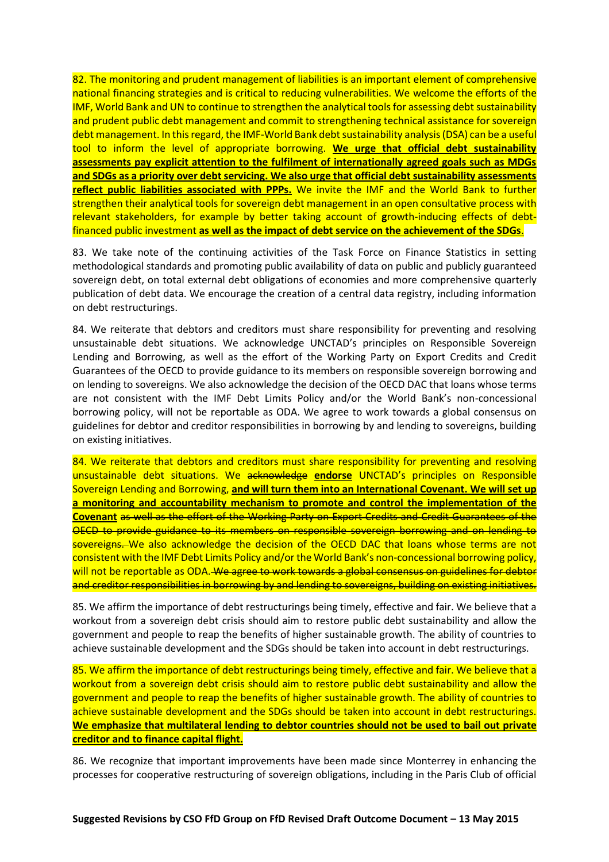82. The monitoring and prudent management of liabilities is an important element of comprehensive national financing strategies and is critical to reducing vulnerabilities. We welcome the efforts of the IMF, World Bank and UN to continue to strengthen the analytical tools for assessing debt sustainability and prudent public debt management and commit to strengthening technical assistance for sovereign debt management. In this regard, the IMF-World Bank debt sustainability analysis (DSA) can be a useful tool to inform the level of appropriate borrowing. **We urge that official debt sustainability assessments pay explicit attention to the fulfilment of internationally agreed goals such as MDGs and SDGs as a priority over debt servicing. We also urge that official debt sustainability assessments reflect public liabilities associated with PPPs.** We invite the IMF and the World Bank to further strengthen their analytical tools for sovereign debt management in an open consultative process with relevant stakeholders, for example by better taking account of **g**rowth-inducing effects of debtfinanced public investment **as well as the impact of debt service on the achievement of the SDGs**.

83. We take note of the continuing activities of the Task Force on Finance Statistics in setting methodological standards and promoting public availability of data on public and publicly guaranteed sovereign debt, on total external debt obligations of economies and more comprehensive quarterly publication of debt data. We encourage the creation of a central data registry, including information on debt restructurings.

84. We reiterate that debtors and creditors must share responsibility for preventing and resolving unsustainable debt situations. We acknowledge UNCTAD's principles on Responsible Sovereign Lending and Borrowing, as well as the effort of the Working Party on Export Credits and Credit Guarantees of the OECD to provide guidance to its members on responsible sovereign borrowing and on lending to sovereigns. We also acknowledge the decision of the OECD DAC that loans whose terms are not consistent with the IMF Debt Limits Policy and/or the World Bank's non-concessional borrowing policy, will not be reportable as ODA. We agree to work towards a global consensus on guidelines for debtor and creditor responsibilities in borrowing by and lending to sovereigns, building on existing initiatives.

84. We reiterate that debtors and creditors must share responsibility for preventing and resolving unsustainable debt situations. We acknowledge **endorse** UNCTAD's principles on Responsible Sovereign Lending and Borrowing, **and will turn them into an International Covenant. We will set up a monitoring and accountability mechanism to promote and control the implementation of the Covenant** as well as the effort of the Working Party on Export Credits and Credit Guarantees of the OECD to provide guidance to its members on responsible sovereign borrowing and on lending to sovereigns. We also acknowledge the decision of the OECD DAC that loans whose terms are not consistent with the IMF Debt Limits Policy and/or the World Bank's non-concessional borrowing policy, will not be reportable as ODA. We agree to work towards a global consensus on guidelines for debtor and creditor responsibilities in borrowing by and lending to sovereigns, building on existing initiatives.

85. We affirm the importance of debt restructurings being timely, effective and fair. We believe that a workout from a sovereign debt crisis should aim to restore public debt sustainability and allow the government and people to reap the benefits of higher sustainable growth. The ability of countries to achieve sustainable development and the SDGs should be taken into account in debt restructurings.

85. We affirm the importance of debt restructurings being timely, effective and fair. We believe that a workout from a sovereign debt crisis should aim to restore public debt sustainability and allow the government and people to reap the benefits of higher sustainable growth. The ability of countries to achieve sustainable development and the SDGs should be taken into account in debt restructurings. **We emphasize that multilateral lending to debtor countries should not be used to bail out private creditor and to finance capital flight.**

86. We recognize that important improvements have been made since Monterrey in enhancing the processes for cooperative restructuring of sovereign obligations, including in the Paris Club of official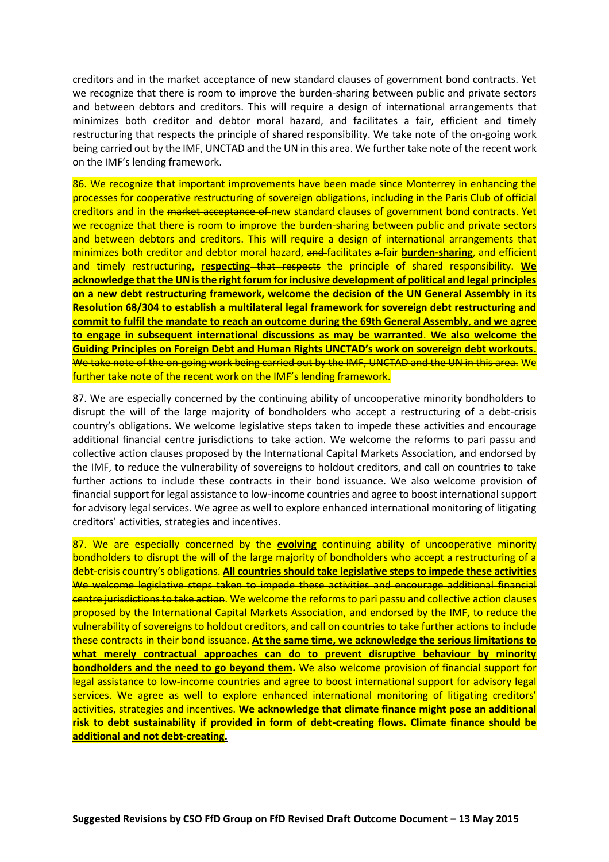creditors and in the market acceptance of new standard clauses of government bond contracts. Yet we recognize that there is room to improve the burden-sharing between public and private sectors and between debtors and creditors. This will require a design of international arrangements that minimizes both creditor and debtor moral hazard, and facilitates a fair, efficient and timely restructuring that respects the principle of shared responsibility. We take note of the on-going work being carried out by the IMF, UNCTAD and the UN in this area. We further take note of the recent work on the IMF's lending framework.

86. We recognize that important improvements have been made since Monterrey in enhancing the processes for cooperative restructuring of sovereign obligations, including in the Paris Club of official creditors and in the market acceptance of new standard clauses of government bond contracts. Yet we recognize that there is room to improve the burden-sharing between public and private sectors and between debtors and creditors. This will require a design of international arrangements that minimizes both creditor and debtor moral hazard, and facilitates a fair **burden-sharing**, and efficient and timely restructuring, respecting that respects the principle of shared responsibility. We **acknowledge that the UN is the right forum for inclusive development of political and legal principles on a new debt restructuring framework, welcome the decision of the UN General Assembly in its Resolution 68/304 to establish a multilateral legal framework for sovereign debt restructuring and commit to fulfil the mandate to reach an outcome during the 69th General Assembly**, **and we agree to engage in subsequent international discussions as may be warranted**. **We also welcome the Guiding Principles on Foreign Debt and Human Rights UNCTAD's work on sovereign debt workouts.** We take note of the on-going work being carried out by the IMF, UNCTAD and the UN in this area. We further take note of the recent work on the IMF's lending framework.

87. We are especially concerned by the continuing ability of uncooperative minority bondholders to disrupt the will of the large majority of bondholders who accept a restructuring of a debt-crisis country's obligations. We welcome legislative steps taken to impede these activities and encourage additional financial centre jurisdictions to take action. We welcome the reforms to pari passu and collective action clauses proposed by the International Capital Markets Association, and endorsed by the IMF, to reduce the vulnerability of sovereigns to holdout creditors, and call on countries to take further actions to include these contracts in their bond issuance. We also welcome provision of financial support for legal assistance to low-income countries and agree to boost international support for advisory legal services. We agree as well to explore enhanced international monitoring of litigating creditors' activities, strategies and incentives.

87. We are especially concerned by the **evolving** continuing ability of uncooperative minority bondholders to disrupt the will of the large majority of bondholders who accept a restructuring of a debt-crisis country's obligations. **All countries should take legislative steps to impede these activities** We welcome legislative steps taken to impede these activities and encourage additional financial centre jurisdictions to take action. We welcome the reforms to pari passu and collective action clauses proposed by the International Capital Markets Association, and endorsed by the IMF, to reduce the vulnerability of sovereigns to holdout creditors, and call on countries to take further actions to include these contracts in their bond issuance. **At the same time, we acknowledge the serious limitations to what merely contractual approaches can do to prevent disruptive behaviour by minority bondholders and the need to go beyond them.** We also welcome provision of financial support for legal assistance to low-income countries and agree to boost international support for advisory legal services. We agree as well to explore enhanced international monitoring of litigating creditors' activities, strategies and incentives. **We acknowledge that climate finance might pose an additional risk to debt sustainability if provided in form of debt-creating flows. Climate finance should be additional and not debt-creating.**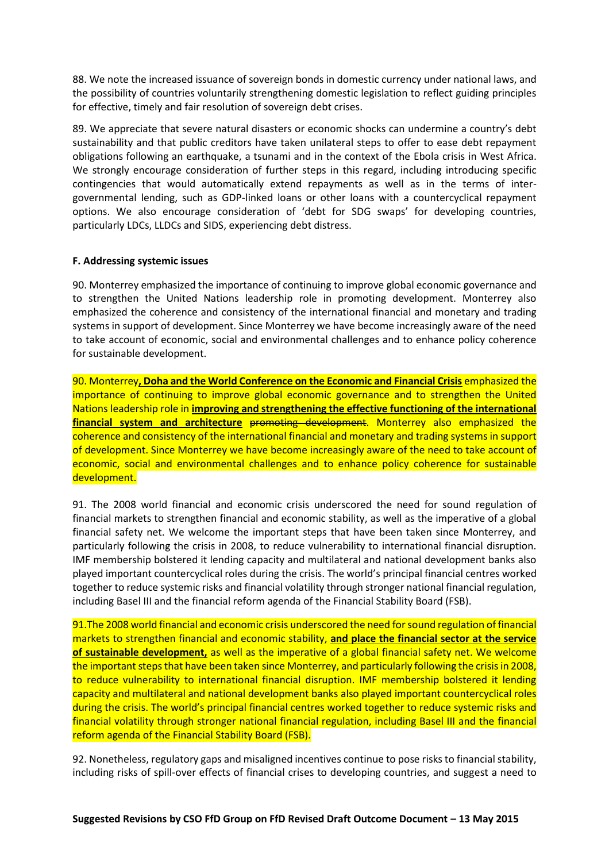88. We note the increased issuance of sovereign bonds in domestic currency under national laws, and the possibility of countries voluntarily strengthening domestic legislation to reflect guiding principles for effective, timely and fair resolution of sovereign debt crises.

89. We appreciate that severe natural disasters or economic shocks can undermine a country's debt sustainability and that public creditors have taken unilateral steps to offer to ease debt repayment obligations following an earthquake, a tsunami and in the context of the Ebola crisis in West Africa. We strongly encourage consideration of further steps in this regard, including introducing specific contingencies that would automatically extend repayments as well as in the terms of intergovernmental lending, such as GDP-linked loans or other loans with a countercyclical repayment options. We also encourage consideration of 'debt for SDG swaps' for developing countries, particularly LDCs, LLDCs and SIDS, experiencing debt distress.

# **F. Addressing systemic issues**

90. Monterrey emphasized the importance of continuing to improve global economic governance and to strengthen the United Nations leadership role in promoting development. Monterrey also emphasized the coherence and consistency of the international financial and monetary and trading systems in support of development. Since Monterrey we have become increasingly aware of the need to take account of economic, social and environmental challenges and to enhance policy coherence for sustainable development.

90. Monterrey**, Doha and the World Conference on the Economic and Financial Crisis** emphasized the importance of continuing to improve global economic governance and to strengthen the United Nations leadership role in **improving and strengthening the effective functioning of the international financial system and architecture** promoting development. Monterrey also emphasized the coherence and consistency of the international financial and monetary and trading systems in support of development. Since Monterrey we have become increasingly aware of the need to take account of economic, social and environmental challenges and to enhance policy coherence for sustainable development.

91. The 2008 world financial and economic crisis underscored the need for sound regulation of financial markets to strengthen financial and economic stability, as well as the imperative of a global financial safety net. We welcome the important steps that have been taken since Monterrey, and particularly following the crisis in 2008, to reduce vulnerability to international financial disruption. IMF membership bolstered it lending capacity and multilateral and national development banks also played important countercyclical roles during the crisis. The world's principal financial centres worked together to reduce systemic risks and financial volatility through stronger national financial regulation, including Basel III and the financial reform agenda of the Financial Stability Board (FSB).

91.The 2008 world financial and economic crisis underscored the need for sound regulation of financial markets to strengthen financial and economic stability, **and place the financial sector at the service of sustainable development,** as well as the imperative of a global financial safety net. We welcome the important steps that have been taken since Monterrey, and particularly following the crisis in 2008, to reduce vulnerability to international financial disruption. IMF membership bolstered it lending capacity and multilateral and national development banks also played important countercyclical roles during the crisis. The world's principal financial centres worked together to reduce systemic risks and financial volatility through stronger national financial regulation, including Basel III and the financial reform agenda of the Financial Stability Board (FSB).

92. Nonetheless, regulatory gaps and misaligned incentives continue to pose risks to financial stability, including risks of spill-over effects of financial crises to developing countries, and suggest a need to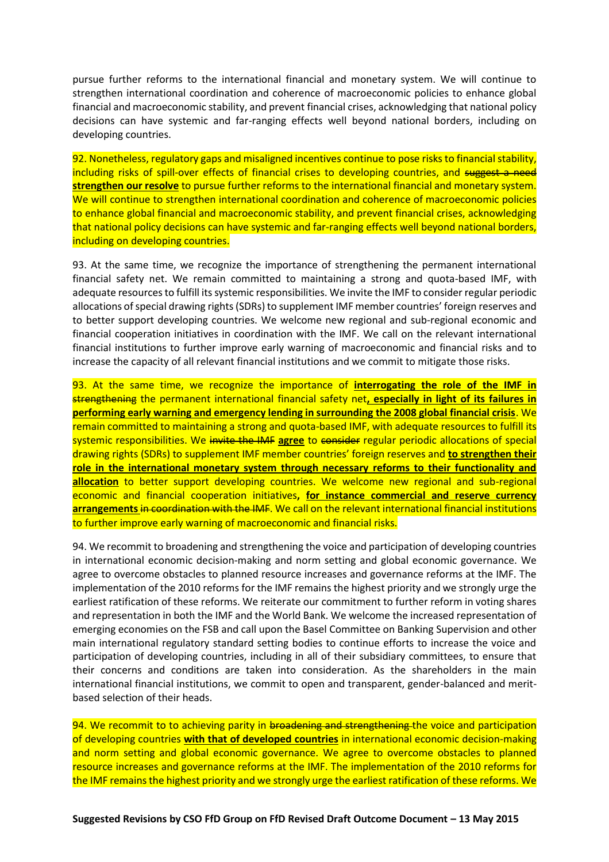pursue further reforms to the international financial and monetary system. We will continue to strengthen international coordination and coherence of macroeconomic policies to enhance global financial and macroeconomic stability, and prevent financial crises, acknowledging that national policy decisions can have systemic and far-ranging effects well beyond national borders, including on developing countries.

92. Nonetheless, regulatory gaps and misaligned incentives continue to pose risks to financial stability, including risks of spill-over effects of financial crises to developing countries, and suggest a need **strengthen our resolve** to pursue further reforms to the international financial and monetary system. We will continue to strengthen international coordination and coherence of macroeconomic policies to enhance global financial and macroeconomic stability, and prevent financial crises, acknowledging that national policy decisions can have systemic and far-ranging effects well beyond national borders, including on developing countries.

93. At the same time, we recognize the importance of strengthening the permanent international financial safety net. We remain committed to maintaining a strong and quota-based IMF, with adequate resources to fulfill its systemic responsibilities. We invite the IMF to consider regular periodic allocations of special drawing rights (SDRs) to supplement IMF member countries' foreign reserves and to better support developing countries. We welcome new regional and sub-regional economic and financial cooperation initiatives in coordination with the IMF. We call on the relevant international financial institutions to further improve early warning of macroeconomic and financial risks and to increase the capacity of all relevant financial institutions and we commit to mitigate those risks.

93. At the same time, we recognize the importance of **interrogating the role of the IMF in** strengthening the permanent international financial safety net**, especially in light of its failures in performing early warning and emergency lending in surrounding the 2008 global financial crisis**. We remain committed to maintaining a strong and quota-based IMF, with adequate resources to fulfill its systemic responsibilities. We invite the IMF **agree** to consider regular periodic allocations of special drawing rights (SDRs) to supplement IMF member countries' foreign reserves and **to strengthen their role in the international monetary system through necessary reforms to their functionality and allocation** to better support developing countries. We welcome new regional and sub-regional economic and financial cooperation initiatives**, for instance commercial and reserve currency arrangements** in coordination with the IMF. We call on the relevant international financial institutions to further improve early warning of macroeconomic and financial risks.

94. We recommit to broadening and strengthening the voice and participation of developing countries in international economic decision-making and norm setting and global economic governance. We agree to overcome obstacles to planned resource increases and governance reforms at the IMF. The implementation of the 2010 reforms for the IMF remains the highest priority and we strongly urge the earliest ratification of these reforms. We reiterate our commitment to further reform in voting shares and representation in both the IMF and the World Bank. We welcome the increased representation of emerging economies on the FSB and call upon the Basel Committee on Banking Supervision and other main international regulatory standard setting bodies to continue efforts to increase the voice and participation of developing countries, including in all of their subsidiary committees, to ensure that their concerns and conditions are taken into consideration. As the shareholders in the main international financial institutions, we commit to open and transparent, gender-balanced and meritbased selection of their heads.

94. We recommit to to achieving parity in broadening and strengthening the voice and participation of developing countries **with that of developed countries** in international economic decision-making and norm setting and global economic governance. We agree to overcome obstacles to planned resource increases and governance reforms at the IMF. The implementation of the 2010 reforms for the IMF remains the highest priority and we strongly urge the earliest ratification of these reforms. We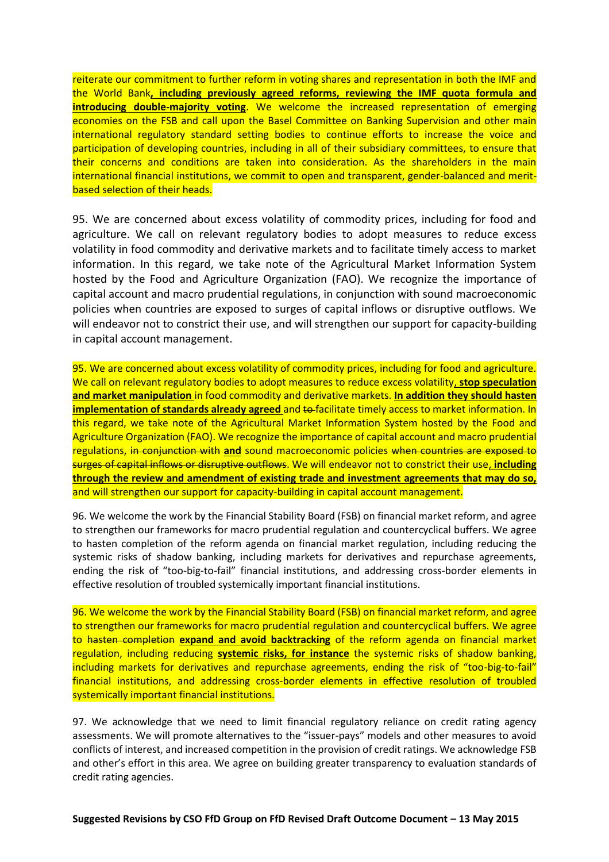reiterate our commitment to further reform in voting shares and representation in both the IMF and the World Bank**, including previously agreed reforms, reviewing the IMF quota formula and introducing double-majority voting**. We welcome the increased representation of emerging economies on the FSB and call upon the Basel Committee on Banking Supervision and other main international regulatory standard setting bodies to continue efforts to increase the voice and participation of developing countries, including in all of their subsidiary committees, to ensure that their concerns and conditions are taken into consideration. As the shareholders in the main international financial institutions, we commit to open and transparent, gender-balanced and meritbased selection of their heads.

95. We are concerned about excess volatility of commodity prices, including for food and agriculture. We call on relevant regulatory bodies to adopt measures to reduce excess volatility in food commodity and derivative markets and to facilitate timely access to market information. In this regard, we take note of the Agricultural Market Information System hosted by the Food and Agriculture Organization (FAO). We recognize the importance of capital account and macro prudential regulations, in conjunction with sound macroeconomic policies when countries are exposed to surges of capital inflows or disruptive outflows. We will endeavor not to constrict their use, and will strengthen our support for capacity-building in capital account management.

95. We are concerned about excess volatility of commodity prices, including for food and agriculture. We call on relevant regulatory bodies to adopt measures to reduce excess volatility, **stop speculation and market manipulation** in food commodity and derivative markets. **In addition they should hasten implementation of standards already agreed** and to facilitate timely access to market information. In this regard, we take note of the Agricultural Market Information System hosted by the Food and Agriculture Organization (FAO). We recognize the importance of capital account and macro prudential regulations, in conjunction with **and** sound macroeconomic policies when countries are exposed to surges of capital inflows or disruptive outflows. We will endeavor not to constrict their use, **including through the review and amendment of existing trade and investment agreements that may do so,** and will strengthen our support for capacity-building in capital account management.

96. We welcome the work by the Financial Stability Board (FSB) on financial market reform, and agree to strengthen our frameworks for macro prudential regulation and countercyclical buffers. We agree to hasten completion of the reform agenda on financial market regulation, including reducing the systemic risks of shadow banking, including markets for derivatives and repurchase agreements, ending the risk of "too-big-to-fail" financial institutions, and addressing cross-border elements in effective resolution of troubled systemically important financial institutions.

96. We welcome the work by the Financial Stability Board (FSB) on financial market reform, and agree to strengthen our frameworks for macro prudential regulation and countercyclical buffers. We agree to hasten completion **expand and avoid backtracking** of the reform agenda on financial market regulation, including reducing **systemic risks, for instance** the systemic risks of shadow banking, including markets for derivatives and repurchase agreements, ending the risk of "too-big-to-fail" financial institutions, and addressing cross-border elements in effective resolution of troubled systemically important financial institutions.

97. We acknowledge that we need to limit financial regulatory reliance on credit rating agency assessments. We will promote alternatives to the "issuer-pays" models and other measures to avoid conflicts of interest, and increased competition in the provision of credit ratings. We acknowledge FSB and other's effort in this area. We agree on building greater transparency to evaluation standards of credit rating agencies.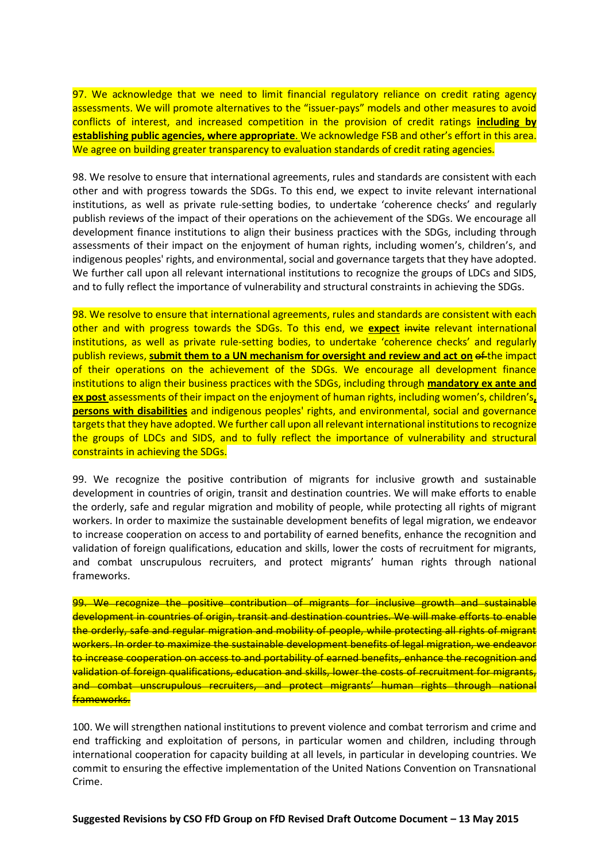97. We acknowledge that we need to limit financial regulatory reliance on credit rating agency assessments. We will promote alternatives to the "issuer-pays" models and other measures to avoid conflicts of interest, and increased competition in the provision of credit ratings **including by establishing public agencies, where appropriate**. We acknowledge FSB and other's effort in this area. We agree on building greater transparency to evaluation standards of credit rating agencies.

98. We resolve to ensure that international agreements, rules and standards are consistent with each other and with progress towards the SDGs. To this end, we expect to invite relevant international institutions, as well as private rule-setting bodies, to undertake 'coherence checks' and regularly publish reviews of the impact of their operations on the achievement of the SDGs. We encourage all development finance institutions to align their business practices with the SDGs, including through assessments of their impact on the enjoyment of human rights, including women's, children's, and indigenous peoples' rights, and environmental, social and governance targets that they have adopted. We further call upon all relevant international institutions to recognize the groups of LDCs and SIDS, and to fully reflect the importance of vulnerability and structural constraints in achieving the SDGs.

98. We resolve to ensure that international agreements, rules and standards are consistent with each other and with progress towards the SDGs. To this end, we **expect** invite relevant international institutions, as well as private rule-setting bodies, to undertake 'coherence checks' and regularly publish reviews, submit them to a UN mechanism for oversight and review and act on of the impact of their operations on the achievement of the SDGs. We encourage all development finance institutions to align their business practices with the SDGs, including through **mandatory ex ante and ex post** assessments of their impact on the enjoyment of human rights, including women's, children's**, persons with disabilities** and indigenous peoples' rights, and environmental, social and governance targets that they have adopted. We further call upon all relevant international institutions to recognize the groups of LDCs and SIDS, and to fully reflect the importance of vulnerability and structural constraints in achieving the SDGs.

99. We recognize the positive contribution of migrants for inclusive growth and sustainable development in countries of origin, transit and destination countries. We will make efforts to enable the orderly, safe and regular migration and mobility of people, while protecting all rights of migrant workers. In order to maximize the sustainable development benefits of legal migration, we endeavor to increase cooperation on access to and portability of earned benefits, enhance the recognition and validation of foreign qualifications, education and skills, lower the costs of recruitment for migrants, and combat unscrupulous recruiters, and protect migrants' human rights through national frameworks.

99. We recognize the positive contribution of migrants for inclusive growth and sustainable development in countries of origin, transit and destination countries. We will make efforts to enable the orderly, safe and regular migration and mobility of people, while protecting all rights of migrant workers. In order to maximize the sustainable development benefits of legal migration, we endeavor to increase cooperation on access to and portability of earned benefits, enhance the recognition and validation of foreign qualifications, education and skills, lower the costs of recruitment for migrants, and combat unscrupulous recruiters, and protect migrants' human rights through national frameworks.

100. We will strengthen national institutions to prevent violence and combat terrorism and crime and end trafficking and exploitation of persons, in particular women and children, including through international cooperation for capacity building at all levels, in particular in developing countries. We commit to ensuring the effective implementation of the United Nations Convention on Transnational Crime.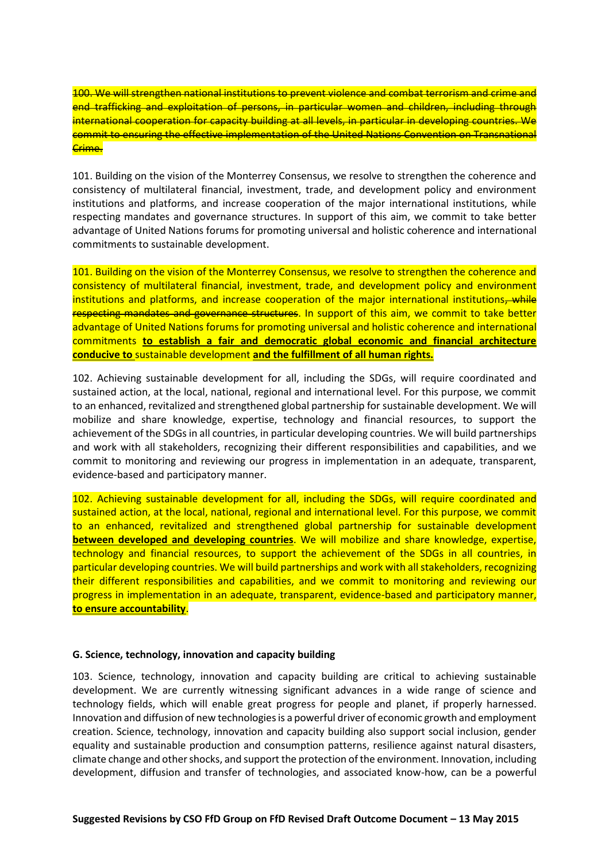100. We will strengthen national institutions to prevent violence and combat terrorism and crime and end trafficking and exploitation of persons, in particular women and children, including through international cooperation for capacity building at all levels, in particular in developing countries. We commit to ensuring the effective implementation of the United Nations Convention on Transnational Crime.

101. Building on the vision of the Monterrey Consensus, we resolve to strengthen the coherence and consistency of multilateral financial, investment, trade, and development policy and environment institutions and platforms, and increase cooperation of the major international institutions, while respecting mandates and governance structures. In support of this aim, we commit to take better advantage of United Nations forums for promoting universal and holistic coherence and international commitments to sustainable development.

101. Building on the vision of the Monterrey Consensus, we resolve to strengthen the coherence and consistency of multilateral financial, investment, trade, and development policy and environment institutions and platforms, and increase cooperation of the major international institutions, while respecting mandates and governance structures. In support of this aim, we commit to take better advantage of United Nations forums for promoting universal and holistic coherence and international commitments **to establish a fair and democratic global economic and financial architecture conducive to** sustainable development **and the fulfillment of all human rights.**

102. Achieving sustainable development for all, including the SDGs, will require coordinated and sustained action, at the local, national, regional and international level. For this purpose, we commit to an enhanced, revitalized and strengthened global partnership for sustainable development. We will mobilize and share knowledge, expertise, technology and financial resources, to support the achievement of the SDGs in all countries, in particular developing countries. We will build partnerships and work with all stakeholders, recognizing their different responsibilities and capabilities, and we commit to monitoring and reviewing our progress in implementation in an adequate, transparent, evidence-based and participatory manner.

102. Achieving sustainable development for all, including the SDGs, will require coordinated and sustained action, at the local, national, regional and international level. For this purpose, we commit to an enhanced, revitalized and strengthened global partnership for sustainable development **between developed and developing countries**. We will mobilize and share knowledge, expertise, technology and financial resources, to support the achievement of the SDGs in all countries, in particular developing countries. We will build partnerships and work with all stakeholders, recognizing their different responsibilities and capabilities, and we commit to monitoring and reviewing our progress in implementation in an adequate, transparent, evidence-based and participatory manner, **to ensure accountability**.

## **G. Science, technology, innovation and capacity building**

103. Science, technology, innovation and capacity building are critical to achieving sustainable development. We are currently witnessing significant advances in a wide range of science and technology fields, which will enable great progress for people and planet, if properly harnessed. Innovation and diffusion of new technologies is a powerful driver of economic growth and employment creation. Science, technology, innovation and capacity building also support social inclusion, gender equality and sustainable production and consumption patterns, resilience against natural disasters, climate change and other shocks, and support the protection of the environment. Innovation, including development, diffusion and transfer of technologies, and associated know-how, can be a powerful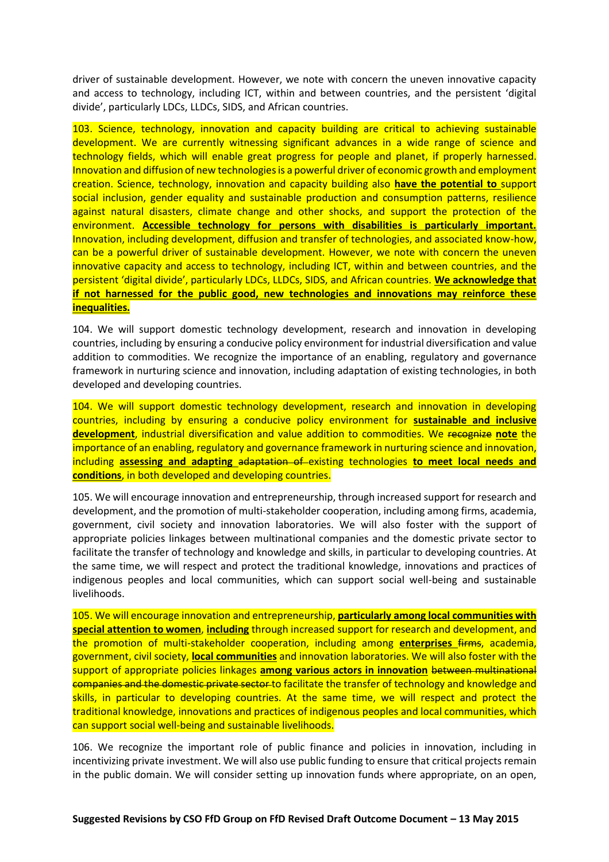driver of sustainable development. However, we note with concern the uneven innovative capacity and access to technology, including ICT, within and between countries, and the persistent 'digital divide', particularly LDCs, LLDCs, SIDS, and African countries.

103. Science, technology, innovation and capacity building are critical to achieving sustainable development. We are currently witnessing significant advances in a wide range of science and technology fields, which will enable great progress for people and planet, if properly harnessed. Innovation and diffusion of new technologies is a powerful driver of economic growth and employment creation. Science, technology, innovation and capacity building also **have the potential to** support social inclusion, gender equality and sustainable production and consumption patterns, resilience against natural disasters, climate change and other shocks, and support the protection of the environment. **Accessible technology for persons with disabilities is particularly important.** Innovation, including development, diffusion and transfer of technologies, and associated know-how, can be a powerful driver of sustainable development. However, we note with concern the uneven innovative capacity and access to technology, including ICT, within and between countries, and the persistent 'digital divide', particularly LDCs, LLDCs, SIDS, and African countries. **We acknowledge that if not harnessed for the public good, new technologies and innovations may reinforce these inequalities.**

104. We will support domestic technology development, research and innovation in developing countries, including by ensuring a conducive policy environment for industrial diversification and value addition to commodities. We recognize the importance of an enabling, regulatory and governance framework in nurturing science and innovation, including adaptation of existing technologies, in both developed and developing countries.

104. We will support domestic technology development, research and innovation in developing countries, including by ensuring a conducive policy environment for **sustainable and inclusive development**, industrial diversification and value addition to commodities. We recognize **note** the importance of an enabling, regulatory and governance framework in nurturing science and innovation, including **assessing and adapting** adaptation of existing technologies **to meet local needs and conditions**, in both developed and developing countries.

105. We will encourage innovation and entrepreneurship, through increased support for research and development, and the promotion of multi-stakeholder cooperation, including among firms, academia, government, civil society and innovation laboratories. We will also foster with the support of appropriate policies linkages between multinational companies and the domestic private sector to facilitate the transfer of technology and knowledge and skills, in particular to developing countries. At the same time, we will respect and protect the traditional knowledge, innovations and practices of indigenous peoples and local communities, which can support social well-being and sustainable livelihoods.

105. We will encourage innovation and entrepreneurship, **particularly among local communities with special attention to women**, **including** through increased support for research and development, and the promotion of multi-stakeholder cooperation, including among **enterprises** firms, academia, government, civil society, **local communities** and innovation laboratories. We will also foster with the support of appropriate policies linkages **among various actors in innovation** between multinational companies and the domestic private sector to facilitate the transfer of technology and knowledge and skills, in particular to developing countries. At the same time, we will respect and protect the traditional knowledge, innovations and practices of indigenous peoples and local communities, which can support social well-being and sustainable livelihoods.

106. We recognize the important role of public finance and policies in innovation, including in incentivizing private investment. We will also use public funding to ensure that critical projects remain in the public domain. We will consider setting up innovation funds where appropriate, on an open,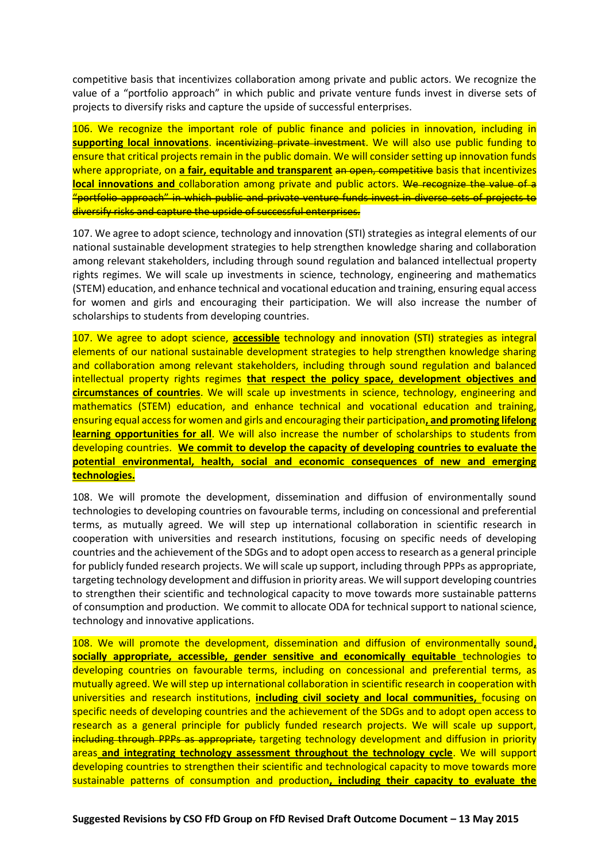competitive basis that incentivizes collaboration among private and public actors. We recognize the value of a "portfolio approach" in which public and private venture funds invest in diverse sets of projects to diversify risks and capture the upside of successful enterprises.

106. We recognize the important role of public finance and policies in innovation, including in **supporting local innovations**. incentivizing private investment. We will also use public funding to ensure that critical projects remain in the public domain. We will consider setting up innovation funds where appropriate, on **a fair, equitable and transparent** an open, competitive basis that incentivizes **local innovations and** collaboration among private and public actors. We recognize the value of a "portfolio approach" in which public and private venture funds invest in diverse sets of projects to diversify risks and capture the upside of successful enterprises.

107. We agree to adopt science, technology and innovation (STI) strategies as integral elements of our national sustainable development strategies to help strengthen knowledge sharing and collaboration among relevant stakeholders, including through sound regulation and balanced intellectual property rights regimes. We will scale up investments in science, technology, engineering and mathematics (STEM) education, and enhance technical and vocational education and training, ensuring equal access for women and girls and encouraging their participation. We will also increase the number of scholarships to students from developing countries.

107. We agree to adopt science, **accessible** technology and innovation (STI) strategies as integral elements of our national sustainable development strategies to help strengthen knowledge sharing and collaboration among relevant stakeholders, including through sound regulation and balanced intellectual property rights regimes **that respect the policy space, development objectives and circumstances of countries**. We will scale up investments in science, technology, engineering and mathematics (STEM) education, and enhance technical and vocational education and training, ensuring equal access for women and girls and encouraging their participation**, and promoting lifelong learning opportunities for all**. We will also increase the number of scholarships to students from developing countries. **We commit to develop the capacity of developing countries to evaluate the potential environmental, health, social and economic consequences of new and emerging technologies.**

108. We will promote the development, dissemination and diffusion of environmentally sound technologies to developing countries on favourable terms, including on concessional and preferential terms, as mutually agreed. We will step up international collaboration in scientific research in cooperation with universities and research institutions, focusing on specific needs of developing countries and the achievement of the SDGs and to adopt open access to research as a general principle for publicly funded research projects. We will scale up support, including through PPPs as appropriate, targeting technology development and diffusion in priority areas. We will support developing countries to strengthen their scientific and technological capacity to move towards more sustainable patterns of consumption and production. We commit to allocate ODA for technical support to national science, technology and innovative applications.

108. We will promote the development, dissemination and diffusion of environmentally sound**, socially appropriate, accessible, gender sensitive and economically equitable** technologies to developing countries on favourable terms, including on concessional and preferential terms, as mutually agreed. We will step up international collaboration in scientific research in cooperation with universities and research institutions, **including civil society and local communities,** focusing on specific needs of developing countries and the achievement of the SDGs and to adopt open access to research as a general principle for publicly funded research projects. We will scale up support, including through PPPs as appropriate, targeting technology development and diffusion in priority areas **and integrating technology assessment throughout the technology cycle**. We will support developing countries to strengthen their scientific and technological capacity to move towards more sustainable patterns of consumption and production**, including their capacity to evaluate the**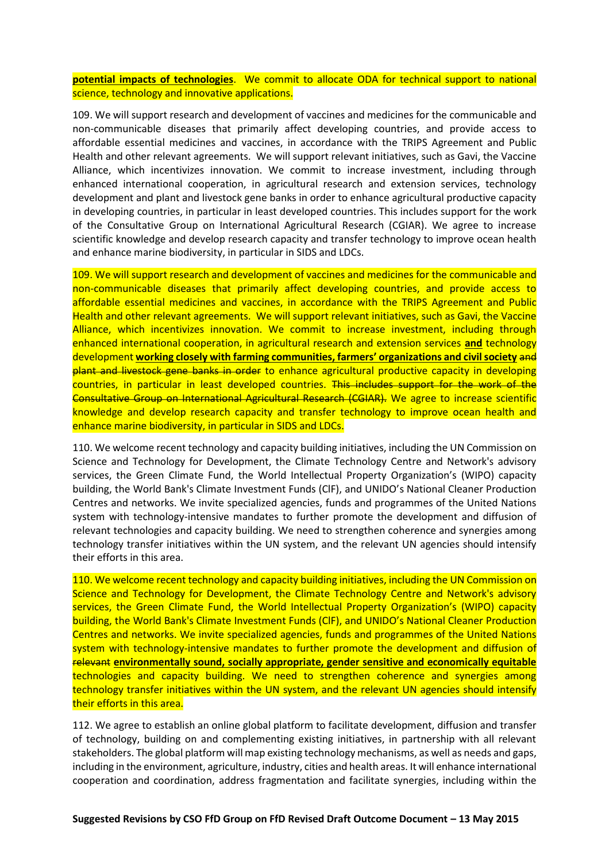# **potential impacts of technologies**. We commit to allocate ODA for technical support to national science, technology and innovative applications.

109. We will support research and development of vaccines and medicines for the communicable and non-communicable diseases that primarily affect developing countries, and provide access to affordable essential medicines and vaccines, in accordance with the TRIPS Agreement and Public Health and other relevant agreements. We will support relevant initiatives, such as Gavi, the Vaccine Alliance, which incentivizes innovation. We commit to increase investment, including through enhanced international cooperation, in agricultural research and extension services, technology development and plant and livestock gene banks in order to enhance agricultural productive capacity in developing countries, in particular in least developed countries. This includes support for the work of the Consultative Group on International Agricultural Research (CGIAR). We agree to increase scientific knowledge and develop research capacity and transfer technology to improve ocean health and enhance marine biodiversity, in particular in SIDS and LDCs.

109. We will support research and development of vaccines and medicines for the communicable and non-communicable diseases that primarily affect developing countries, and provide access to affordable essential medicines and vaccines, in accordance with the TRIPS Agreement and Public Health and other relevant agreements. We will support relevant initiatives, such as Gavi, the Vaccine Alliance, which incentivizes innovation. We commit to increase investment, including through enhanced international cooperation, in agricultural research and extension services **and** technology development **working closely with farming communities, farmers' organizations and civil society** and plant and livestock gene banks in order to enhance agricultural productive capacity in developing countries, in particular in least developed countries. This includes support for the work of the Consultative Group on International Agricultural Research (CGIAR). We agree to increase scientific knowledge and develop research capacity and transfer technology to improve ocean health and enhance marine biodiversity, in particular in SIDS and LDCs.

110. We welcome recent technology and capacity building initiatives, including the UN Commission on Science and Technology for Development, the Climate Technology Centre and Network's advisory services, the Green Climate Fund, the World Intellectual Property Organization's (WIPO) capacity building, the World Bank's Climate Investment Funds (ClF), and UNIDO's National Cleaner Production Centres and networks. We invite specialized agencies, funds and programmes of the United Nations system with technology-intensive mandates to further promote the development and diffusion of relevant technologies and capacity building. We need to strengthen coherence and synergies among technology transfer initiatives within the UN system, and the relevant UN agencies should intensify their efforts in this area.

110. We welcome recent technology and capacity building initiatives, including the UN Commission on Science and Technology for Development, the Climate Technology Centre and Network's advisory services, the Green Climate Fund, the World Intellectual Property Organization's (WIPO) capacity building, the World Bank's Climate Investment Funds (ClF), and UNIDO's National Cleaner Production Centres and networks. We invite specialized agencies, funds and programmes of the United Nations system with technology-intensive mandates to further promote the development and diffusion of relevant **environmentally sound, socially appropriate, gender sensitive and economically equitable**  technologies and capacity building. We need to strengthen coherence and synergies among technology transfer initiatives within the UN system, and the relevant UN agencies should intensify their efforts in this area.

112. We agree to establish an online global platform to facilitate development, diffusion and transfer of technology, building on and complementing existing initiatives, in partnership with all relevant stakeholders. The global platform will map existing technology mechanisms, as well as needs and gaps, including in the environment, agriculture, industry, cities and health areas. It will enhance international cooperation and coordination, address fragmentation and facilitate synergies, including within the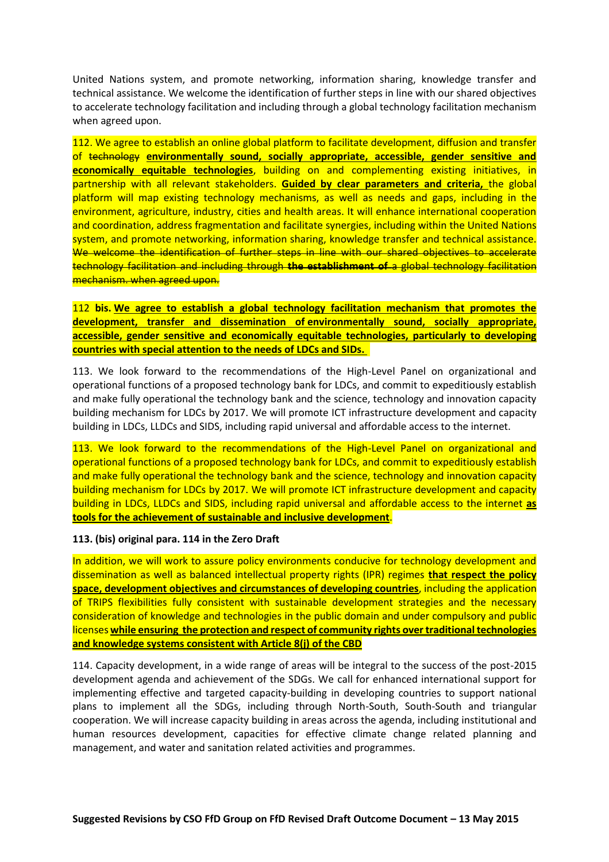United Nations system, and promote networking, information sharing, knowledge transfer and technical assistance. We welcome the identification of further steps in line with our shared objectives to accelerate technology facilitation and including through a global technology facilitation mechanism when agreed upon.

112. We agree to establish an online global platform to facilitate development, diffusion and transfer of technology **environmentally sound, socially appropriate, accessible, gender sensitive and economically equitable technologies**, building on and complementing existing initiatives, in partnership with all relevant stakeholders. **Guided by clear parameters and criteria,** the global platform will map existing technology mechanisms, as well as needs and gaps, including in the environment, agriculture, industry, cities and health areas. It will enhance international cooperation and coordination, address fragmentation and facilitate synergies, including within the United Nations system, and promote networking, information sharing, knowledge transfer and technical assistance. We welcome the identification of further steps in line with our shared objectives to accelerate technology facilitation and including through **the establishment of** a global technology facilitation mechanism. when agreed upon.

112 **bis. We agree to establish a global technology facilitation mechanism that promotes the development, transfer and dissemination of environmentally sound, socially appropriate, accessible, gender sensitive and economically equitable technologies, particularly to developing countries with special attention to the needs of LDCs and SIDs.**

113. We look forward to the recommendations of the High-Level Panel on organizational and operational functions of a proposed technology bank for LDCs, and commit to expeditiously establish and make fully operational the technology bank and the science, technology and innovation capacity building mechanism for LDCs by 2017. We will promote ICT infrastructure development and capacity building in LDCs, LLDCs and SIDS, including rapid universal and affordable access to the internet.

113. We look forward to the recommendations of the High-Level Panel on organizational and operational functions of a proposed technology bank for LDCs, and commit to expeditiously establish and make fully operational the technology bank and the science, technology and innovation capacity building mechanism for LDCs by 2017. We will promote ICT infrastructure development and capacity building in LDCs, LLDCs and SIDS, including rapid universal and affordable access to the internet **as tools for the achievement of sustainable and inclusive development**.

## **113. (bis) original para. 114 in the Zero Draft**

In addition, we will work to assure policy environments conducive for technology development and dissemination as well as balanced intellectual property rights (IPR) regimes **that respect the policy space, development objectives and circumstances of developing countries**, including the application of TRIPS flexibilities fully consistent with sustainable development strategies and the necessary consideration of knowledge and technologies in the public domain and under compulsory and public licenses **while ensuring the protection and respect of community rights over traditional technologies and knowledge systems consistent with Article 8(j) of the CBD**

114. Capacity development, in a wide range of areas will be integral to the success of the post-2015 development agenda and achievement of the SDGs. We call for enhanced international support for implementing effective and targeted capacity-building in developing countries to support national plans to implement all the SDGs, including through North-South, South-South and triangular cooperation. We will increase capacity building in areas across the agenda, including institutional and human resources development, capacities for effective climate change related planning and management, and water and sanitation related activities and programmes.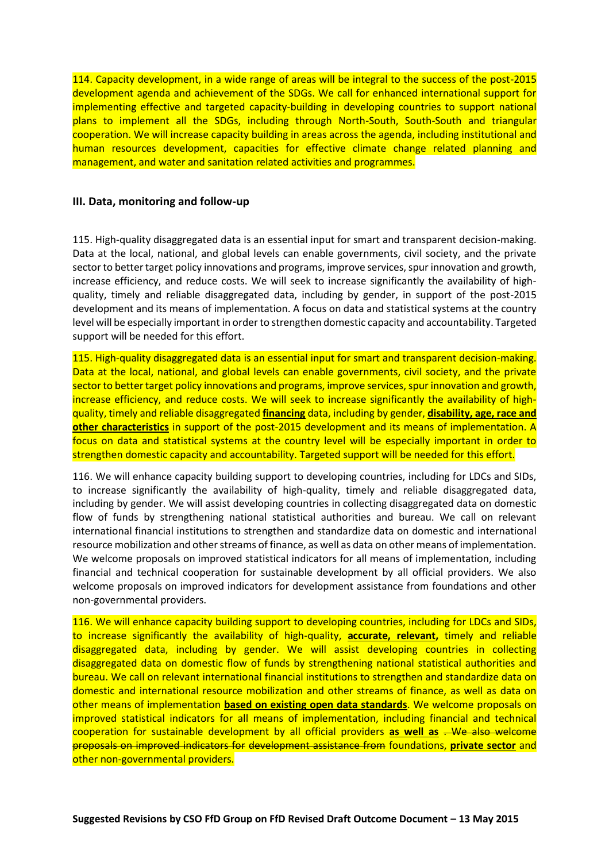114. Capacity development, in a wide range of areas will be integral to the success of the post-2015 development agenda and achievement of the SDGs. We call for enhanced international support for implementing effective and targeted capacity-building in developing countries to support national plans to implement all the SDGs, including through North-South, South-South and triangular cooperation. We will increase capacity building in areas across the agenda, including institutional and human resources development, capacities for effective climate change related planning and management, and water and sanitation related activities and programmes.

### **III. Data, monitoring and follow-up**

115. High-quality disaggregated data is an essential input for smart and transparent decision-making. Data at the local, national, and global levels can enable governments, civil society, and the private sector to better target policy innovations and programs, improve services, spur innovation and growth, increase efficiency, and reduce costs. We will seek to increase significantly the availability of highquality, timely and reliable disaggregated data, including by gender, in support of the post-2015 development and its means of implementation. A focus on data and statistical systems at the country level will be especially important in order to strengthen domestic capacity and accountability. Targeted support will be needed for this effort.

115. High-quality disaggregated data is an essential input for smart and transparent decision-making. Data at the local, national, and global levels can enable governments, civil society, and the private sector to better target policy innovations and programs, improve services, spur innovation and growth, increase efficiency, and reduce costs. We will seek to increase significantly the availability of highquality, timely and reliable disaggregated **financing** data, including by gender, **disability, age, race and other characteristics** in support of the post-2015 development and its means of implementation. A focus on data and statistical systems at the country level will be especially important in order to strengthen domestic capacity and accountability. Targeted support will be needed for this effort.

116. We will enhance capacity building support to developing countries, including for LDCs and SIDs, to increase significantly the availability of high-quality, timely and reliable disaggregated data, including by gender. We will assist developing countries in collecting disaggregated data on domestic flow of funds by strengthening national statistical authorities and bureau. We call on relevant international financial institutions to strengthen and standardize data on domestic and international resource mobilization and other streams of finance, as well as data on other means of implementation. We welcome proposals on improved statistical indicators for all means of implementation, including financial and technical cooperation for sustainable development by all official providers. We also welcome proposals on improved indicators for development assistance from foundations and other non-governmental providers.

116. We will enhance capacity building support to developing countries, including for LDCs and SIDs, to increase significantly the availability of high-quality, **accurate, relevant,** timely and reliable disaggregated data, including by gender. We will assist developing countries in collecting disaggregated data on domestic flow of funds by strengthening national statistical authorities and bureau. We call on relevant international financial institutions to strengthen and standardize data on domestic and international resource mobilization and other streams of finance, as well as data on other means of implementation **based on existing open data standards**. We welcome proposals on improved statistical indicators for all means of implementation, including financial and technical cooperation for sustainable development by all official providers **as well as** . We also welcome proposals on improved indicators for development assistance from foundations, **private sector** and other non-governmental providers.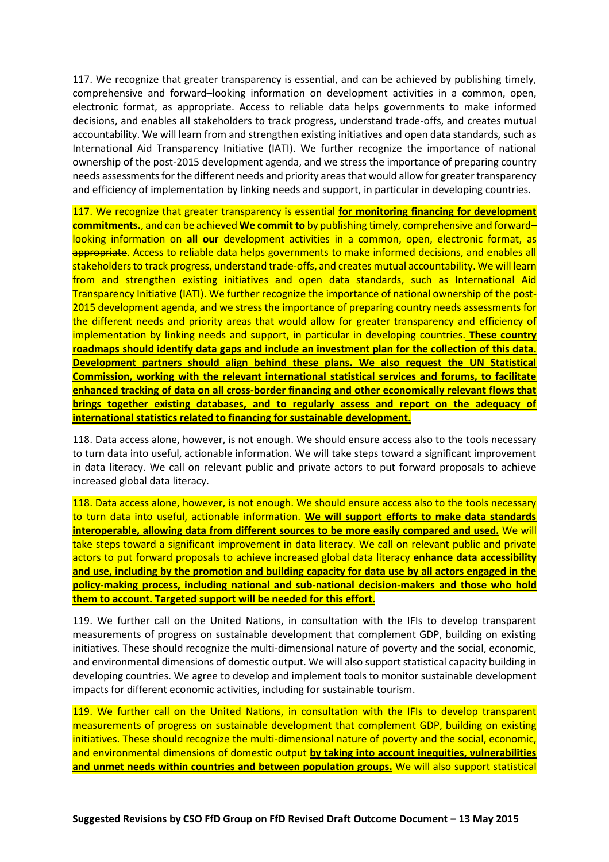117. We recognize that greater transparency is essential, and can be achieved by publishing timely, comprehensive and forward–looking information on development activities in a common, open, electronic format, as appropriate. Access to reliable data helps governments to make informed decisions, and enables all stakeholders to track progress, understand trade-offs, and creates mutual accountability. We will learn from and strengthen existing initiatives and open data standards, such as International Aid Transparency Initiative (IATI). We further recognize the importance of national ownership of the post-2015 development agenda, and we stress the importance of preparing country needs assessments for the different needs and priority areas that would allow for greater transparency and efficiency of implementation by linking needs and support, in particular in developing countries.

117. We recognize that greater transparency is essential **for monitoring financing for development commitments.**, and can be achieved **We commit to** by publishing timely, comprehensive and forward– looking information on **all our** development activities in a common, open, electronic format, as appropriate. Access to reliable data helps governments to make informed decisions, and enables all stakeholders to track progress, understand trade-offs, and creates mutual accountability. We will learn from and strengthen existing initiatives and open data standards, such as International Aid Transparency Initiative (IATI). We further recognize the importance of national ownership of the post-2015 development agenda, and we stress the importance of preparing country needs assessments for the different needs and priority areas that would allow for greater transparency and efficiency of implementation by linking needs and support, in particular in developing countries. **These country roadmaps should identify data gaps and include an investment plan for the collection of this data. Development partners should align behind these plans. We also request the UN Statistical Commission, working with the relevant international statistical services and forums, to facilitate enhanced tracking of data on all cross-border financing and other economically relevant flows that brings together existing databases, and to regularly assess and report on the adequacy of international statistics related to financing for sustainable development.**

118. Data access alone, however, is not enough. We should ensure access also to the tools necessary to turn data into useful, actionable information. We will take steps toward a significant improvement in data literacy. We call on relevant public and private actors to put forward proposals to achieve increased global data literacy.

118. Data access alone, however, is not enough. We should ensure access also to the tools necessary to turn data into useful, actionable information. **We will support efforts to make data standards interoperable, allowing data from different sources to be more easily compared and used.** We will take steps toward a significant improvement in data literacy. We call on relevant public and private actors to put forward proposals to achieve increased global data literacy **enhance data accessibility and use, including by the promotion and building capacity for data use by all actors engaged in the policy-making process, including national and sub-national decision-makers and those who hold them to account. Targeted support will be needed for this effort.**

119. We further call on the United Nations, in consultation with the IFIs to develop transparent measurements of progress on sustainable development that complement GDP, building on existing initiatives. These should recognize the multi-dimensional nature of poverty and the social, economic, and environmental dimensions of domestic output. We will also support statistical capacity building in developing countries. We agree to develop and implement tools to monitor sustainable development impacts for different economic activities, including for sustainable tourism.

119. We further call on the United Nations, in consultation with the IFIs to develop transparent measurements of progress on sustainable development that complement GDP, building on existing initiatives. These should recognize the multi-dimensional nature of poverty and the social, economic, and environmental dimensions of domestic output **by taking into account inequities, vulnerabilities and unmet needs within countries and between population groups.** We will also support statistical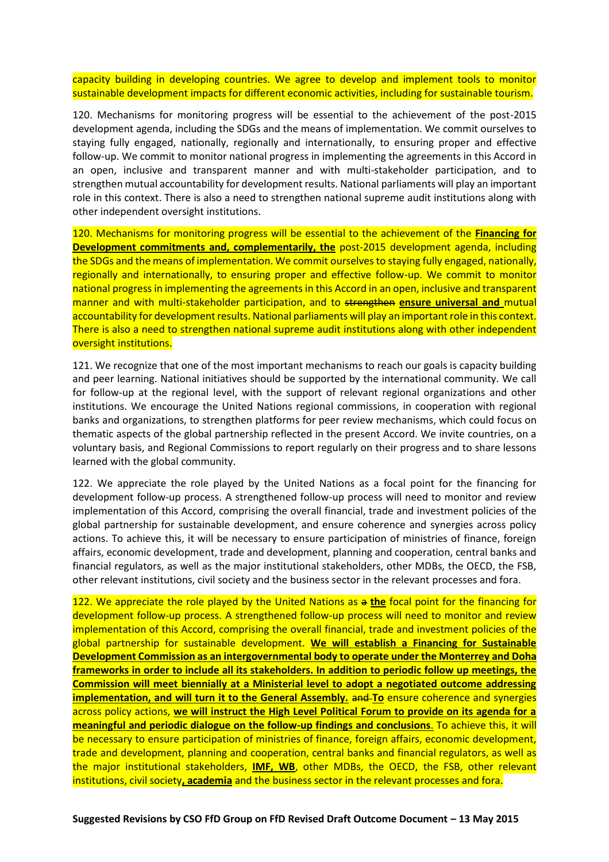capacity building in developing countries. We agree to develop and implement tools to monitor sustainable development impacts for different economic activities, including for sustainable tourism.

120. Mechanisms for monitoring progress will be essential to the achievement of the post-2015 development agenda, including the SDGs and the means of implementation. We commit ourselves to staying fully engaged, nationally, regionally and internationally, to ensuring proper and effective follow-up. We commit to monitor national progress in implementing the agreements in this Accord in an open, inclusive and transparent manner and with multi-stakeholder participation, and to strengthen mutual accountability for development results. National parliaments will play an important role in this context. There is also a need to strengthen national supreme audit institutions along with other independent oversight institutions.

120. Mechanisms for monitoring progress will be essential to the achievement of the **Financing for Development commitments and, complementarily, the** post-2015 development agenda, including the SDGs and the means of implementation. We commit ourselves to staying fully engaged, nationally, regionally and internationally, to ensuring proper and effective follow-up. We commit to monitor national progress in implementing the agreements in this Accord in an open, inclusive and transparent manner and with multi-stakeholder participation, and to strengthen **ensure universal and** mutual accountability for development results. National parliaments will play an important role in this context. There is also a need to strengthen national supreme audit institutions along with other independent oversight institutions.

121. We recognize that one of the most important mechanisms to reach our goals is capacity building and peer learning. National initiatives should be supported by the international community. We call for follow-up at the regional level, with the support of relevant regional organizations and other institutions. We encourage the United Nations regional commissions, in cooperation with regional banks and organizations, to strengthen platforms for peer review mechanisms, which could focus on thematic aspects of the global partnership reflected in the present Accord. We invite countries, on a voluntary basis, and Regional Commissions to report regularly on their progress and to share lessons learned with the global community.

122. We appreciate the role played by the United Nations as a focal point for the financing for development follow-up process. A strengthened follow-up process will need to monitor and review implementation of this Accord, comprising the overall financial, trade and investment policies of the global partnership for sustainable development, and ensure coherence and synergies across policy actions. To achieve this, it will be necessary to ensure participation of ministries of finance, foreign affairs, economic development, trade and development, planning and cooperation, central banks and financial regulators, as well as the major institutional stakeholders, other MDBs, the OECD, the FSB, other relevant institutions, civil society and the business sector in the relevant processes and fora.

122. We appreciate the role played by the United Nations as a **the** focal point for the financing for development follow-up process. A strengthened follow-up process will need to monitor and review implementation of this Accord, comprising the overall financial, trade and investment policies of the global partnership for sustainable development. **We will establish a Financing for Sustainable Development Commission as an intergovernmental body to operate under the Monterrey and Doha frameworks in order to include all its stakeholders. In addition to periodic follow up meetings, the Commission will meet biennially at a Ministerial level to adopt a negotiated outcome addressing implementation, and will turn it to the General Assembly.** and **To** ensure coherence and synergies across policy actions, **we will instruct the High Level Political Forum to provide on its agenda for a meaningful and periodic dialogue on the follow-up findings and conclusions**. To achieve this, it will be necessary to ensure participation of ministries of finance, foreign affairs, economic development, trade and development, planning and cooperation, central banks and financial regulators, as well as the major institutional stakeholders, **IMF, WB**, other MDBs, the OECD, the FSB, other relevant institutions, civil society**, academia** and the business sector in the relevant processes and fora.